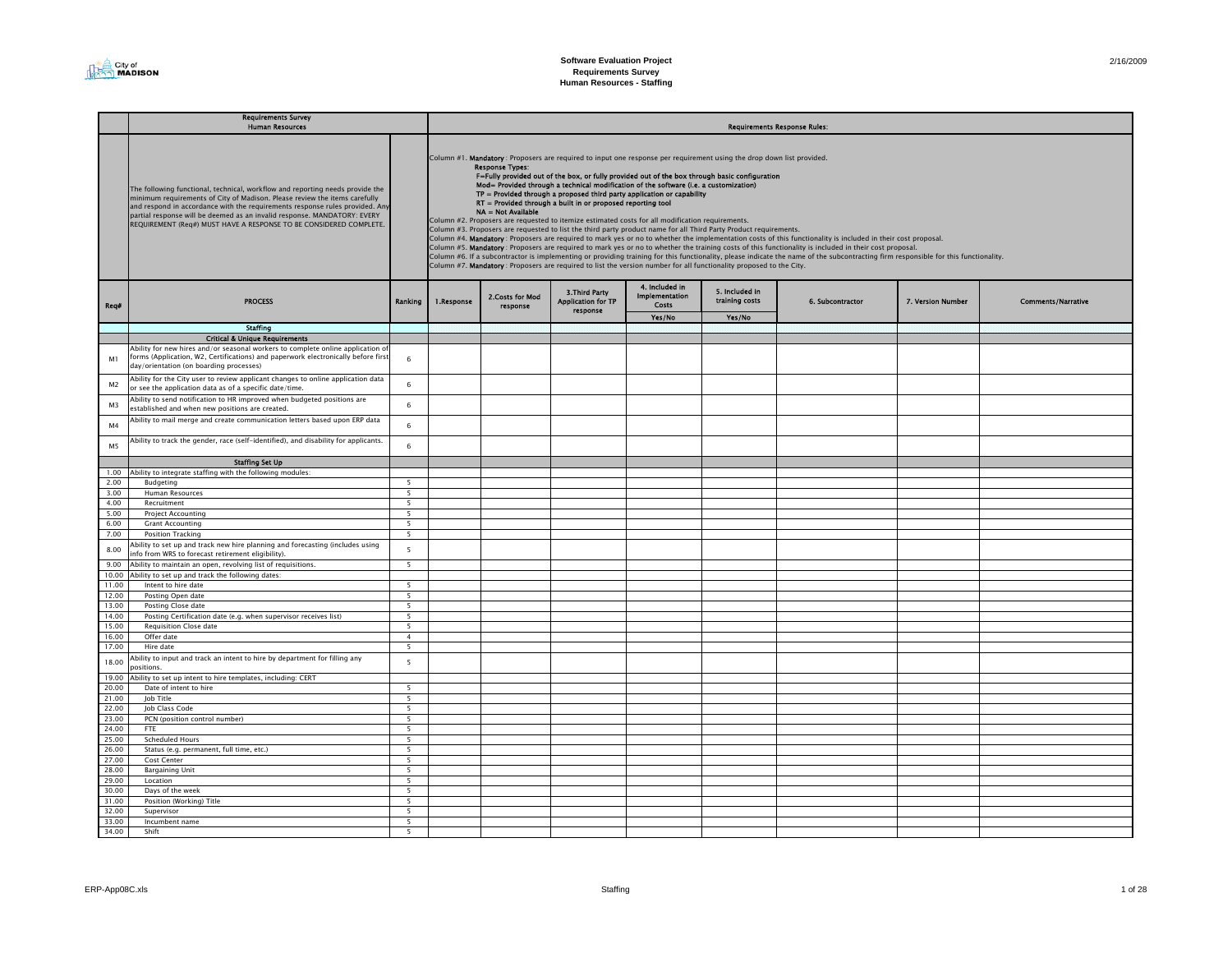

| 2/16/2009 |
|-----------|
|-----------|

|                | <b>Requirements Survey</b><br><b>Human Resources</b>                                                                                                                                                                                                                                                                                                                                          |                                    |            |                                              |                                                                                                                                                                                                                                                                                                                                                                                                                                                                                                                                                                                                                                                                                                                                                                                                              |                                                  |                                  | <b>Requirements Response Rules:</b>                                                                                                                                                                                                                                                                                                                                                                                                                                                                            |                   |                           |
|----------------|-----------------------------------------------------------------------------------------------------------------------------------------------------------------------------------------------------------------------------------------------------------------------------------------------------------------------------------------------------------------------------------------------|------------------------------------|------------|----------------------------------------------|--------------------------------------------------------------------------------------------------------------------------------------------------------------------------------------------------------------------------------------------------------------------------------------------------------------------------------------------------------------------------------------------------------------------------------------------------------------------------------------------------------------------------------------------------------------------------------------------------------------------------------------------------------------------------------------------------------------------------------------------------------------------------------------------------------------|--------------------------------------------------|----------------------------------|----------------------------------------------------------------------------------------------------------------------------------------------------------------------------------------------------------------------------------------------------------------------------------------------------------------------------------------------------------------------------------------------------------------------------------------------------------------------------------------------------------------|-------------------|---------------------------|
|                | The following functional, technical, workflow and reporting needs provide the<br>ninimum requirements of City of Madison. Please review the items carefully<br>and respond in accordance with the requirements response rules provided. Any<br>partial response will be deemed as an invalid response. MANDATORY: EVERY<br>REQUIREMENT (Req#) MUST HAVE A RESPONSE TO BE CONSIDERED COMPLETE. |                                    |            | <b>Response Types:</b><br>NA = Not Available | Column #1. Mandatory : Proposers are required to input one response per requirement using the drop down list provided.<br>F=Fully provided out of the box, or fully provided out of the box through basic configuration<br>Mod= Provided through a technical modification of the software (i.e. a customization)<br>$TP =$ Provided through a proposed third party application or capability<br>RT = Provided through a built in or proposed reporting tool<br>Column #2. Proposers are requested to itemize estimated costs for all modification requirements.<br>Column #3. Proposers are requested to list the third party product name for all Third Party Product requirements.<br>Column #7. Mandatory : Proposers are required to list the version number for all functionality proposed to the City. |                                                  |                                  | Column #4. Mandatory : Proposers are required to mark yes or no to whether the implementation costs of this functionality is included in their cost proposal.<br>Column #5. Mandatory: Proposers are required to mark yes or no to whether the training costs of this functionality is included in their cost proposal.<br>Column #6. If a subcontractor is implementing or providing training for this functionality, please indicate the name of the subcontracting firm responsible for this functionality. |                   |                           |
| Req#           | <b>PROCESS</b>                                                                                                                                                                                                                                                                                                                                                                                | Ranking                            | 1.Response | 2.Costs for Mod<br>response                  | 3. Third Party<br><b>Application for TP</b><br>response                                                                                                                                                                                                                                                                                                                                                                                                                                                                                                                                                                                                                                                                                                                                                      | 4. Included in<br><b>Implementation</b><br>Costs | 5. Included in<br>training costs | 6. Subcontractor                                                                                                                                                                                                                                                                                                                                                                                                                                                                                               | 7. Version Number | <b>Comments/Narrative</b> |
|                |                                                                                                                                                                                                                                                                                                                                                                                               |                                    |            |                                              |                                                                                                                                                                                                                                                                                                                                                                                                                                                                                                                                                                                                                                                                                                                                                                                                              | Yes/No                                           | Yes/No                           |                                                                                                                                                                                                                                                                                                                                                                                                                                                                                                                |                   |                           |
|                | <b>Staffing</b>                                                                                                                                                                                                                                                                                                                                                                               |                                    |            |                                              |                                                                                                                                                                                                                                                                                                                                                                                                                                                                                                                                                                                                                                                                                                                                                                                                              |                                                  |                                  |                                                                                                                                                                                                                                                                                                                                                                                                                                                                                                                |                   |                           |
|                | <b>Critical &amp; Unique Requirements</b>                                                                                                                                                                                                                                                                                                                                                     |                                    |            |                                              |                                                                                                                                                                                                                                                                                                                                                                                                                                                                                                                                                                                                                                                                                                                                                                                                              |                                                  |                                  |                                                                                                                                                                                                                                                                                                                                                                                                                                                                                                                |                   |                           |
| M1             | Ability for new hires and/or seasonal workers to complete online application of<br>forms (Application, W2, Certifications) and paperwork electronically before first<br>day/orientation (on boarding processes)                                                                                                                                                                               | $\,$ 6                             |            |                                              |                                                                                                                                                                                                                                                                                                                                                                                                                                                                                                                                                                                                                                                                                                                                                                                                              |                                                  |                                  |                                                                                                                                                                                                                                                                                                                                                                                                                                                                                                                |                   |                           |
| M <sub>2</sub> | Ability for the City user to review applicant changes to online application data<br>or see the application data as of a specific date/time.                                                                                                                                                                                                                                                   | $\,$ 6 $\,$                        |            |                                              |                                                                                                                                                                                                                                                                                                                                                                                                                                                                                                                                                                                                                                                                                                                                                                                                              |                                                  |                                  |                                                                                                                                                                                                                                                                                                                                                                                                                                                                                                                |                   |                           |
| M <sub>3</sub> | Ability to send notification to HR improved when budgeted positions are<br>established and when new positions are created.                                                                                                                                                                                                                                                                    | 6                                  |            |                                              |                                                                                                                                                                                                                                                                                                                                                                                                                                                                                                                                                                                                                                                                                                                                                                                                              |                                                  |                                  |                                                                                                                                                                                                                                                                                                                                                                                                                                                                                                                |                   |                           |
| M <sub>4</sub> | Ability to mail merge and create communication letters based upon ERP data                                                                                                                                                                                                                                                                                                                    | 6                                  |            |                                              |                                                                                                                                                                                                                                                                                                                                                                                                                                                                                                                                                                                                                                                                                                                                                                                                              |                                                  |                                  |                                                                                                                                                                                                                                                                                                                                                                                                                                                                                                                |                   |                           |
| M5             | Ability to track the gender, race (self-identified), and disability for applicants.                                                                                                                                                                                                                                                                                                           | $6\overline{6}$                    |            |                                              |                                                                                                                                                                                                                                                                                                                                                                                                                                                                                                                                                                                                                                                                                                                                                                                                              |                                                  |                                  |                                                                                                                                                                                                                                                                                                                                                                                                                                                                                                                |                   |                           |
|                | <b>Staffing Set Up</b>                                                                                                                                                                                                                                                                                                                                                                        |                                    |            |                                              |                                                                                                                                                                                                                                                                                                                                                                                                                                                                                                                                                                                                                                                                                                                                                                                                              |                                                  |                                  |                                                                                                                                                                                                                                                                                                                                                                                                                                                                                                                |                   |                           |
| 1.00           | Ability to integrate staffing with the following modules:                                                                                                                                                                                                                                                                                                                                     |                                    |            |                                              |                                                                                                                                                                                                                                                                                                                                                                                                                                                                                                                                                                                                                                                                                                                                                                                                              |                                                  |                                  |                                                                                                                                                                                                                                                                                                                                                                                                                                                                                                                |                   |                           |
| 2.00           | <b>Budgeting</b>                                                                                                                                                                                                                                                                                                                                                                              | $\overline{5}$                     |            |                                              |                                                                                                                                                                                                                                                                                                                                                                                                                                                                                                                                                                                                                                                                                                                                                                                                              |                                                  |                                  |                                                                                                                                                                                                                                                                                                                                                                                                                                                                                                                |                   |                           |
| 3.00           | <b>Human Resources</b>                                                                                                                                                                                                                                                                                                                                                                        | $\overline{\phantom{0}}$           |            |                                              |                                                                                                                                                                                                                                                                                                                                                                                                                                                                                                                                                                                                                                                                                                                                                                                                              |                                                  |                                  |                                                                                                                                                                                                                                                                                                                                                                                                                                                                                                                |                   |                           |
| 4.00<br>5.00   | Recruitment<br><b>Project Accounting</b>                                                                                                                                                                                                                                                                                                                                                      | $5\overline{5}$<br>$5\overline{5}$ |            |                                              |                                                                                                                                                                                                                                                                                                                                                                                                                                                                                                                                                                                                                                                                                                                                                                                                              |                                                  |                                  |                                                                                                                                                                                                                                                                                                                                                                                                                                                                                                                |                   |                           |
| 6.00           | <b>Grant Accounting</b>                                                                                                                                                                                                                                                                                                                                                                       | 5                                  |            |                                              |                                                                                                                                                                                                                                                                                                                                                                                                                                                                                                                                                                                                                                                                                                                                                                                                              |                                                  |                                  |                                                                                                                                                                                                                                                                                                                                                                                                                                                                                                                |                   |                           |
| 7.00           | Position Tracking                                                                                                                                                                                                                                                                                                                                                                             | $\overline{\phantom{a}}$           |            |                                              |                                                                                                                                                                                                                                                                                                                                                                                                                                                                                                                                                                                                                                                                                                                                                                                                              |                                                  |                                  |                                                                                                                                                                                                                                                                                                                                                                                                                                                                                                                |                   |                           |
| 8.00           | Ability to set up and track new hire planning and forecasting (includes using<br>info from WRS to forecast retirement eligibility).                                                                                                                                                                                                                                                           | 5                                  |            |                                              |                                                                                                                                                                                                                                                                                                                                                                                                                                                                                                                                                                                                                                                                                                                                                                                                              |                                                  |                                  |                                                                                                                                                                                                                                                                                                                                                                                                                                                                                                                |                   |                           |
| 9.00           | Ability to maintain an open, revolving list of requisitions.                                                                                                                                                                                                                                                                                                                                  | 5 <sup>5</sup>                     |            |                                              |                                                                                                                                                                                                                                                                                                                                                                                                                                                                                                                                                                                                                                                                                                                                                                                                              |                                                  |                                  |                                                                                                                                                                                                                                                                                                                                                                                                                                                                                                                |                   |                           |
| 10.00          | Ability to set up and track the following dates:                                                                                                                                                                                                                                                                                                                                              |                                    |            |                                              |                                                                                                                                                                                                                                                                                                                                                                                                                                                                                                                                                                                                                                                                                                                                                                                                              |                                                  |                                  |                                                                                                                                                                                                                                                                                                                                                                                                                                                                                                                |                   |                           |
| 11.00          | Intent to hire date                                                                                                                                                                                                                                                                                                                                                                           | $\overline{5}$                     |            |                                              |                                                                                                                                                                                                                                                                                                                                                                                                                                                                                                                                                                                                                                                                                                                                                                                                              |                                                  |                                  |                                                                                                                                                                                                                                                                                                                                                                                                                                                                                                                |                   |                           |
| 12.00          | Posting Open date                                                                                                                                                                                                                                                                                                                                                                             | $\overline{5}$<br>$\overline{5}$   |            |                                              |                                                                                                                                                                                                                                                                                                                                                                                                                                                                                                                                                                                                                                                                                                                                                                                                              |                                                  |                                  |                                                                                                                                                                                                                                                                                                                                                                                                                                                                                                                |                   |                           |
| 13.00<br>14.00 | Posting Close date<br>Posting Certification date (e.g. when supervisor receives list)                                                                                                                                                                                                                                                                                                         | $5^{\circ}$                        |            |                                              |                                                                                                                                                                                                                                                                                                                                                                                                                                                                                                                                                                                                                                                                                                                                                                                                              |                                                  |                                  |                                                                                                                                                                                                                                                                                                                                                                                                                                                                                                                |                   |                           |
| 15.00          | <b>Requisition Close date</b>                                                                                                                                                                                                                                                                                                                                                                 | $5\overline{5}$                    |            |                                              |                                                                                                                                                                                                                                                                                                                                                                                                                                                                                                                                                                                                                                                                                                                                                                                                              |                                                  |                                  |                                                                                                                                                                                                                                                                                                                                                                                                                                                                                                                |                   |                           |
| 16.00          | Offer date                                                                                                                                                                                                                                                                                                                                                                                    | $\overline{4}$                     |            |                                              |                                                                                                                                                                                                                                                                                                                                                                                                                                                                                                                                                                                                                                                                                                                                                                                                              |                                                  |                                  |                                                                                                                                                                                                                                                                                                                                                                                                                                                                                                                |                   |                           |
| 17.00          | Hire date                                                                                                                                                                                                                                                                                                                                                                                     | $5\overline{5}$                    |            |                                              |                                                                                                                                                                                                                                                                                                                                                                                                                                                                                                                                                                                                                                                                                                                                                                                                              |                                                  |                                  |                                                                                                                                                                                                                                                                                                                                                                                                                                                                                                                |                   |                           |
| 18.00          | Ability to input and track an intent to hire by department for filling any<br>ositions.                                                                                                                                                                                                                                                                                                       | $\overline{5}$                     |            |                                              |                                                                                                                                                                                                                                                                                                                                                                                                                                                                                                                                                                                                                                                                                                                                                                                                              |                                                  |                                  |                                                                                                                                                                                                                                                                                                                                                                                                                                                                                                                |                   |                           |
| 19.00          | Ability to set up intent to hire templates, including: CERT                                                                                                                                                                                                                                                                                                                                   |                                    |            |                                              |                                                                                                                                                                                                                                                                                                                                                                                                                                                                                                                                                                                                                                                                                                                                                                                                              |                                                  |                                  |                                                                                                                                                                                                                                                                                                                                                                                                                                                                                                                |                   |                           |
| 20.00          | Date of intent to hire                                                                                                                                                                                                                                                                                                                                                                        | $\overline{5}$                     |            |                                              |                                                                                                                                                                                                                                                                                                                                                                                                                                                                                                                                                                                                                                                                                                                                                                                                              |                                                  |                                  |                                                                                                                                                                                                                                                                                                                                                                                                                                                                                                                |                   |                           |
| 21.00<br>22.00 | lob Title                                                                                                                                                                                                                                                                                                                                                                                     | $\overline{5}$<br>5                |            |                                              |                                                                                                                                                                                                                                                                                                                                                                                                                                                                                                                                                                                                                                                                                                                                                                                                              |                                                  |                                  |                                                                                                                                                                                                                                                                                                                                                                                                                                                                                                                |                   |                           |
| 23.00          | Job Class Code<br>PCN (position control number)                                                                                                                                                                                                                                                                                                                                               | $\overline{5}$                     |            |                                              |                                                                                                                                                                                                                                                                                                                                                                                                                                                                                                                                                                                                                                                                                                                                                                                                              |                                                  |                                  |                                                                                                                                                                                                                                                                                                                                                                                                                                                                                                                |                   |                           |
| 24.00          | FTE                                                                                                                                                                                                                                                                                                                                                                                           | $\overline{5}$                     |            |                                              |                                                                                                                                                                                                                                                                                                                                                                                                                                                                                                                                                                                                                                                                                                                                                                                                              |                                                  |                                  |                                                                                                                                                                                                                                                                                                                                                                                                                                                                                                                |                   |                           |
| 25.00          | <b>Scheduled Hours</b>                                                                                                                                                                                                                                                                                                                                                                        | $\overline{5}$                     |            |                                              |                                                                                                                                                                                                                                                                                                                                                                                                                                                                                                                                                                                                                                                                                                                                                                                                              |                                                  |                                  |                                                                                                                                                                                                                                                                                                                                                                                                                                                                                                                |                   |                           |
| 26.00          | Status (e.g. permanent, full time, etc.)                                                                                                                                                                                                                                                                                                                                                      | $\overline{5}$                     |            |                                              |                                                                                                                                                                                                                                                                                                                                                                                                                                                                                                                                                                                                                                                                                                                                                                                                              |                                                  |                                  |                                                                                                                                                                                                                                                                                                                                                                                                                                                                                                                |                   |                           |
| 27.00          | Cost Center                                                                                                                                                                                                                                                                                                                                                                                   | 5                                  |            |                                              |                                                                                                                                                                                                                                                                                                                                                                                                                                                                                                                                                                                                                                                                                                                                                                                                              |                                                  |                                  |                                                                                                                                                                                                                                                                                                                                                                                                                                                                                                                |                   |                           |
| 28.00          | <b>Bargaining Unit</b>                                                                                                                                                                                                                                                                                                                                                                        | $5^{\circ}$                        |            |                                              |                                                                                                                                                                                                                                                                                                                                                                                                                                                                                                                                                                                                                                                                                                                                                                                                              |                                                  |                                  |                                                                                                                                                                                                                                                                                                                                                                                                                                                                                                                |                   |                           |
| 29.00          | Location                                                                                                                                                                                                                                                                                                                                                                                      | 5                                  |            |                                              |                                                                                                                                                                                                                                                                                                                                                                                                                                                                                                                                                                                                                                                                                                                                                                                                              |                                                  |                                  |                                                                                                                                                                                                                                                                                                                                                                                                                                                                                                                |                   |                           |
| 30.00          | Days of the week                                                                                                                                                                                                                                                                                                                                                                              | - 5<br>$5^{\circ}$                 |            |                                              |                                                                                                                                                                                                                                                                                                                                                                                                                                                                                                                                                                                                                                                                                                                                                                                                              |                                                  |                                  |                                                                                                                                                                                                                                                                                                                                                                                                                                                                                                                |                   |                           |
| 31.00<br>32.00 | Position (Working) Title<br>Supervisor                                                                                                                                                                                                                                                                                                                                                        | $5^{\circ}$                        |            |                                              |                                                                                                                                                                                                                                                                                                                                                                                                                                                                                                                                                                                                                                                                                                                                                                                                              |                                                  |                                  |                                                                                                                                                                                                                                                                                                                                                                                                                                                                                                                |                   |                           |
| 33.00          | Incumbent name                                                                                                                                                                                                                                                                                                                                                                                | 5                                  |            |                                              |                                                                                                                                                                                                                                                                                                                                                                                                                                                                                                                                                                                                                                                                                                                                                                                                              |                                                  |                                  |                                                                                                                                                                                                                                                                                                                                                                                                                                                                                                                |                   |                           |
| 34.00          | Shift                                                                                                                                                                                                                                                                                                                                                                                         | 5                                  |            |                                              |                                                                                                                                                                                                                                                                                                                                                                                                                                                                                                                                                                                                                                                                                                                                                                                                              |                                                  |                                  |                                                                                                                                                                                                                                                                                                                                                                                                                                                                                                                |                   |                           |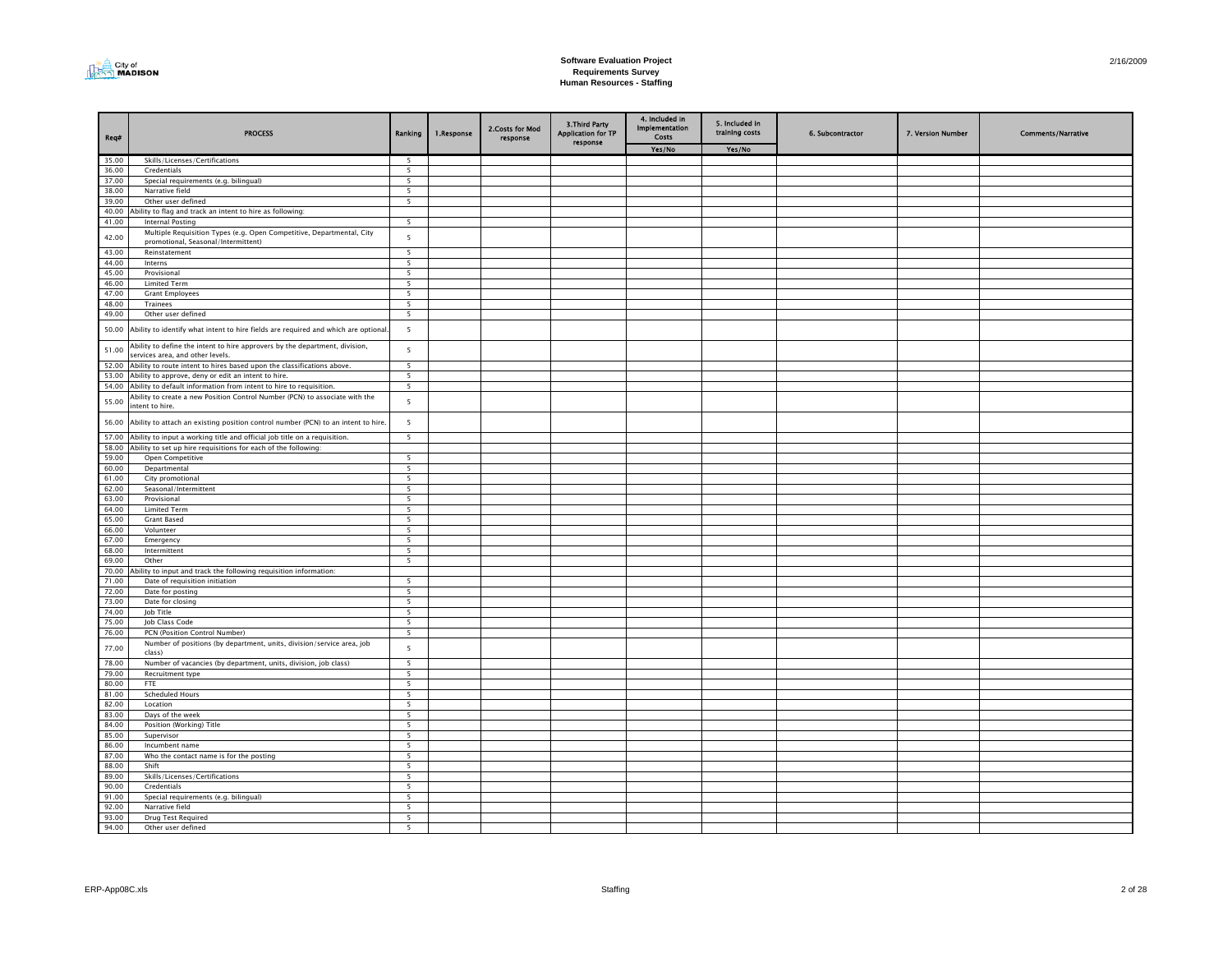

| Req#           | <b>PROCESS</b>                                                                                                  | Ranking                       | 1.Response | 2. Costs for Mod<br>response | <b>3.Third Party</b><br><b>Application for TP</b><br>response | 4. Included in<br><b>Implementation</b><br><b>Costs</b> | 5. Included in<br>training costs | 6. Subcontractor | 7. Version Number | <b>Comments/Narrative</b> |
|----------------|-----------------------------------------------------------------------------------------------------------------|-------------------------------|------------|------------------------------|---------------------------------------------------------------|---------------------------------------------------------|----------------------------------|------------------|-------------------|---------------------------|
|                |                                                                                                                 |                               |            |                              |                                                               | Yes/No                                                  | Yes/No                           |                  |                   |                           |
| 35.00          | Skills/Licenses/Certifications                                                                                  | 5                             |            |                              |                                                               |                                                         |                                  |                  |                   |                           |
| 36.00          | Credentials                                                                                                     | 5                             |            |                              |                                                               |                                                         |                                  |                  |                   |                           |
| 37.00          | Special requirements (e.g. bilingual)                                                                           | 5                             |            |                              |                                                               |                                                         |                                  |                  |                   |                           |
| 38.00          | Narrative field                                                                                                 | 5                             |            |                              |                                                               |                                                         |                                  |                  |                   |                           |
| 39.00          | Other user defined                                                                                              | $\overline{5}$                |            |                              |                                                               |                                                         |                                  |                  |                   |                           |
| 40.00          | Ability to flag and track an intent to hire as following:                                                       |                               |            |                              |                                                               |                                                         |                                  |                  |                   |                           |
| 41.00          | Internal Posting                                                                                                | 5                             |            |                              |                                                               |                                                         |                                  |                  |                   |                           |
| 42.00          | Multiple Requisition Types (e.g. Open Competitive, Departmental, City                                           | $\overline{5}$                |            |                              |                                                               |                                                         |                                  |                  |                   |                           |
|                | promotional, Seasonal/Intermittent)                                                                             |                               |            |                              |                                                               |                                                         |                                  |                  |                   |                           |
| 43.00          | Reinstatement                                                                                                   | 5                             |            |                              |                                                               |                                                         |                                  |                  |                   |                           |
| 44.00          | Interns                                                                                                         | 5                             |            |                              |                                                               |                                                         |                                  |                  |                   |                           |
| 45.00<br>46.00 | Provisional                                                                                                     | 5<br>$\overline{5}$           |            |                              |                                                               |                                                         |                                  |                  |                   |                           |
| 47.00          | <b>Limited Term</b><br><b>Grant Employees</b>                                                                   | $\overline{5}$                |            |                              |                                                               |                                                         |                                  |                  |                   |                           |
| 48.00          | Trainees                                                                                                        | 5                             |            |                              |                                                               |                                                         |                                  |                  |                   |                           |
| 49.00          | Other user defined                                                                                              | 5                             |            |                              |                                                               |                                                         |                                  |                  |                   |                           |
|                |                                                                                                                 |                               |            |                              |                                                               |                                                         |                                  |                  |                   |                           |
| 50.00          | Ability to identify what intent to hire fields are required and which are optional                              | $5\phantom{a}$                |            |                              |                                                               |                                                         |                                  |                  |                   |                           |
| 51.00          | Ability to define the intent to hire approvers by the department, division,<br>services area, and other levels. | 5                             |            |                              |                                                               |                                                         |                                  |                  |                   |                           |
| 52.00          | Ability to route intent to hires based upon the classifications above.                                          | $\overline{\phantom{0}}$      |            |                              |                                                               |                                                         |                                  |                  |                   |                           |
| 53.00          | Ability to approve, deny or edit an intent to hire.                                                             | 5                             |            |                              |                                                               |                                                         |                                  |                  |                   |                           |
| 54.00          | Ability to default information from intent to hire to requisition.                                              | 5                             |            |                              |                                                               |                                                         |                                  |                  |                   |                           |
| 55.00          | Ability to create a new Position Control Number (PCN) to associate with the<br>intent to hire.                  | 5                             |            |                              |                                                               |                                                         |                                  |                  |                   |                           |
|                | 56.00 Ability to attach an existing position control number (PCN) to an intent to hire.                         | 5                             |            |                              |                                                               |                                                         |                                  |                  |                   |                           |
| 57.00          | Ability to input a working title and official job title on a requisition.                                       | $\overline{\phantom{a}}$      |            |                              |                                                               |                                                         |                                  |                  |                   |                           |
| 58.00          | Ability to set up hire requisitions for each of the following:                                                  |                               |            |                              |                                                               |                                                         |                                  |                  |                   |                           |
| 59.00          | Open Competitive                                                                                                | $\overline{5}$                |            |                              |                                                               |                                                         |                                  |                  |                   |                           |
| 60.00          | Departmental                                                                                                    | 5                             |            |                              |                                                               |                                                         |                                  |                  |                   |                           |
| 61.00          | City promotional                                                                                                | 5                             |            |                              |                                                               |                                                         |                                  |                  |                   |                           |
| 62.00          | Seasonal/Intermittent                                                                                           | 5                             |            |                              |                                                               |                                                         |                                  |                  |                   |                           |
| 63.00          | Provisional                                                                                                     | $\overline{\phantom{a}}$      |            |                              |                                                               |                                                         |                                  |                  |                   |                           |
| 64.00          | <b>Limited Term</b>                                                                                             | $\overline{5}$                |            |                              |                                                               |                                                         |                                  |                  |                   |                           |
| 65.00<br>66.00 | <b>Grant Based</b>                                                                                              | 5<br>$\overline{\mathbf{5}}$  |            |                              |                                                               |                                                         |                                  |                  |                   |                           |
| 67.00          | Volunteer                                                                                                       |                               |            |                              |                                                               |                                                         |                                  |                  |                   |                           |
| 68.00          | Emergency                                                                                                       | 5                             |            |                              |                                                               |                                                         |                                  |                  |                   |                           |
| 69.00          | Intermittent<br>Other                                                                                           | 5<br>5                        |            |                              |                                                               |                                                         |                                  |                  |                   |                           |
| 70.00          | Ability to input and track the following requisition information:                                               |                               |            |                              |                                                               |                                                         |                                  |                  |                   |                           |
| 71.00          | Date of requisition initiation                                                                                  | $\overline{\phantom{0}}$      |            |                              |                                                               |                                                         |                                  |                  |                   |                           |
| 72.00          | Date for posting                                                                                                | 5                             |            |                              |                                                               |                                                         |                                  |                  |                   |                           |
| 73.00          | Date for closing                                                                                                | 5                             |            |                              |                                                               |                                                         |                                  |                  |                   |                           |
| 74.00          | Job Title                                                                                                       | 5                             |            |                              |                                                               |                                                         |                                  |                  |                   |                           |
| 75.00          | Job Class Code                                                                                                  | 5                             |            |                              |                                                               |                                                         |                                  |                  |                   |                           |
| 76.00          | PCN (Position Control Number)                                                                                   | 5                             |            |                              |                                                               |                                                         |                                  |                  |                   |                           |
| 77.00          | Number of positions (by department, units, division/service area, job<br>class)                                 | 5                             |            |                              |                                                               |                                                         |                                  |                  |                   |                           |
| 78.00          | Number of vacancies (by department, units, division, job class)                                                 | 5                             |            |                              |                                                               |                                                         |                                  |                  |                   |                           |
| 79.00          | Recruitment type                                                                                                | 5                             |            |                              |                                                               |                                                         |                                  |                  |                   |                           |
| 80.00          | <b>FTE</b>                                                                                                      | 5                             |            |                              |                                                               |                                                         |                                  |                  |                   |                           |
| 81.00          | Scheduled Hours                                                                                                 | 5                             |            |                              |                                                               |                                                         |                                  |                  |                   |                           |
| 82.00          | Location                                                                                                        | 5                             |            |                              |                                                               |                                                         |                                  |                  |                   |                           |
| 83.00          | Days of the week                                                                                                | 5                             |            |                              |                                                               |                                                         |                                  |                  |                   |                           |
| 84.00          | Position (Working) Title                                                                                        | $\overline{5}$                |            |                              |                                                               |                                                         |                                  |                  |                   |                           |
| 85.00          | Supervisor                                                                                                      | 5                             |            |                              |                                                               |                                                         |                                  |                  |                   |                           |
| 86.00          | Incumbent name                                                                                                  | 5                             |            |                              |                                                               |                                                         |                                  |                  |                   |                           |
| 87.00          | Who the contact name is for the posting                                                                         | 5                             |            |                              |                                                               |                                                         |                                  |                  |                   |                           |
| 88.00          | Shift                                                                                                           | 5                             |            |                              |                                                               |                                                         |                                  |                  |                   |                           |
| 89.00          | Skills/Licenses/Certifications                                                                                  | 5                             |            |                              |                                                               |                                                         |                                  |                  |                   |                           |
| 90.00          | Credentials                                                                                                     | 5                             |            |                              |                                                               |                                                         |                                  |                  |                   |                           |
| 91.00          | Special requirements (e.g. bilingual)                                                                           | $\overline{5}$                |            |                              |                                                               |                                                         |                                  |                  |                   |                           |
| 92.00<br>93.00 | Narrative field<br>Drug Test Required                                                                           | $\overline{\phantom{a}}$<br>5 |            |                              |                                                               |                                                         |                                  |                  |                   |                           |
| 94.00          | Other user defined                                                                                              | 5                             |            |                              |                                                               |                                                         |                                  |                  |                   |                           |
|                |                                                                                                                 |                               |            |                              |                                                               |                                                         |                                  |                  |                   |                           |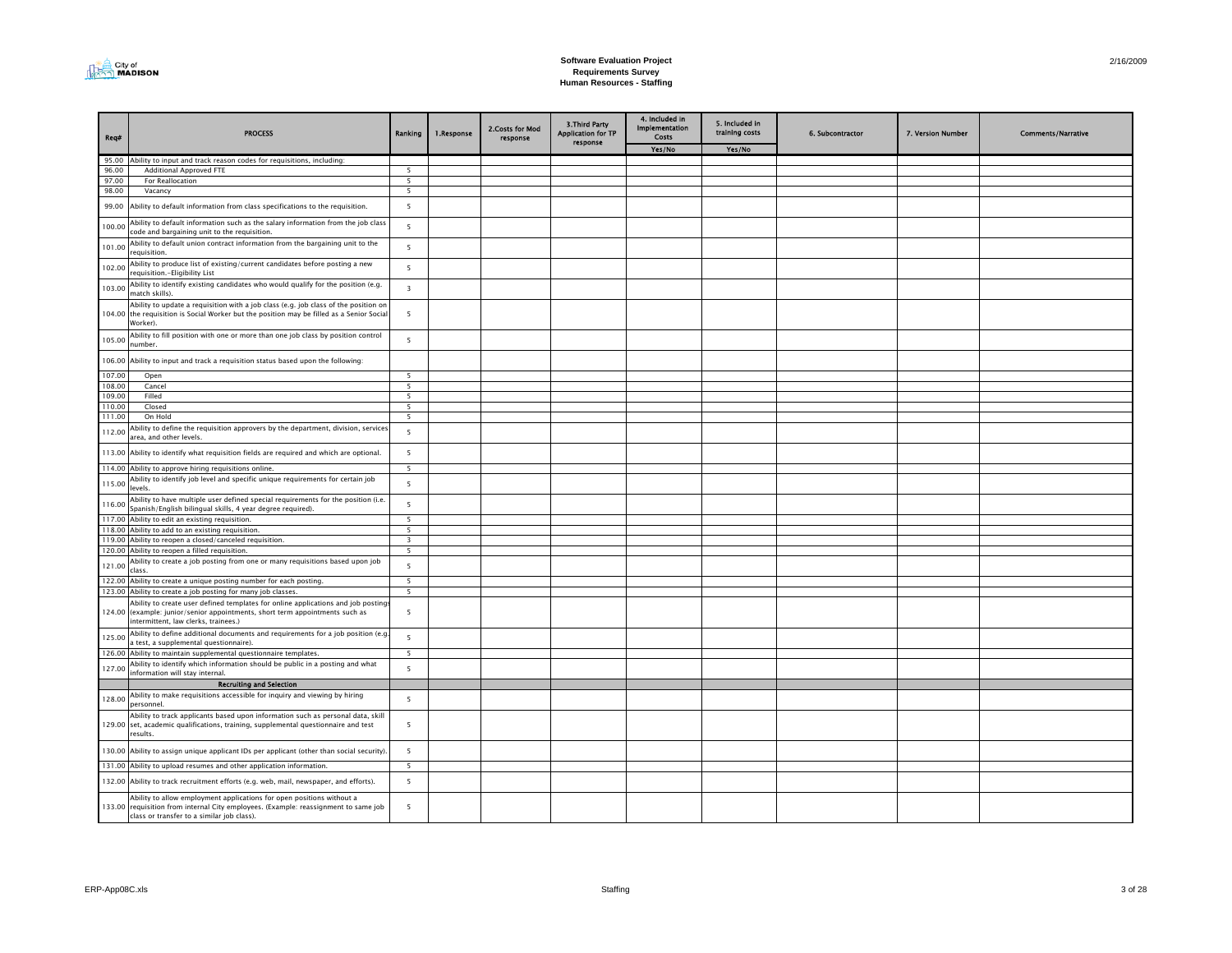

| Req#   | <b>PROCESS</b>                                                                                                                                                                                             | Ranking                  | 1.Response | 2.Costs for Mod<br>response | <b>3.Third Party</b><br><b>Application for TP</b><br>response | 4. Included in<br><b>Implementation</b><br>Costs | 5. Included in<br>training costs | 6. Subcontractor | 7. Version Number | <b>Comments/Narrative</b> |
|--------|------------------------------------------------------------------------------------------------------------------------------------------------------------------------------------------------------------|--------------------------|------------|-----------------------------|---------------------------------------------------------------|--------------------------------------------------|----------------------------------|------------------|-------------------|---------------------------|
|        |                                                                                                                                                                                                            |                          |            |                             |                                                               | Yes/No                                           | Yes/No                           |                  |                   |                           |
| 95.00  | Ability to input and track reason codes for requisitions, including:                                                                                                                                       |                          |            |                             |                                                               |                                                  |                                  |                  |                   |                           |
| 96.00  | <b>Additional Approved FTE</b>                                                                                                                                                                             | $\overline{\phantom{a}}$ |            |                             |                                                               |                                                  |                                  |                  |                   |                           |
| 97.00  | For Reallocation                                                                                                                                                                                           | 5                        |            |                             |                                                               |                                                  |                                  |                  |                   |                           |
| 98.00  | Vacancy                                                                                                                                                                                                    | 5                        |            |                             |                                                               |                                                  |                                  |                  |                   |                           |
| 99.00  | Ability to default information from class specifications to the requisition.                                                                                                                               | 5                        |            |                             |                                                               |                                                  |                                  |                  |                   |                           |
| 100.00 | Ability to default information such as the salary information from the job class<br>code and bargaining unit to the reguisition.                                                                           | 5                        |            |                             |                                                               |                                                  |                                  |                  |                   |                           |
| 101.00 | Ability to default union contract information from the bargaining unit to the<br>requisition.                                                                                                              | 5                        |            |                             |                                                               |                                                  |                                  |                  |                   |                           |
| 102.00 | Ability to produce list of existing/current candidates before posting a new<br>requisition.-Eligibility List                                                                                               | 5                        |            |                             |                                                               |                                                  |                                  |                  |                   |                           |
| 103.00 | Ability to identify existing candidates who would qualify for the position (e.g.<br>match skills).                                                                                                         | $\overline{\mathbf{3}}$  |            |                             |                                                               |                                                  |                                  |                  |                   |                           |
|        | Ability to update a requisition with a job class (e.g. job class of the position on<br>104.00 the requisition is Social Worker but the position may be filled as a Senior Socia<br>Worker).                | 5                        |            |                             |                                                               |                                                  |                                  |                  |                   |                           |
| 105.00 | Ability to fill position with one or more than one job class by position control<br>number.                                                                                                                | 5                        |            |                             |                                                               |                                                  |                                  |                  |                   |                           |
|        | 106.00 Ability to input and track a requisition status based upon the following:                                                                                                                           |                          |            |                             |                                                               |                                                  |                                  |                  |                   |                           |
| 107.00 | Open                                                                                                                                                                                                       | 5                        |            |                             |                                                               |                                                  |                                  |                  |                   |                           |
| 108.00 | Cancel                                                                                                                                                                                                     | 5                        |            |                             |                                                               |                                                  |                                  |                  |                   |                           |
| 109.00 | Filled                                                                                                                                                                                                     | $5^{\circ}$              |            |                             |                                                               |                                                  |                                  |                  |                   |                           |
| 110.00 | Closed                                                                                                                                                                                                     | 5                        |            |                             |                                                               |                                                  |                                  |                  |                   |                           |
| 111.00 | On Hold                                                                                                                                                                                                    | 5                        |            |                             |                                                               |                                                  |                                  |                  |                   |                           |
| 112.00 | Ability to define the requisition approvers by the department, division, services<br>area, and other levels.                                                                                               | 5                        |            |                             |                                                               |                                                  |                                  |                  |                   |                           |
|        | 113.00 Ability to identify what requisition fields are required and which are optional.                                                                                                                    | 5                        |            |                             |                                                               |                                                  |                                  |                  |                   |                           |
|        | 114.00 Ability to approve hiring requisitions online.                                                                                                                                                      | 5                        |            |                             |                                                               |                                                  |                                  |                  |                   |                           |
| 115.00 | Ability to identify job level and specific unique requirements for certain job<br>levels.                                                                                                                  | 5                        |            |                             |                                                               |                                                  |                                  |                  |                   |                           |
| 116.00 | Ability to have multiple user defined special requirements for the position (i.e.<br>Spanish/English bilingual skills, 4 year degree required).                                                            | 5                        |            |                             |                                                               |                                                  |                                  |                  |                   |                           |
|        | 117.00 Ability to edit an existing requisition.                                                                                                                                                            | 5                        |            |                             |                                                               |                                                  |                                  |                  |                   |                           |
|        | 118.00 Ability to add to an existing requisition.                                                                                                                                                          | 5                        |            |                             |                                                               |                                                  |                                  |                  |                   |                           |
|        | 119.00 Ability to reopen a closed/canceled requisition.                                                                                                                                                    | $\overline{\mathbf{3}}$  |            |                             |                                                               |                                                  |                                  |                  |                   |                           |
|        | 120.00 Ability to reopen a filled requisition.                                                                                                                                                             | 5                        |            |                             |                                                               |                                                  |                                  |                  |                   |                           |
| 121.00 | Ability to create a job posting from one or many requisitions based upon job<br>class.                                                                                                                     | 5                        |            |                             |                                                               |                                                  |                                  |                  |                   |                           |
|        | 122.00 Ability to create a unique posting number for each posting.                                                                                                                                         | 5                        |            |                             |                                                               |                                                  |                                  |                  |                   |                           |
|        | 123.00 Ability to create a job posting for many job classes.                                                                                                                                               | 5                        |            |                             |                                                               |                                                  |                                  |                  |                   |                           |
|        | Ability to create user defined templates for online applications and job posting<br>124.00 (example: junior/senior appointments, short term appointments such as<br>intermittent, law clerks, trainees.)   | 5                        |            |                             |                                                               |                                                  |                                  |                  |                   |                           |
| 125.00 | Ability to define additional documents and requirements for a job position (e.g<br>a test, a supplemental questionnaire).                                                                                  | 5                        |            |                             |                                                               |                                                  |                                  |                  |                   |                           |
|        | 126.00 Ability to maintain supplemental questionnaire templates.                                                                                                                                           | 5                        |            |                             |                                                               |                                                  |                                  |                  |                   |                           |
| 127.00 | Ability to identify which information should be public in a posting and what<br>information will stay internal.                                                                                            | 5                        |            |                             |                                                               |                                                  |                                  |                  |                   |                           |
|        | <b>Recruiting and Selection</b>                                                                                                                                                                            |                          |            |                             |                                                               |                                                  |                                  |                  |                   |                           |
| 128.00 | Ability to make requisitions accessible for inquiry and viewing by hiring<br>personnel.                                                                                                                    | 5                        |            |                             |                                                               |                                                  |                                  |                  |                   |                           |
|        | Ability to track applicants based upon information such as personal data, skill<br>129.00 set, academic qualifications, training, supplemental questionnaire and test<br>results.                          | 5                        |            |                             |                                                               |                                                  |                                  |                  |                   |                           |
|        | 130.00 Ability to assign unique applicant IDs per applicant (other than social security).                                                                                                                  | 5                        |            |                             |                                                               |                                                  |                                  |                  |                   |                           |
|        | 131.00 Ability to upload resumes and other application information.                                                                                                                                        | 5                        |            |                             |                                                               |                                                  |                                  |                  |                   |                           |
|        | 132.00 Ability to track recruitment efforts (e.g. web, mail, newspaper, and efforts).                                                                                                                      | 5                        |            |                             |                                                               |                                                  |                                  |                  |                   |                           |
|        | Ability to allow employment applications for open positions without a<br>133.00 requisition from internal City employees. (Example: reassignment to same job<br>class or transfer to a similar job class). | 5                        |            |                             |                                                               |                                                  |                                  |                  |                   |                           |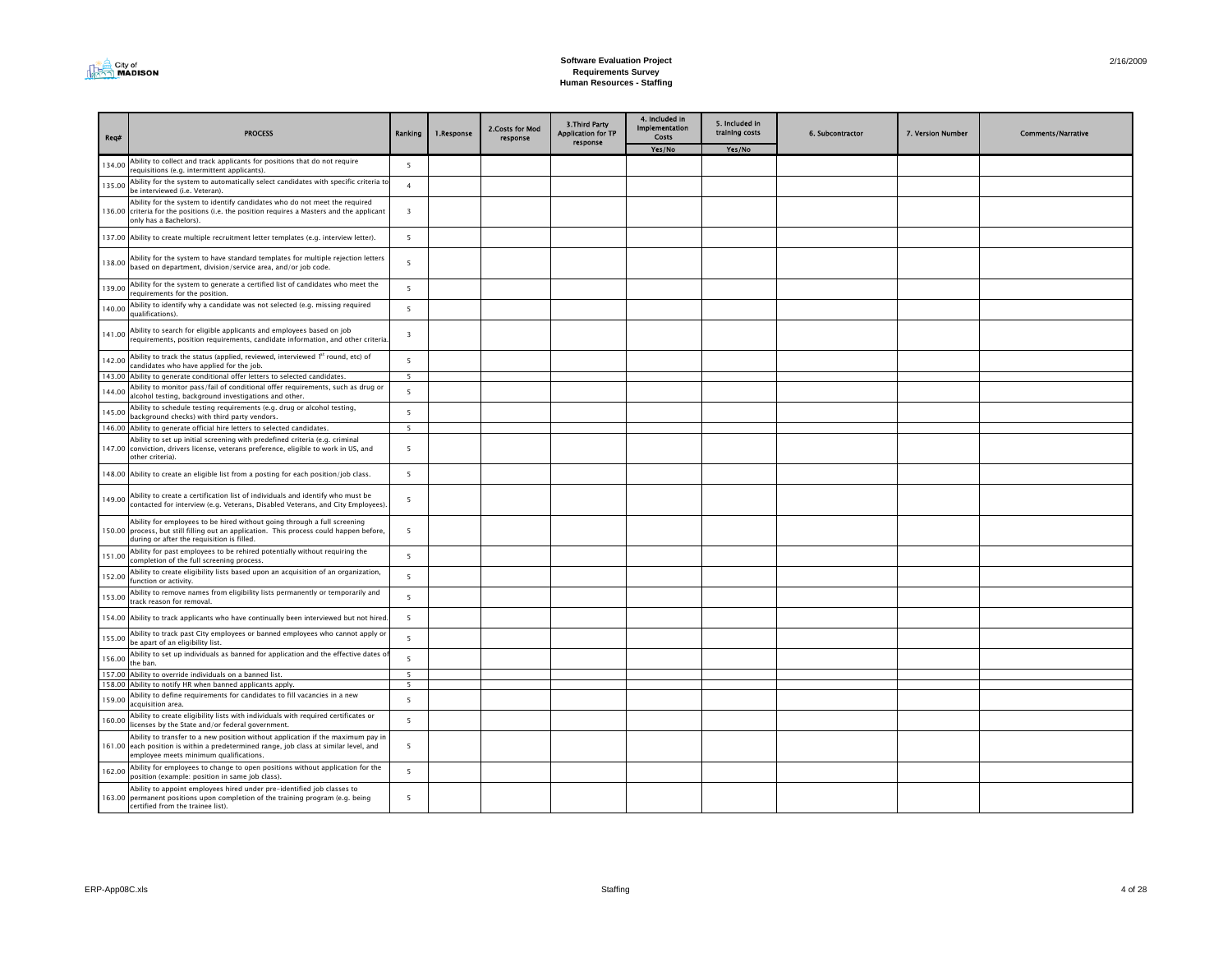

| Reg#   | <b>PROCESS</b>                                                                                                                                                                                                     | Ranking                 | 1.Response | 2. Costs for Mod<br>response | <b>3.Third Party</b><br><b>Application for TP</b><br>response | 4. Included in<br><b>Implementation</b><br>Costs | 5. Included in<br>training costs | 6. Subcontractor | 7. Version Number | <b>Comments/Narrative</b> |
|--------|--------------------------------------------------------------------------------------------------------------------------------------------------------------------------------------------------------------------|-------------------------|------------|------------------------------|---------------------------------------------------------------|--------------------------------------------------|----------------------------------|------------------|-------------------|---------------------------|
|        |                                                                                                                                                                                                                    |                         |            |                              |                                                               | Yes/No                                           | Yes/No                           |                  |                   |                           |
| 134.00 | Ability to collect and track applicants for positions that do not require<br>requisitions (e.g. intermittent applicants).                                                                                          | 5                       |            |                              |                                                               |                                                  |                                  |                  |                   |                           |
| 135.00 | Ability for the system to automatically select candidates with specific criteria to<br>be interviewed (i.e. Veteran).                                                                                              | $\overline{4}$          |            |                              |                                                               |                                                  |                                  |                  |                   |                           |
|        | Ability for the system to identify candidates who do not meet the required<br>136.00 criteria for the positions (i.e. the position requires a Masters and the applicant<br>only has a Bachelors).                  | 3                       |            |                              |                                                               |                                                  |                                  |                  |                   |                           |
|        | 137.00 Ability to create multiple recruitment letter templates (e.g. interview letter).                                                                                                                            | 5                       |            |                              |                                                               |                                                  |                                  |                  |                   |                           |
| 138.00 | Ability for the system to have standard templates for multiple rejection letters<br>based on department, division/service area, and/or job code.                                                                   | 5                       |            |                              |                                                               |                                                  |                                  |                  |                   |                           |
| 139.00 | Ability for the system to generate a certified list of candidates who meet the<br>requirements for the position.                                                                                                   | 5                       |            |                              |                                                               |                                                  |                                  |                  |                   |                           |
| 140.00 | Ability to identify why a candidate was not selected (e.g. missing required<br>qualifications).                                                                                                                    | $\overline{5}$          |            |                              |                                                               |                                                  |                                  |                  |                   |                           |
| 141.00 | Ability to search for eligible applicants and employees based on job<br>requirements, position requirements, candidate information, and other criteria                                                             | $\overline{\mathbf{3}}$ |            |                              |                                                               |                                                  |                                  |                  |                   |                           |
| 142.00 | Ability to track the status (applied, reviewed, interviewed 1st round, etc) of<br>candidates who have applied for the job.                                                                                         | 5                       |            |                              |                                                               |                                                  |                                  |                  |                   |                           |
|        | 143.00 Ability to generate conditional offer letters to selected candidates.                                                                                                                                       | $5^{\circ}$             |            |                              |                                                               |                                                  |                                  |                  |                   |                           |
| 144.00 | Ability to monitor pass/fail of conditional offer requirements, such as drug or<br>alcohol testing, background investigations and other.                                                                           | 5                       |            |                              |                                                               |                                                  |                                  |                  |                   |                           |
| 145.00 | Ability to schedule testing requirements (e.g. drug or alcohol testing,<br>background checks) with third party vendors.                                                                                            | 5                       |            |                              |                                                               |                                                  |                                  |                  |                   |                           |
|        | 146.00 Ability to generate official hire letters to selected candidates.                                                                                                                                           | 5                       |            |                              |                                                               |                                                  |                                  |                  |                   |                           |
|        | Ability to set up initial screening with predefined criteria (e.g. criminal<br>147.00 conviction, drivers license, veterans preference, eligible to work in US, and<br>other criteria).                            | 5                       |            |                              |                                                               |                                                  |                                  |                  |                   |                           |
|        | 148.00 Ability to create an eligible list from a posting for each position/job class.                                                                                                                              | 5                       |            |                              |                                                               |                                                  |                                  |                  |                   |                           |
| 149.00 | Ability to create a certification list of individuals and identify who must be<br>contacted for interview (e.g. Veterans, Disabled Veterans, and City Employees).                                                  | 5                       |            |                              |                                                               |                                                  |                                  |                  |                   |                           |
|        | Ability for employees to be hired without going through a full screening<br>150.00 process, but still filling out an application. This process could happen before,<br>during or after the requisition is filled.  | 5                       |            |                              |                                                               |                                                  |                                  |                  |                   |                           |
| 151.00 | Ability for past employees to be rehired potentially without requiring the<br>completion of the full screening process.                                                                                            | 5                       |            |                              |                                                               |                                                  |                                  |                  |                   |                           |
| 152.00 | Ability to create eligibility lists based upon an acquisition of an organization,<br>function or activity.                                                                                                         | $\overline{5}$          |            |                              |                                                               |                                                  |                                  |                  |                   |                           |
| 153.00 | Ability to remove names from eligibility lists permanently or temporarily and<br>track reason for removal.                                                                                                         | 5                       |            |                              |                                                               |                                                  |                                  |                  |                   |                           |
|        | 154.00 Ability to track applicants who have continually been interviewed but not hired                                                                                                                             | 5                       |            |                              |                                                               |                                                  |                                  |                  |                   |                           |
| 155.00 | Ability to track past City employees or banned employees who cannot apply or<br>be apart of an eligibility list.                                                                                                   | 5                       |            |                              |                                                               |                                                  |                                  |                  |                   |                           |
| 156.00 | Ability to set up individuals as banned for application and the effective dates o<br>the ban.                                                                                                                      | 5                       |            |                              |                                                               |                                                  |                                  |                  |                   |                           |
| 157.00 | Ability to override individuals on a banned list.<br>158.00 Ability to notify HR when banned applicants apply.                                                                                                     | 5<br>5                  |            |                              |                                                               |                                                  |                                  |                  |                   |                           |
| 159.00 | Ability to define requirements for candidates to fill vacancies in a new                                                                                                                                           | 5                       |            |                              |                                                               |                                                  |                                  |                  |                   |                           |
| 160.00 | acquisition area.<br>Ability to create eligibility lists with individuals with required certificates or<br>licenses by the State and/or federal government.                                                        | 5                       |            |                              |                                                               |                                                  |                                  |                  |                   |                           |
|        | Ability to transfer to a new position without application if the maximum pay in<br>161.00 each position is within a predetermined range, job class at similar level, and<br>employee meets minimum qualifications. | 5                       |            |                              |                                                               |                                                  |                                  |                  |                   |                           |
| 162.00 | Ability for employees to change to open positions without application for the<br>position (example: position in same job class).                                                                                   | 5                       |            |                              |                                                               |                                                  |                                  |                  |                   |                           |
|        | Ability to appoint employees hired under pre-identified job classes to<br>163.00 permanent positions upon completion of the training program (e.g. being<br>certified from the trainee list).                      | $5^{\circ}$             |            |                              |                                                               |                                                  |                                  |                  |                   |                           |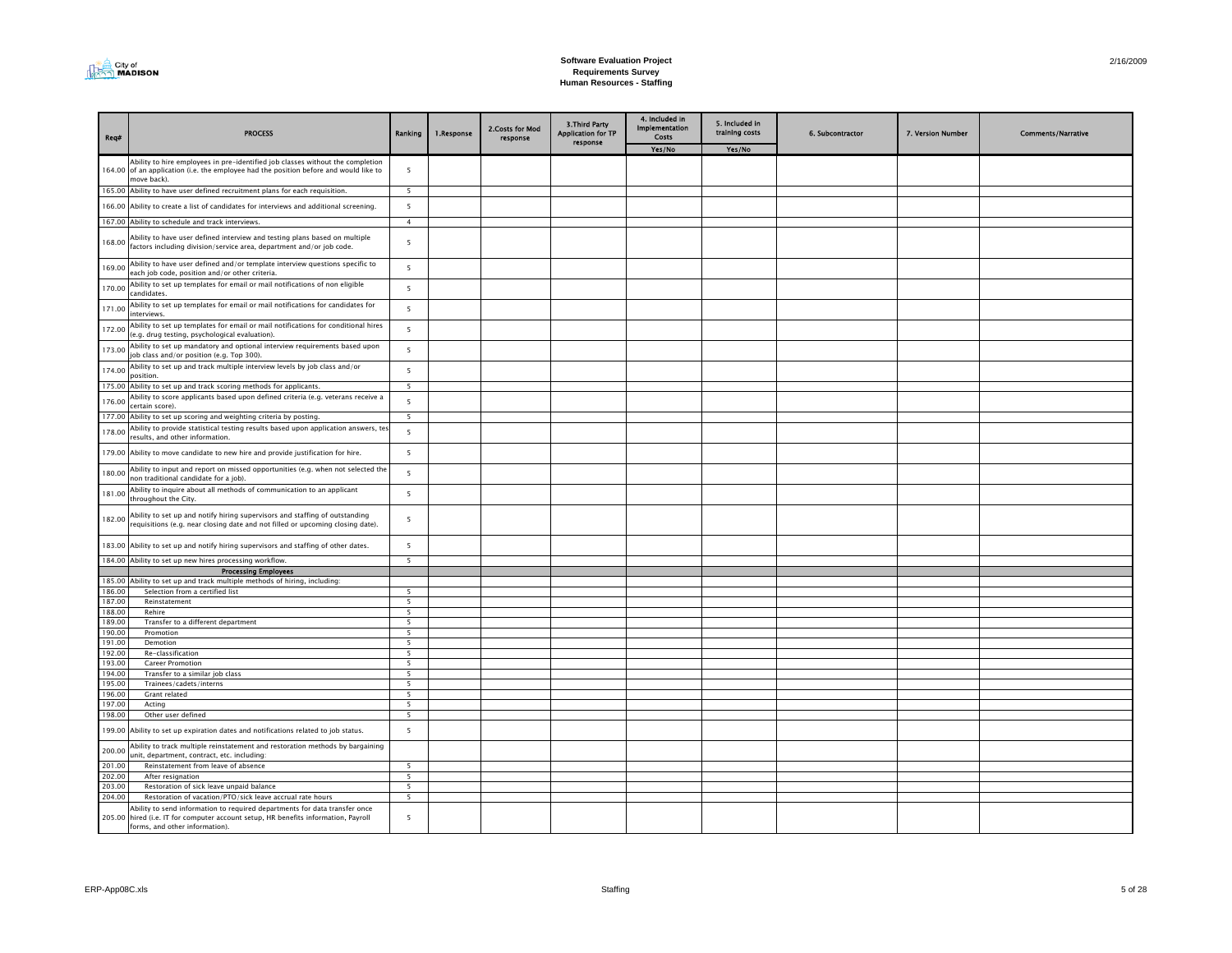

| <b>PROCESS</b>                                                                                                                                                                         | Ranking                                                                                                                                                                                                                                                                                                                                                                                                                                                                                                                                                                                                                                                                                                                                                                                                                                                                                                                           | 1.Response                                                                                | 2.Costs for Mod<br>response | <b>3.Third Party</b><br><b>Application for TP</b> | 4. Included in<br>Implementation<br>Costs | 5. Included in<br>training costs | 6. Subcontractor | 7. Version Number | <b>Comments/Narrative</b> |
|----------------------------------------------------------------------------------------------------------------------------------------------------------------------------------------|-----------------------------------------------------------------------------------------------------------------------------------------------------------------------------------------------------------------------------------------------------------------------------------------------------------------------------------------------------------------------------------------------------------------------------------------------------------------------------------------------------------------------------------------------------------------------------------------------------------------------------------------------------------------------------------------------------------------------------------------------------------------------------------------------------------------------------------------------------------------------------------------------------------------------------------|-------------------------------------------------------------------------------------------|-----------------------------|---------------------------------------------------|-------------------------------------------|----------------------------------|------------------|-------------------|---------------------------|
|                                                                                                                                                                                        |                                                                                                                                                                                                                                                                                                                                                                                                                                                                                                                                                                                                                                                                                                                                                                                                                                                                                                                                   |                                                                                           |                             |                                                   | Yes/No                                    | Yes/No                           |                  |                   |                           |
| Ability to hire employees in pre-identified job classes without the completion<br>164.00 of an application (i.e. the employee had the position before and would like to<br>move back). | 5                                                                                                                                                                                                                                                                                                                                                                                                                                                                                                                                                                                                                                                                                                                                                                                                                                                                                                                                 |                                                                                           |                             |                                                   |                                           |                                  |                  |                   |                           |
|                                                                                                                                                                                        | 5                                                                                                                                                                                                                                                                                                                                                                                                                                                                                                                                                                                                                                                                                                                                                                                                                                                                                                                                 |                                                                                           |                             |                                                   |                                           |                                  |                  |                   |                           |
| 166.00<br>Ability to create a list of candidates for interviews and additional screening.                                                                                              | 5                                                                                                                                                                                                                                                                                                                                                                                                                                                                                                                                                                                                                                                                                                                                                                                                                                                                                                                                 |                                                                                           |                             |                                                   |                                           |                                  |                  |                   |                           |
| 167.00 Ability to schedule and track interviews.                                                                                                                                       | $\overline{4}$                                                                                                                                                                                                                                                                                                                                                                                                                                                                                                                                                                                                                                                                                                                                                                                                                                                                                                                    |                                                                                           |                             |                                                   |                                           |                                  |                  |                   |                           |
| Ability to have user defined interview and testing plans based on multiple<br>factors including division/service area, department and/or job code.                                     | 5                                                                                                                                                                                                                                                                                                                                                                                                                                                                                                                                                                                                                                                                                                                                                                                                                                                                                                                                 |                                                                                           |                             |                                                   |                                           |                                  |                  |                   |                           |
| Ability to have user defined and/or template interview questions specific to<br>169.00<br>each job code, position and/or other criteria.                                               | 5                                                                                                                                                                                                                                                                                                                                                                                                                                                                                                                                                                                                                                                                                                                                                                                                                                                                                                                                 |                                                                                           |                             |                                                   |                                           |                                  |                  |                   |                           |
| Ability to set up templates for email or mail notifications of non eligible<br>candidates.                                                                                             | 5                                                                                                                                                                                                                                                                                                                                                                                                                                                                                                                                                                                                                                                                                                                                                                                                                                                                                                                                 |                                                                                           |                             |                                                   |                                           |                                  |                  |                   |                           |
| Ability to set up templates for email or mail notifications for candidates for<br>171.00<br>interviews.                                                                                | 5                                                                                                                                                                                                                                                                                                                                                                                                                                                                                                                                                                                                                                                                                                                                                                                                                                                                                                                                 |                                                                                           |                             |                                                   |                                           |                                  |                  |                   |                           |
| Ability to set up templates for email or mail notifications for conditional hires<br>(e.g. drug testing, psychological evaluation).                                                    | 5                                                                                                                                                                                                                                                                                                                                                                                                                                                                                                                                                                                                                                                                                                                                                                                                                                                                                                                                 |                                                                                           |                             |                                                   |                                           |                                  |                  |                   |                           |
| Ability to set up mandatory and optional interview requirements based upon<br>job class and/or position (e.g. Top 300).                                                                | 5                                                                                                                                                                                                                                                                                                                                                                                                                                                                                                                                                                                                                                                                                                                                                                                                                                                                                                                                 |                                                                                           |                             |                                                   |                                           |                                  |                  |                   |                           |
| Ability to set up and track multiple interview levels by job class and/or<br>174.00<br>nosition.                                                                                       | 5                                                                                                                                                                                                                                                                                                                                                                                                                                                                                                                                                                                                                                                                                                                                                                                                                                                                                                                                 |                                                                                           |                             |                                                   |                                           |                                  |                  |                   |                           |
| 175.00<br>Ability to set up and track scoring methods for applicants.                                                                                                                  |                                                                                                                                                                                                                                                                                                                                                                                                                                                                                                                                                                                                                                                                                                                                                                                                                                                                                                                                   |                                                                                           |                             |                                                   |                                           |                                  |                  |                   |                           |
| certain score).                                                                                                                                                                        | 5                                                                                                                                                                                                                                                                                                                                                                                                                                                                                                                                                                                                                                                                                                                                                                                                                                                                                                                                 |                                                                                           |                             |                                                   |                                           |                                  |                  |                   |                           |
| 177.00 Ability to set up scoring and weighting criteria by posting.                                                                                                                    | - 5                                                                                                                                                                                                                                                                                                                                                                                                                                                                                                                                                                                                                                                                                                                                                                                                                                                                                                                               |                                                                                           |                             |                                                   |                                           |                                  |                  |                   |                           |
| results, and other information.                                                                                                                                                        | 5                                                                                                                                                                                                                                                                                                                                                                                                                                                                                                                                                                                                                                                                                                                                                                                                                                                                                                                                 |                                                                                           |                             |                                                   |                                           |                                  |                  |                   |                           |
| 179.00<br>Ability to move candidate to new hire and provide justification for hire.                                                                                                    | 5                                                                                                                                                                                                                                                                                                                                                                                                                                                                                                                                                                                                                                                                                                                                                                                                                                                                                                                                 |                                                                                           |                             |                                                   |                                           |                                  |                  |                   |                           |
| non traditional candidate for a job).                                                                                                                                                  | 5                                                                                                                                                                                                                                                                                                                                                                                                                                                                                                                                                                                                                                                                                                                                                                                                                                                                                                                                 |                                                                                           |                             |                                                   |                                           |                                  |                  |                   |                           |
| throughout the City.                                                                                                                                                                   | 5                                                                                                                                                                                                                                                                                                                                                                                                                                                                                                                                                                                                                                                                                                                                                                                                                                                                                                                                 |                                                                                           |                             |                                                   |                                           |                                  |                  |                   |                           |
| Ability to set up and notify hiring supervisors and staffing of outstanding<br>requisitions (e.g. near closing date and not filled or upcoming closing date).                          | 5                                                                                                                                                                                                                                                                                                                                                                                                                                                                                                                                                                                                                                                                                                                                                                                                                                                                                                                                 |                                                                                           |                             |                                                   |                                           |                                  |                  |                   |                           |
| 183.00 Ability to set up and notify hiring supervisors and staffing of other dates.                                                                                                    | 5                                                                                                                                                                                                                                                                                                                                                                                                                                                                                                                                                                                                                                                                                                                                                                                                                                                                                                                                 |                                                                                           |                             |                                                   |                                           |                                  |                  |                   |                           |
|                                                                                                                                                                                        |                                                                                                                                                                                                                                                                                                                                                                                                                                                                                                                                                                                                                                                                                                                                                                                                                                                                                                                                   |                                                                                           |                             |                                                   |                                           |                                  |                  |                   |                           |
| 185.00<br>Ability to set up and track multiple methods of hiring, including:                                                                                                           |                                                                                                                                                                                                                                                                                                                                                                                                                                                                                                                                                                                                                                                                                                                                                                                                                                                                                                                                   |                                                                                           |                             |                                                   |                                           |                                  |                  |                   |                           |
| 186.00<br>Selection from a certified list                                                                                                                                              | 5                                                                                                                                                                                                                                                                                                                                                                                                                                                                                                                                                                                                                                                                                                                                                                                                                                                                                                                                 |                                                                                           |                             |                                                   |                                           |                                  |                  |                   |                           |
|                                                                                                                                                                                        |                                                                                                                                                                                                                                                                                                                                                                                                                                                                                                                                                                                                                                                                                                                                                                                                                                                                                                                                   |                                                                                           |                             |                                                   |                                           |                                  |                  |                   |                           |
| 189.00                                                                                                                                                                                 | 5                                                                                                                                                                                                                                                                                                                                                                                                                                                                                                                                                                                                                                                                                                                                                                                                                                                                                                                                 |                                                                                           |                             |                                                   |                                           |                                  |                  |                   |                           |
| 190.00<br>Promotion                                                                                                                                                                    | $\overline{5}$                                                                                                                                                                                                                                                                                                                                                                                                                                                                                                                                                                                                                                                                                                                                                                                                                                                                                                                    |                                                                                           |                             |                                                   |                                           |                                  |                  |                   |                           |
| 191.00<br>Demotion                                                                                                                                                                     |                                                                                                                                                                                                                                                                                                                                                                                                                                                                                                                                                                                                                                                                                                                                                                                                                                                                                                                                   |                                                                                           |                             |                                                   |                                           |                                  |                  |                   |                           |
|                                                                                                                                                                                        |                                                                                                                                                                                                                                                                                                                                                                                                                                                                                                                                                                                                                                                                                                                                                                                                                                                                                                                                   |                                                                                           |                             |                                                   |                                           |                                  |                  |                   |                           |
| 194.00                                                                                                                                                                                 | 5                                                                                                                                                                                                                                                                                                                                                                                                                                                                                                                                                                                                                                                                                                                                                                                                                                                                                                                                 |                                                                                           |                             |                                                   |                                           |                                  |                  |                   |                           |
| 195.00<br>Trainees/cadets/interns                                                                                                                                                      | 5                                                                                                                                                                                                                                                                                                                                                                                                                                                                                                                                                                                                                                                                                                                                                                                                                                                                                                                                 |                                                                                           |                             |                                                   |                                           |                                  |                  |                   |                           |
| 196.00<br>Grant related                                                                                                                                                                | 5                                                                                                                                                                                                                                                                                                                                                                                                                                                                                                                                                                                                                                                                                                                                                                                                                                                                                                                                 |                                                                                           |                             |                                                   |                                           |                                  |                  |                   |                           |
|                                                                                                                                                                                        |                                                                                                                                                                                                                                                                                                                                                                                                                                                                                                                                                                                                                                                                                                                                                                                                                                                                                                                                   |                                                                                           |                             |                                                   |                                           |                                  |                  |                   |                           |
| 199.00<br>Ability to set up expiration dates and notifications related to job status.                                                                                                  | 5                                                                                                                                                                                                                                                                                                                                                                                                                                                                                                                                                                                                                                                                                                                                                                                                                                                                                                                                 |                                                                                           |                             |                                                   |                                           |                                  |                  |                   |                           |
| Ability to track multiple reinstatement and restoration methods by bargaining                                                                                                          |                                                                                                                                                                                                                                                                                                                                                                                                                                                                                                                                                                                                                                                                                                                                                                                                                                                                                                                                   |                                                                                           |                             |                                                   |                                           |                                  |                  |                   |                           |
| 201.00<br>Reinstatement from leave of absence                                                                                                                                          | 5                                                                                                                                                                                                                                                                                                                                                                                                                                                                                                                                                                                                                                                                                                                                                                                                                                                                                                                                 |                                                                                           |                             |                                                   |                                           |                                  |                  |                   |                           |
| 202.00<br>After resignation                                                                                                                                                            | 5                                                                                                                                                                                                                                                                                                                                                                                                                                                                                                                                                                                                                                                                                                                                                                                                                                                                                                                                 |                                                                                           |                             |                                                   |                                           |                                  |                  |                   |                           |
| 203.00<br>Restoration of sick leave unpaid balance                                                                                                                                     | 5                                                                                                                                                                                                                                                                                                                                                                                                                                                                                                                                                                                                                                                                                                                                                                                                                                                                                                                                 |                                                                                           |                             |                                                   |                                           |                                  |                  |                   |                           |
| 204.00                                                                                                                                                                                 |                                                                                                                                                                                                                                                                                                                                                                                                                                                                                                                                                                                                                                                                                                                                                                                                                                                                                                                                   |                                                                                           |                             |                                                   |                                           |                                  |                  |                   |                           |
| 205.00 hired (i.e. IT for computer account setup, HR benefits information, Payroll<br>forms, and other information).                                                                   | $\overline{5}$                                                                                                                                                                                                                                                                                                                                                                                                                                                                                                                                                                                                                                                                                                                                                                                                                                                                                                                    |                                                                                           |                             |                                                   |                                           |                                  |                  |                   |                           |
| 192.00<br>193.00                                                                                                                                                                       | 165.00 Ability to have user defined recruitment plans for each requisition.<br>Ability to score applicants based upon defined criteria (e.g. veterans receive a<br>Ability to provide statistical testing results based upon application answers, te:<br>Ability to input and report on missed opportunities (e.g. when not selected the<br>Ability to inquire about all methods of communication to an applicant<br>184.00 Ability to set up new hires processing workflow.<br><b>Processing Employees</b><br>187.00<br>Reinstatement<br>188.00<br>Rehire<br>Transfer to a different department<br>Re-classification<br><b>Career Promotion</b><br>Transfer to a similar job class<br>197.00<br>Acting<br>198.00<br>Other user defined<br>unit, department, contract, etc. including:<br>Restoration of vacation/PTO/sick leave accrual rate hours<br>Ability to send information to required departments for data transfer once | $5^{\circ}$<br>5<br>5<br>5<br>$5^{\circ}$<br>5<br>5<br>5<br>$\overline{\phantom{a}}$<br>5 |                             |                                                   | response                                  |                                  |                  |                   |                           |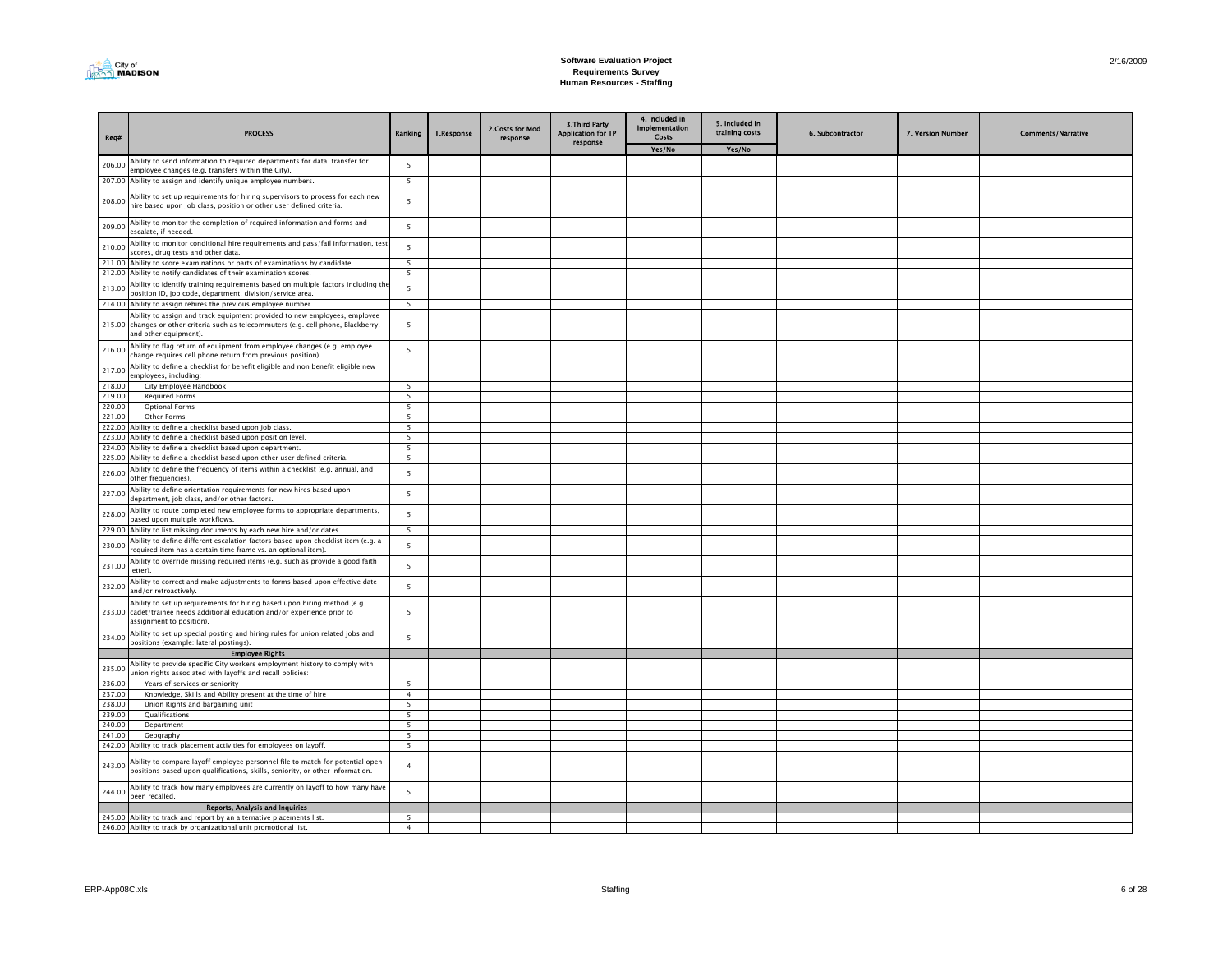

| Req#             | <b>PROCESS</b>                                                                                                                                                                             | Ranking                  | 1.Response | 2. Costs for Mod<br>response | 3. Third Party<br><b>Application for TP</b><br>response | 4. Included in<br><b>Implementation</b><br>Costs | 5. Included in<br>training costs | 6. Subcontractor | 7. Version Number | <b>Comments/Narrative</b> |
|------------------|--------------------------------------------------------------------------------------------------------------------------------------------------------------------------------------------|--------------------------|------------|------------------------------|---------------------------------------------------------|--------------------------------------------------|----------------------------------|------------------|-------------------|---------------------------|
|                  |                                                                                                                                                                                            |                          |            |                              |                                                         | Yes/No                                           | Yes/No                           |                  |                   |                           |
| 206.00           | Ability to send information to required departments for data .transfer for                                                                                                                 | 5                        |            |                              |                                                         |                                                  |                                  |                  |                   |                           |
|                  | employee changes (e.g. transfers within the City).                                                                                                                                         | 5                        |            |                              |                                                         |                                                  |                                  |                  |                   |                           |
|                  | 207.00 Ability to assign and identify unique employee numbers.                                                                                                                             |                          |            |                              |                                                         |                                                  |                                  |                  |                   |                           |
| 208.00           | Ability to set up requirements for hiring supervisors to process for each new<br>hire based upon job class, position or other user defined criteria.                                       | $\overline{5}$           |            |                              |                                                         |                                                  |                                  |                  |                   |                           |
| 209.00           | Ability to monitor the completion of required information and forms and<br>escalate, if needed.                                                                                            | 5                        |            |                              |                                                         |                                                  |                                  |                  |                   |                           |
| 210.00           | Ability to monitor conditional hire requirements and pass/fail information, test<br>scores, drug tests and other data.                                                                     | 5                        |            |                              |                                                         |                                                  |                                  |                  |                   |                           |
|                  | 211.00 Ability to score examinations or parts of examinations by candidate.                                                                                                                | $\overline{\phantom{0}}$ |            |                              |                                                         |                                                  |                                  |                  |                   |                           |
|                  | 212.00 Ability to notify candidates of their examination scores.                                                                                                                           | $\overline{5}$           |            |                              |                                                         |                                                  |                                  |                  |                   |                           |
| 213.00           | Ability to identify training requirements based on multiple factors including the<br>position ID, job code, department, division/service area.                                             | 5                        |            |                              |                                                         |                                                  |                                  |                  |                   |                           |
|                  | 214.00 Ability to assign rehires the previous employee number.                                                                                                                             | 5                        |            |                              |                                                         |                                                  |                                  |                  |                   |                           |
|                  | Ability to assign and track equipment provided to new employees, employee<br>215.00 changes or other criteria such as telecommuters (e.g. cell phone, Blackberry,<br>and other equipment). | 5                        |            |                              |                                                         |                                                  |                                  |                  |                   |                           |
| 216.00           | Ability to flag return of equipment from employee changes (e.g. employee<br>change requires cell phone return from previous position).                                                     | 5                        |            |                              |                                                         |                                                  |                                  |                  |                   |                           |
| 217.00           | Ability to define a checklist for benefit eligible and non benefit eligible new<br>employees, including:                                                                                   |                          |            |                              |                                                         |                                                  |                                  |                  |                   |                           |
| 218.00           | City Employee Handbook                                                                                                                                                                     | 5                        |            |                              |                                                         |                                                  |                                  |                  |                   |                           |
| 219.00           | <b>Required Forms</b>                                                                                                                                                                      | 5                        |            |                              |                                                         |                                                  |                                  |                  |                   |                           |
| 220.00           | <b>Optional Forms</b>                                                                                                                                                                      | $5\overline{5}$          |            |                              |                                                         |                                                  |                                  |                  |                   |                           |
| 221.00           | Other Forms                                                                                                                                                                                | 5<br>$\overline{5}$      |            |                              |                                                         |                                                  |                                  |                  |                   |                           |
| 222.00<br>223.00 | Ability to define a checklist based upon job class.<br>Ability to define a checklist based upon position level.                                                                            | $\overline{5}$           |            |                              |                                                         |                                                  |                                  |                  |                   |                           |
| 224.00           | Ability to define a checklist based upon department.                                                                                                                                       | 5                        |            |                              |                                                         |                                                  |                                  |                  |                   |                           |
|                  | 225.00 Ability to define a checklist based upon other user defined criteria.                                                                                                               | 5                        |            |                              |                                                         |                                                  |                                  |                  |                   |                           |
| 226.00           | Ability to define the frequency of items within a checklist (e.g. annual, and<br>other frequencies).                                                                                       | $\overline{5}$           |            |                              |                                                         |                                                  |                                  |                  |                   |                           |
| 227.00           | Ability to define orientation requirements for new hires based upon<br>department, job class, and/or other factors.                                                                        | 5                        |            |                              |                                                         |                                                  |                                  |                  |                   |                           |
| 228.00           | Ability to route completed new employee forms to appropriate departments,<br>based upon multiple workflows.                                                                                | 5                        |            |                              |                                                         |                                                  |                                  |                  |                   |                           |
|                  | 229.00 Ability to list missing documents by each new hire and/or dates.                                                                                                                    | 5                        |            |                              |                                                         |                                                  |                                  |                  |                   |                           |
| 230.00           | Ability to define different escalation factors based upon checklist item (e.g. a<br>required item has a certain time frame vs. an optional item).                                          | 5                        |            |                              |                                                         |                                                  |                                  |                  |                   |                           |
| 231.00           | Ability to override missing required items (e.g. such as provide a good faith<br>letter).                                                                                                  | 5                        |            |                              |                                                         |                                                  |                                  |                  |                   |                           |
| 232.00           | Ability to correct and make adjustments to forms based upon effective date<br>and/or retroactively.                                                                                        | 5                        |            |                              |                                                         |                                                  |                                  |                  |                   |                           |
|                  | Ability to set up requirements for hiring based upon hiring method (e.g.<br>233.00 cadet/trainee needs additional education and/or experience prior to<br>assignment to position).         | 5                        |            |                              |                                                         |                                                  |                                  |                  |                   |                           |
| 234.00           | Ability to set up special posting and hiring rules for union related jobs and<br>positions (example: lateral postings).                                                                    | 5                        |            |                              |                                                         |                                                  |                                  |                  |                   |                           |
|                  | <b>Employee Rights</b>                                                                                                                                                                     |                          |            |                              |                                                         |                                                  |                                  |                  |                   |                           |
| 235.00           | Ability to provide specific City workers employment history to comply with<br>union rights associated with layoffs and recall policies:                                                    |                          |            |                              |                                                         |                                                  |                                  |                  |                   |                           |
| 236.00           | Years of services or seniority                                                                                                                                                             | 5                        |            |                              |                                                         |                                                  |                                  |                  |                   |                           |
| 237.00           | Knowledge, Skills and Ability present at the time of hire                                                                                                                                  | $\overline{4}$           |            |                              |                                                         |                                                  |                                  |                  |                   |                           |
| 238.00<br>239.00 | Union Rights and bargaining unit<br>Qualifications                                                                                                                                         | 5<br>5 <sup>5</sup>      |            |                              |                                                         |                                                  |                                  |                  |                   |                           |
| 240.00           | Department                                                                                                                                                                                 | 5                        |            |                              |                                                         |                                                  |                                  |                  |                   |                           |
| 241.00           | Geography                                                                                                                                                                                  | $\overline{5}$           |            |                              |                                                         |                                                  |                                  |                  |                   |                           |
|                  | 242.00 Ability to track placement activities for employees on layoff.                                                                                                                      | 5                        |            |                              |                                                         |                                                  |                                  |                  |                   |                           |
| 243.00           | Ability to compare layoff employee personnel file to match for potential open<br>positions based upon qualifications, skills, seniority, or other information.                             | $\overline{4}$           |            |                              |                                                         |                                                  |                                  |                  |                   |                           |
| 244.00           | Ability to track how many employees are currently on layoff to how many have<br>been recalled.                                                                                             | 5                        |            |                              |                                                         |                                                  |                                  |                  |                   |                           |
|                  | <b>Reports, Analysis and Inquiries</b>                                                                                                                                                     |                          |            |                              |                                                         |                                                  |                                  |                  |                   |                           |
|                  | 245.00 Ability to track and report by an alternative placements list.                                                                                                                      | 5                        |            |                              |                                                         |                                                  |                                  |                  |                   |                           |
|                  | 246.00 Ability to track by organizational unit promotional list.                                                                                                                           | $\overline{4}$           |            |                              |                                                         |                                                  |                                  |                  |                   |                           |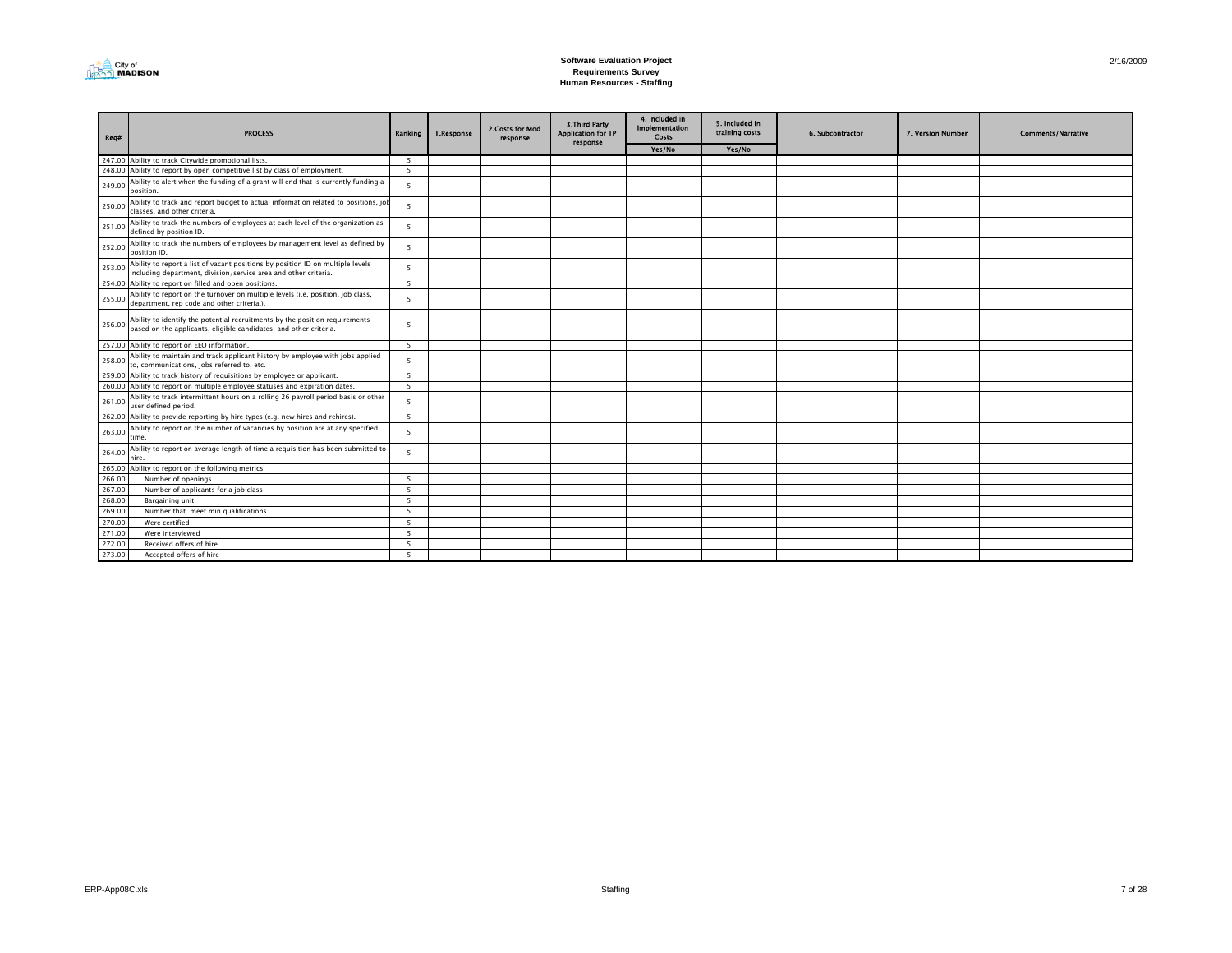

| Req#   | <b>PROCESS</b>                                                                                                                                    | Ranking        | 1.Response | 2. Costs for Mod<br>response | 3. Third Party<br><b>Application for TP</b><br>response | 4. Included in<br><b>Implementation</b><br>Costs | 5. Included in<br>training costs | 6. Subcontractor | 7. Version Number | <b>Comments/Narrative</b> |
|--------|---------------------------------------------------------------------------------------------------------------------------------------------------|----------------|------------|------------------------------|---------------------------------------------------------|--------------------------------------------------|----------------------------------|------------------|-------------------|---------------------------|
|        |                                                                                                                                                   |                |            |                              |                                                         | Yes/No                                           | Yes/No                           |                  |                   |                           |
|        | 247.00 Ability to track Citywide promotional lists.                                                                                               | 5              |            |                              |                                                         |                                                  |                                  |                  |                   |                           |
|        | 248.00 Ability to report by open competitive list by class of employment.                                                                         | 5              |            |                              |                                                         |                                                  |                                  |                  |                   |                           |
| 249.00 | Ability to alert when the funding of a grant will end that is currently funding a<br>position.                                                    | 5              |            |                              |                                                         |                                                  |                                  |                  |                   |                           |
| 250.00 | Ability to track and report budget to actual information related to positions, jo<br>classes, and other criteria.                                 | $\overline{5}$ |            |                              |                                                         |                                                  |                                  |                  |                   |                           |
| 251.00 | Ability to track the numbers of employees at each level of the organization as<br>defined by position ID.                                         | 5              |            |                              |                                                         |                                                  |                                  |                  |                   |                           |
| 252.00 | Ability to track the numbers of employees by management level as defined by<br>position ID.                                                       | $5^{\circ}$    |            |                              |                                                         |                                                  |                                  |                  |                   |                           |
| 253.00 | Ability to report a list of vacant positions by position ID on multiple levels<br>including department, division/service area and other criteria. | 5              |            |                              |                                                         |                                                  |                                  |                  |                   |                           |
|        | 254.00 Ability to report on filled and open positions.                                                                                            | 5              |            |                              |                                                         |                                                  |                                  |                  |                   |                           |
| 255.00 | Ability to report on the turnover on multiple levels (i.e. position, job class,<br>department, rep code and other criteria.).                     | 5              |            |                              |                                                         |                                                  |                                  |                  |                   |                           |
| 256.00 | Ability to identify the potential recruitments by the position requirements<br>based on the applicants, eligible candidates, and other criteria.  | 5              |            |                              |                                                         |                                                  |                                  |                  |                   |                           |
|        | 257.00 Ability to report on EEO information.                                                                                                      | $\overline{5}$ |            |                              |                                                         |                                                  |                                  |                  |                   |                           |
| 258.00 | Ability to maintain and track applicant history by employee with jobs applied<br>to, communications, jobs referred to, etc.                       | 5              |            |                              |                                                         |                                                  |                                  |                  |                   |                           |
|        | 259.00 Ability to track history of requisitions by employee or applicant.                                                                         | -5             |            |                              |                                                         |                                                  |                                  |                  |                   |                           |
|        | 260.00 Ability to report on multiple employee statuses and expiration dates.                                                                      | 5              |            |                              |                                                         |                                                  |                                  |                  |                   |                           |
| 261.00 | Ability to track intermittent hours on a rolling 26 payroll period basis or other<br>user defined period.                                         | -5             |            |                              |                                                         |                                                  |                                  |                  |                   |                           |
|        | 262.00 Ability to provide reporting by hire types (e.g. new hires and rehires).                                                                   | 5              |            |                              |                                                         |                                                  |                                  |                  |                   |                           |
| 263.00 | Ability to report on the number of vacancies by position are at any specified<br>time.                                                            | 5              |            |                              |                                                         |                                                  |                                  |                  |                   |                           |
| 264.00 | Ability to report on average length of time a requisition has been submitted to<br>hire.                                                          | -5             |            |                              |                                                         |                                                  |                                  |                  |                   |                           |
|        | 265.00 Ability to report on the following metrics:                                                                                                |                |            |                              |                                                         |                                                  |                                  |                  |                   |                           |
| 266.00 | Number of openings                                                                                                                                | $\overline{5}$ |            |                              |                                                         |                                                  |                                  |                  |                   |                           |
| 267.00 | Number of applicants for a job class                                                                                                              | 5              |            |                              |                                                         |                                                  |                                  |                  |                   |                           |
| 268.00 | Bargaining unit                                                                                                                                   | 5              |            |                              |                                                         |                                                  |                                  |                  |                   |                           |
| 269.00 | Number that meet min qualifications                                                                                                               | 5              |            |                              |                                                         |                                                  |                                  |                  |                   |                           |
| 270.00 | Were certified                                                                                                                                    | 5 <sup>5</sup> |            |                              |                                                         |                                                  |                                  |                  |                   |                           |
| 271.00 | Were interviewed                                                                                                                                  | 5              |            |                              |                                                         |                                                  |                                  |                  |                   |                           |
| 272.00 | Received offers of hire                                                                                                                           | 5              |            |                              |                                                         |                                                  |                                  |                  |                   |                           |
| 273.00 | Accepted offers of hire                                                                                                                           | -5             |            |                              |                                                         |                                                  |                                  |                  |                   |                           |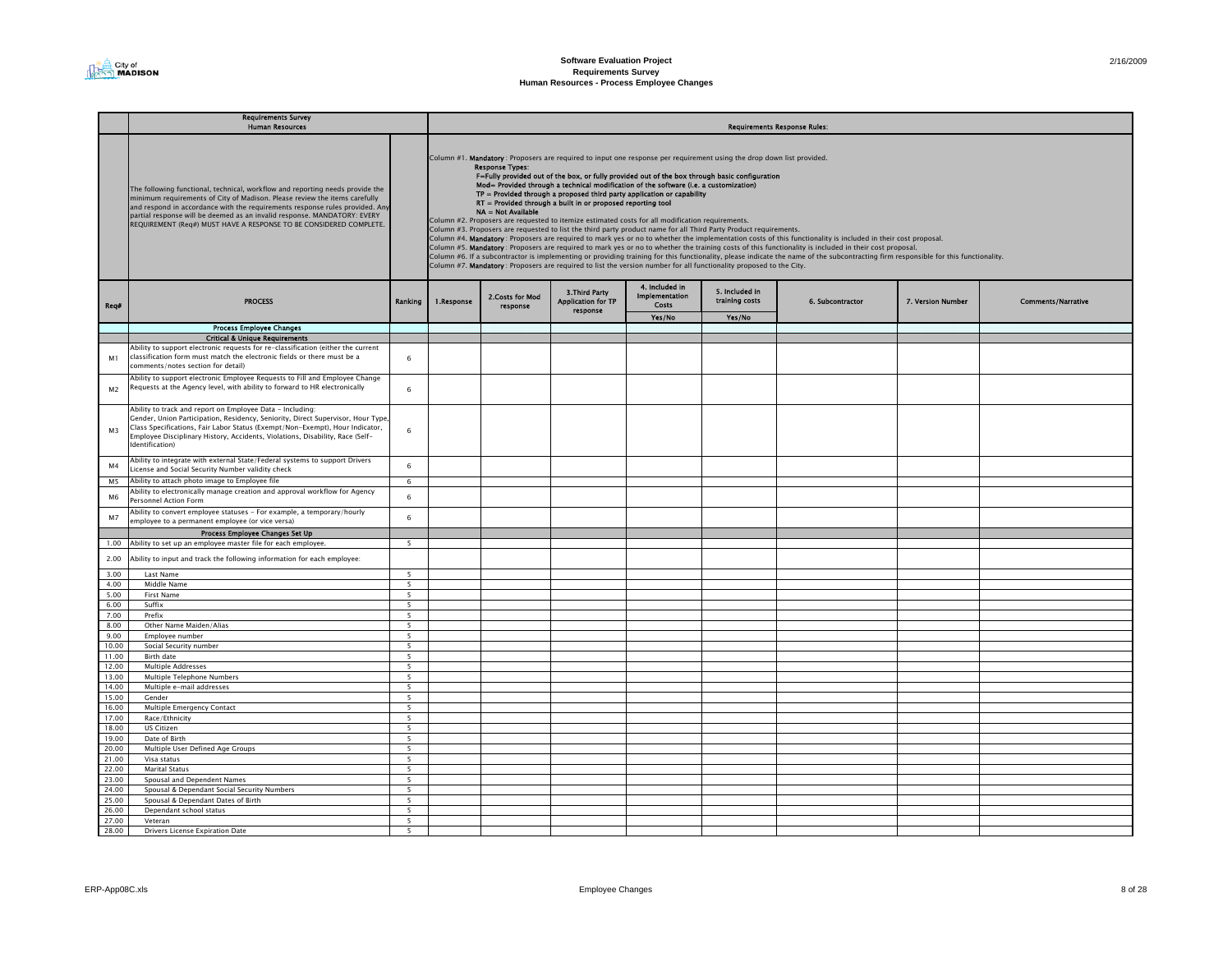|                | <b>Requirements Survey</b><br><b>Human Resources</b>                                                                                                                                                                                                                                                                                                                                          |                          | Requirements Response Rules: |                                              |                                                               |                                                                                                                                                                                                                                                                                                                                                                                                                                                                                                                                                                                                                                                                                                                                           |                                  |                                                                                                                                                                                                                                                                                                                                                                                                                                                                                                               |                   |                           |  |  |  |
|----------------|-----------------------------------------------------------------------------------------------------------------------------------------------------------------------------------------------------------------------------------------------------------------------------------------------------------------------------------------------------------------------------------------------|--------------------------|------------------------------|----------------------------------------------|---------------------------------------------------------------|-------------------------------------------------------------------------------------------------------------------------------------------------------------------------------------------------------------------------------------------------------------------------------------------------------------------------------------------------------------------------------------------------------------------------------------------------------------------------------------------------------------------------------------------------------------------------------------------------------------------------------------------------------------------------------------------------------------------------------------------|----------------------------------|---------------------------------------------------------------------------------------------------------------------------------------------------------------------------------------------------------------------------------------------------------------------------------------------------------------------------------------------------------------------------------------------------------------------------------------------------------------------------------------------------------------|-------------------|---------------------------|--|--|--|
|                | The following functional, technical, workflow and reporting needs provide the<br>minimum requirements of City of Madison. Please review the items carefully<br>and respond in accordance with the requirements response rules provided. Any<br>partial response will be deemed as an invalid response. MANDATORY: EVERY<br>REQUIREMENT (Req#) MUST HAVE A RESPONSE TO BE CONSIDERED COMPLETE. |                          |                              | <b>Response Types:</b><br>NA = Not Available | RT = Provided through a built in or proposed reporting tool   | Column #1. Mandatory: Proposers are required to input one response per requirement using the drop down list provided.<br>F=Fully provided out of the box, or fully provided out of the box through basic configuration<br>Mod= Provided through a technical modification of the software (i.e. a customization)<br>TP = Provided through a proposed third party application or capability<br>Column #2. Proposers are requested to itemize estimated costs for all modification requirements.<br>Column #3. Proposers are requested to list the third party product name for all Third Party Product requirements.<br>Column #7. Mandatory: Proposers are required to list the version number for all functionality proposed to the City. |                                  | Column #4. Mandatory: Proposers are required to mark yes or no to whether the implementation costs of this functionality is included in their cost proposal.<br>Column #5. Mandatory: Proposers are required to mark yes or no to whether the training costs of this functionality is included in their cost proposal.<br>Column #6. If a subcontractor is implementing or providing training for this functionality, please indicate the name of the subcontracting firm responsible for this functionality. |                   |                           |  |  |  |
| Rea#           | <b>PROCESS</b>                                                                                                                                                                                                                                                                                                                                                                                | Ranking                  | 1.Response                   | 2.Costs for Mod<br>response                  | <b>3.Third Party</b><br><b>Application for TP</b><br>response | 4. Included in<br>Implementation<br>Costs                                                                                                                                                                                                                                                                                                                                                                                                                                                                                                                                                                                                                                                                                                 | 5. Included in<br>training costs | 6. Subcontractor                                                                                                                                                                                                                                                                                                                                                                                                                                                                                              | 7. Version Number | <b>Comments/Narrative</b> |  |  |  |
|                |                                                                                                                                                                                                                                                                                                                                                                                               |                          |                              |                                              |                                                               | Yes/No                                                                                                                                                                                                                                                                                                                                                                                                                                                                                                                                                                                                                                                                                                                                    | Yes/No                           |                                                                                                                                                                                                                                                                                                                                                                                                                                                                                                               |                   |                           |  |  |  |
|                | <b>Process Employee Changes</b>                                                                                                                                                                                                                                                                                                                                                               |                          |                              |                                              |                                                               |                                                                                                                                                                                                                                                                                                                                                                                                                                                                                                                                                                                                                                                                                                                                           |                                  |                                                                                                                                                                                                                                                                                                                                                                                                                                                                                                               |                   |                           |  |  |  |
|                | <b>Critical &amp; Unique Requirements</b>                                                                                                                                                                                                                                                                                                                                                     |                          |                              |                                              |                                                               |                                                                                                                                                                                                                                                                                                                                                                                                                                                                                                                                                                                                                                                                                                                                           |                                  |                                                                                                                                                                                                                                                                                                                                                                                                                                                                                                               |                   |                           |  |  |  |
| M1             | Ability to support electronic requests for re-classification (either the current<br>classification form must match the electronic fields or there must be a<br>comments/notes section for detail)                                                                                                                                                                                             | 6                        |                              |                                              |                                                               |                                                                                                                                                                                                                                                                                                                                                                                                                                                                                                                                                                                                                                                                                                                                           |                                  |                                                                                                                                                                                                                                                                                                                                                                                                                                                                                                               |                   |                           |  |  |  |
| M2             | Ability to support electronic Employee Requests to Fill and Employee Change<br>Requests at the Agency level, with ability to forward to HR electronically                                                                                                                                                                                                                                     | 6                        |                              |                                              |                                                               |                                                                                                                                                                                                                                                                                                                                                                                                                                                                                                                                                                                                                                                                                                                                           |                                  |                                                                                                                                                                                                                                                                                                                                                                                                                                                                                                               |                   |                           |  |  |  |
| M3             | Ability to track and report on Employee Data - Including:<br>Gender, Union Participation, Residency, Seniority, Direct Supervisor, Hour Type<br>Class Specifications, Fair Labor Status (Exempt/Non-Exempt), Hour Indicator,<br>Employee Disciplinary History, Accidents, Violations, Disability, Race (Self-<br>dentification)                                                               | 6                        |                              |                                              |                                                               |                                                                                                                                                                                                                                                                                                                                                                                                                                                                                                                                                                                                                                                                                                                                           |                                  |                                                                                                                                                                                                                                                                                                                                                                                                                                                                                                               |                   |                           |  |  |  |
| M <sub>4</sub> | Ability to integrate with external State/Federal systems to support Drivers<br>License and Social Security Number validity check                                                                                                                                                                                                                                                              | 6                        |                              |                                              |                                                               |                                                                                                                                                                                                                                                                                                                                                                                                                                                                                                                                                                                                                                                                                                                                           |                                  |                                                                                                                                                                                                                                                                                                                                                                                                                                                                                                               |                   |                           |  |  |  |
| M5             | Ability to attach photo image to Employee file                                                                                                                                                                                                                                                                                                                                                | $\,6\,$                  |                              |                                              |                                                               |                                                                                                                                                                                                                                                                                                                                                                                                                                                                                                                                                                                                                                                                                                                                           |                                  |                                                                                                                                                                                                                                                                                                                                                                                                                                                                                                               |                   |                           |  |  |  |
| M <sub>6</sub> | Ability to electronically manage creation and approval workflow for Agency<br>Personnel Action Form<br>Ability to convert employee statuses - For example, a temporary/hourly                                                                                                                                                                                                                 | 6                        |                              |                                              |                                                               |                                                                                                                                                                                                                                                                                                                                                                                                                                                                                                                                                                                                                                                                                                                                           |                                  |                                                                                                                                                                                                                                                                                                                                                                                                                                                                                                               |                   |                           |  |  |  |
| M7             | employee to a permanent employee (or vice versa)<br>Process Employee Changes Set Up                                                                                                                                                                                                                                                                                                           | $\,6\,$                  |                              |                                              |                                                               |                                                                                                                                                                                                                                                                                                                                                                                                                                                                                                                                                                                                                                                                                                                                           |                                  |                                                                                                                                                                                                                                                                                                                                                                                                                                                                                                               |                   |                           |  |  |  |
| 1.00           | Ability to set up an employee master file for each employee.                                                                                                                                                                                                                                                                                                                                  | 5                        |                              |                                              |                                                               |                                                                                                                                                                                                                                                                                                                                                                                                                                                                                                                                                                                                                                                                                                                                           |                                  |                                                                                                                                                                                                                                                                                                                                                                                                                                                                                                               |                   |                           |  |  |  |
| 2.00           | Ability to input and track the following information for each employee:                                                                                                                                                                                                                                                                                                                       |                          |                              |                                              |                                                               |                                                                                                                                                                                                                                                                                                                                                                                                                                                                                                                                                                                                                                                                                                                                           |                                  |                                                                                                                                                                                                                                                                                                                                                                                                                                                                                                               |                   |                           |  |  |  |
| 3.00           | Last Name                                                                                                                                                                                                                                                                                                                                                                                     | $\overline{\phantom{a}}$ |                              |                                              |                                                               |                                                                                                                                                                                                                                                                                                                                                                                                                                                                                                                                                                                                                                                                                                                                           |                                  |                                                                                                                                                                                                                                                                                                                                                                                                                                                                                                               |                   |                           |  |  |  |
| 4.00           | Middle Name                                                                                                                                                                                                                                                                                                                                                                                   | 5                        |                              |                                              |                                                               |                                                                                                                                                                                                                                                                                                                                                                                                                                                                                                                                                                                                                                                                                                                                           |                                  |                                                                                                                                                                                                                                                                                                                                                                                                                                                                                                               |                   |                           |  |  |  |
| 5.00<br>6.00   | First Name<br>Suffix                                                                                                                                                                                                                                                                                                                                                                          | 5                        |                              |                                              |                                                               |                                                                                                                                                                                                                                                                                                                                                                                                                                                                                                                                                                                                                                                                                                                                           |                                  |                                                                                                                                                                                                                                                                                                                                                                                                                                                                                                               |                   |                           |  |  |  |
| 7.00           | Prefix                                                                                                                                                                                                                                                                                                                                                                                        | -5<br>5                  |                              |                                              |                                                               |                                                                                                                                                                                                                                                                                                                                                                                                                                                                                                                                                                                                                                                                                                                                           |                                  |                                                                                                                                                                                                                                                                                                                                                                                                                                                                                                               |                   |                           |  |  |  |
| 8.00           | Other Name Maiden/Alias                                                                                                                                                                                                                                                                                                                                                                       | 5                        |                              |                                              |                                                               |                                                                                                                                                                                                                                                                                                                                                                                                                                                                                                                                                                                                                                                                                                                                           |                                  |                                                                                                                                                                                                                                                                                                                                                                                                                                                                                                               |                   |                           |  |  |  |
| 9.00           | Employee number                                                                                                                                                                                                                                                                                                                                                                               | 5                        |                              |                                              |                                                               |                                                                                                                                                                                                                                                                                                                                                                                                                                                                                                                                                                                                                                                                                                                                           |                                  |                                                                                                                                                                                                                                                                                                                                                                                                                                                                                                               |                   |                           |  |  |  |
| 10.00          | Social Security number                                                                                                                                                                                                                                                                                                                                                                        | $\overline{\phantom{a}}$ |                              |                                              |                                                               |                                                                                                                                                                                                                                                                                                                                                                                                                                                                                                                                                                                                                                                                                                                                           |                                  |                                                                                                                                                                                                                                                                                                                                                                                                                                                                                                               |                   |                           |  |  |  |
| 11.00          | Birth date                                                                                                                                                                                                                                                                                                                                                                                    | $\overline{\phantom{a}}$ |                              |                                              |                                                               |                                                                                                                                                                                                                                                                                                                                                                                                                                                                                                                                                                                                                                                                                                                                           |                                  |                                                                                                                                                                                                                                                                                                                                                                                                                                                                                                               |                   |                           |  |  |  |
| 12.00          | Multiple Addresses                                                                                                                                                                                                                                                                                                                                                                            | $\overline{\phantom{a}}$ |                              |                                              |                                                               |                                                                                                                                                                                                                                                                                                                                                                                                                                                                                                                                                                                                                                                                                                                                           |                                  |                                                                                                                                                                                                                                                                                                                                                                                                                                                                                                               |                   |                           |  |  |  |
| 13.00          | Multiple Telephone Numbers                                                                                                                                                                                                                                                                                                                                                                    | 5                        |                              |                                              |                                                               |                                                                                                                                                                                                                                                                                                                                                                                                                                                                                                                                                                                                                                                                                                                                           |                                  |                                                                                                                                                                                                                                                                                                                                                                                                                                                                                                               |                   |                           |  |  |  |
| 14.00          | Multiple e-mail addresses                                                                                                                                                                                                                                                                                                                                                                     | 5                        |                              |                                              |                                                               |                                                                                                                                                                                                                                                                                                                                                                                                                                                                                                                                                                                                                                                                                                                                           |                                  |                                                                                                                                                                                                                                                                                                                                                                                                                                                                                                               |                   |                           |  |  |  |
| 15.00          | Gender                                                                                                                                                                                                                                                                                                                                                                                        | 5                        |                              |                                              |                                                               |                                                                                                                                                                                                                                                                                                                                                                                                                                                                                                                                                                                                                                                                                                                                           |                                  |                                                                                                                                                                                                                                                                                                                                                                                                                                                                                                               |                   |                           |  |  |  |
| 16.00          | Multiple Emergency Contact                                                                                                                                                                                                                                                                                                                                                                    | 5                        |                              |                                              |                                                               |                                                                                                                                                                                                                                                                                                                                                                                                                                                                                                                                                                                                                                                                                                                                           |                                  |                                                                                                                                                                                                                                                                                                                                                                                                                                                                                                               |                   |                           |  |  |  |
| 17.00          | Race/Ethnicity                                                                                                                                                                                                                                                                                                                                                                                | 5                        |                              |                                              |                                                               |                                                                                                                                                                                                                                                                                                                                                                                                                                                                                                                                                                                                                                                                                                                                           |                                  |                                                                                                                                                                                                                                                                                                                                                                                                                                                                                                               |                   |                           |  |  |  |
| 18.00          | US Citizen                                                                                                                                                                                                                                                                                                                                                                                    | $\overline{\phantom{a}}$ |                              |                                              |                                                               |                                                                                                                                                                                                                                                                                                                                                                                                                                                                                                                                                                                                                                                                                                                                           |                                  |                                                                                                                                                                                                                                                                                                                                                                                                                                                                                                               |                   |                           |  |  |  |
| 19.00          | Date of Birth                                                                                                                                                                                                                                                                                                                                                                                 | 5                        |                              |                                              |                                                               |                                                                                                                                                                                                                                                                                                                                                                                                                                                                                                                                                                                                                                                                                                                                           |                                  |                                                                                                                                                                                                                                                                                                                                                                                                                                                                                                               |                   |                           |  |  |  |
| 20.00<br>21.00 | Multiple User Defined Age Groups<br>Visa status                                                                                                                                                                                                                                                                                                                                               | $\overline{5}$<br>5      |                              |                                              |                                                               |                                                                                                                                                                                                                                                                                                                                                                                                                                                                                                                                                                                                                                                                                                                                           |                                  |                                                                                                                                                                                                                                                                                                                                                                                                                                                                                                               |                   |                           |  |  |  |
| 22.00          | <b>Marital Status</b>                                                                                                                                                                                                                                                                                                                                                                         | 5                        |                              |                                              |                                                               |                                                                                                                                                                                                                                                                                                                                                                                                                                                                                                                                                                                                                                                                                                                                           |                                  |                                                                                                                                                                                                                                                                                                                                                                                                                                                                                                               |                   |                           |  |  |  |
| 23.00          | Spousal and Dependent Names                                                                                                                                                                                                                                                                                                                                                                   | 5                        |                              |                                              |                                                               |                                                                                                                                                                                                                                                                                                                                                                                                                                                                                                                                                                                                                                                                                                                                           |                                  |                                                                                                                                                                                                                                                                                                                                                                                                                                                                                                               |                   |                           |  |  |  |
| 24.00          | Spousal & Dependant Social Security Numbers                                                                                                                                                                                                                                                                                                                                                   | 5                        |                              |                                              |                                                               |                                                                                                                                                                                                                                                                                                                                                                                                                                                                                                                                                                                                                                                                                                                                           |                                  |                                                                                                                                                                                                                                                                                                                                                                                                                                                                                                               |                   |                           |  |  |  |
| 25.00          | Spousal & Dependant Dates of Birth                                                                                                                                                                                                                                                                                                                                                            | $\overline{\phantom{a}}$ |                              |                                              |                                                               |                                                                                                                                                                                                                                                                                                                                                                                                                                                                                                                                                                                                                                                                                                                                           |                                  |                                                                                                                                                                                                                                                                                                                                                                                                                                                                                                               |                   |                           |  |  |  |
| 26.00          | Dependant school status                                                                                                                                                                                                                                                                                                                                                                       | $\overline{\phantom{a}}$ |                              |                                              |                                                               |                                                                                                                                                                                                                                                                                                                                                                                                                                                                                                                                                                                                                                                                                                                                           |                                  |                                                                                                                                                                                                                                                                                                                                                                                                                                                                                                               |                   |                           |  |  |  |
| 27.00          | Veteran                                                                                                                                                                                                                                                                                                                                                                                       | 5                        |                              |                                              |                                                               |                                                                                                                                                                                                                                                                                                                                                                                                                                                                                                                                                                                                                                                                                                                                           |                                  |                                                                                                                                                                                                                                                                                                                                                                                                                                                                                                               |                   |                           |  |  |  |
| 28.00          | Drivers License Expiration Date                                                                                                                                                                                                                                                                                                                                                               |                          |                              |                                              |                                                               |                                                                                                                                                                                                                                                                                                                                                                                                                                                                                                                                                                                                                                                                                                                                           |                                  |                                                                                                                                                                                                                                                                                                                                                                                                                                                                                                               |                   |                           |  |  |  |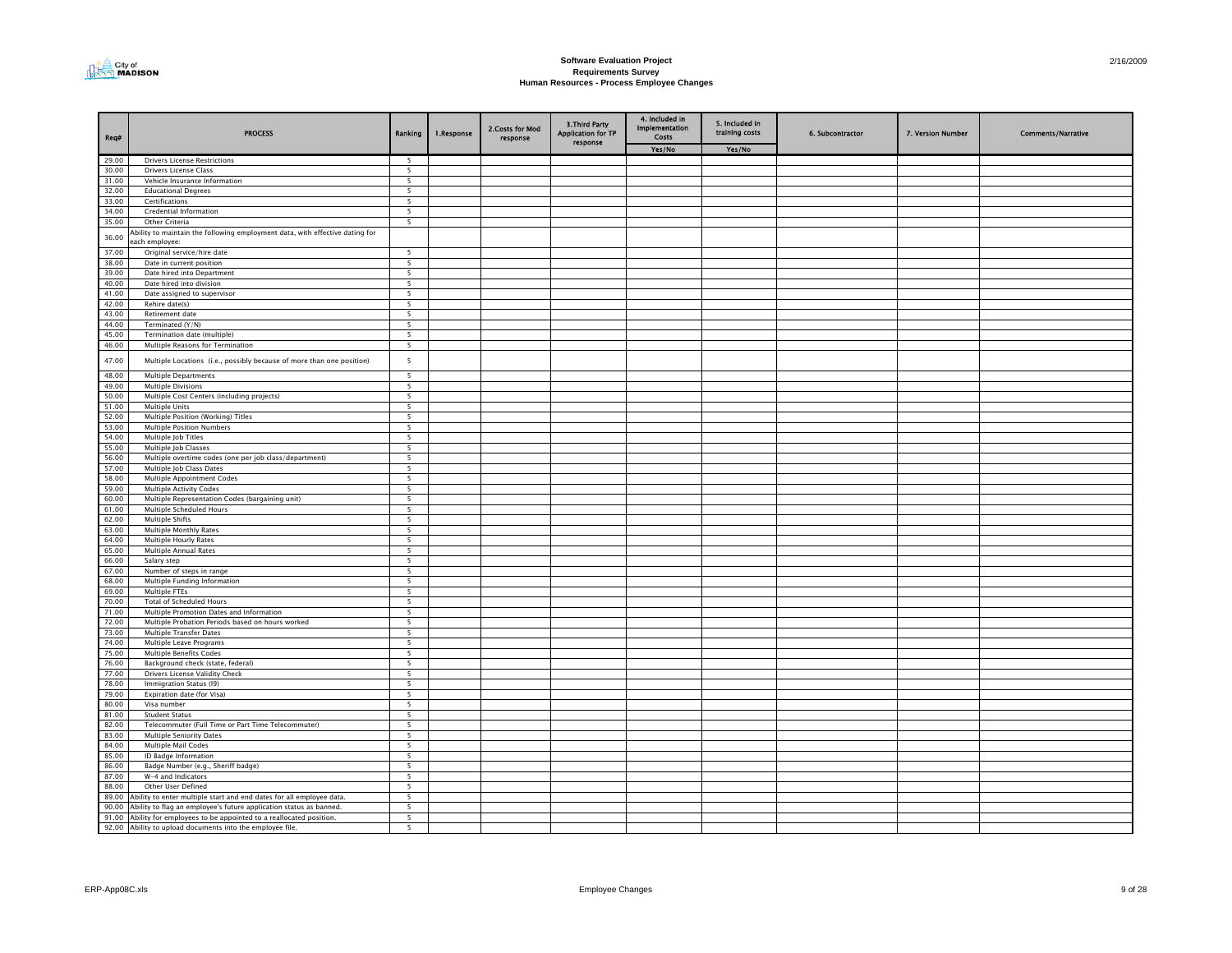

| Req#           | <b>PROCESS</b>                                                                                 | Ranking                  | 1.Response | 2. Costs for Mod<br>response | 3. Third Party<br><b>Application for TP</b><br>response | 4. Included in<br>Implementation<br><b>Costs</b> | 5. Included in<br>training costs | 6. Subcontractor | 7. Version Number | <b>Comments/Narrative</b> |
|----------------|------------------------------------------------------------------------------------------------|--------------------------|------------|------------------------------|---------------------------------------------------------|--------------------------------------------------|----------------------------------|------------------|-------------------|---------------------------|
|                |                                                                                                |                          |            |                              |                                                         | Yes/No                                           | Yes/No                           |                  |                   |                           |
| 29.00          | <b>Drivers License Restrictions</b>                                                            | 5<br>5                   |            |                              |                                                         |                                                  |                                  |                  |                   |                           |
| 30.00<br>31.00 | <b>Drivers License Class</b><br>Vehicle Insurance Information                                  | $\overline{5}$           |            |                              |                                                         |                                                  |                                  |                  |                   |                           |
| 32.00          | <b>Educational Degrees</b>                                                                     | 5                        |            |                              |                                                         |                                                  |                                  |                  |                   |                           |
| 33.00          | Certifications                                                                                 | 5                        |            |                              |                                                         |                                                  |                                  |                  |                   |                           |
| 34.00          | Credential Information                                                                         | 5                        |            |                              |                                                         |                                                  |                                  |                  |                   |                           |
| 35.00          | Other Criteria                                                                                 | 5                        |            |                              |                                                         |                                                  |                                  |                  |                   |                           |
| 36.00          | Ability to maintain the following employment data, with effective dating for<br>each employee: |                          |            |                              |                                                         |                                                  |                                  |                  |                   |                           |
| 37.00          | Original service/hire date                                                                     | - 5                      |            |                              |                                                         |                                                  |                                  |                  |                   |                           |
| 38.00          | Date in current position                                                                       | $\overline{\phantom{a}}$ |            |                              |                                                         |                                                  |                                  |                  |                   |                           |
| 39.00          | Date hired into Department                                                                     | $\overline{5}$           |            |                              |                                                         |                                                  |                                  |                  |                   |                           |
| 40.00<br>41.00 | Date hired into division                                                                       | $\overline{5}$<br>5      |            |                              |                                                         |                                                  |                                  |                  |                   |                           |
| 42.00          | Date assigned to supervisor<br>Rehire date(s)                                                  | 5                        |            |                              |                                                         |                                                  |                                  |                  |                   |                           |
| 43.00          | Retirement date                                                                                | 5                        |            |                              |                                                         |                                                  |                                  |                  |                   |                           |
| 44.00          | Terminated (Y/N)                                                                               | 5                        |            |                              |                                                         |                                                  |                                  |                  |                   |                           |
| 45.00          | Termination date (multiple)                                                                    | 5                        |            |                              |                                                         |                                                  |                                  |                  |                   |                           |
| 46.00          | Multiple Reasons for Termination                                                               | $\overline{\phantom{a}}$ |            |                              |                                                         |                                                  |                                  |                  |                   |                           |
| 47.00          | Multiple Locations (i.e., possibly because of more than one position)                          | 5                        |            |                              |                                                         |                                                  |                                  |                  |                   |                           |
| 48.00          | <b>Multiple Departments</b>                                                                    | 5                        |            |                              |                                                         |                                                  |                                  |                  |                   |                           |
| 49.00          | <b>Multiple Divisions</b>                                                                      | $\overline{\phantom{a}}$ |            |                              |                                                         |                                                  |                                  |                  |                   |                           |
| 50.00          | Multiple Cost Centers (including projects)                                                     | 5                        |            |                              |                                                         |                                                  |                                  |                  |                   |                           |
| 51.00          | <b>Multiple Units</b>                                                                          | 5                        |            |                              |                                                         |                                                  |                                  |                  |                   |                           |
| 52.00          | Multiple Position (Working) Titles                                                             | 5                        |            |                              |                                                         |                                                  |                                  |                  |                   |                           |
| 53.00          | <b>Multiple Position Numbers</b>                                                               | $\overline{\phantom{a}}$ |            |                              |                                                         |                                                  |                                  |                  |                   |                           |
| 54.00<br>55.00 | Multiple Job Titles<br>Multiple Job Classes                                                    | $\overline{5}$<br>5      |            |                              |                                                         |                                                  |                                  |                  |                   |                           |
| 56.00          | Multiple overtime codes (one per job class/department)                                         | 5                        |            |                              |                                                         |                                                  |                                  |                  |                   |                           |
| 57.00          | Multiple Job Class Dates                                                                       | 5                        |            |                              |                                                         |                                                  |                                  |                  |                   |                           |
| 58.00          | Multiple Appointment Codes                                                                     | 5                        |            |                              |                                                         |                                                  |                                  |                  |                   |                           |
| 59.00          | <b>Multiple Activity Codes</b>                                                                 | 5                        |            |                              |                                                         |                                                  |                                  |                  |                   |                           |
| 60.00          | Multiple Representation Codes (bargaining unit)                                                | 5                        |            |                              |                                                         |                                                  |                                  |                  |                   |                           |
| 61.00          | Multiple Scheduled Hours                                                                       | $\overline{\phantom{a}}$ |            |                              |                                                         |                                                  |                                  |                  |                   |                           |
| 62.00          | <b>Multiple Shifts</b>                                                                         | $\overline{\phantom{a}}$ |            |                              |                                                         |                                                  |                                  |                  |                   |                           |
| 63.00          | <b>Multiple Monthly Rates</b>                                                                  | $\overline{\phantom{a}}$ |            |                              |                                                         |                                                  |                                  |                  |                   |                           |
| 64.00          | Multiple Hourly Rates                                                                          | 5                        |            |                              |                                                         |                                                  |                                  |                  |                   |                           |
| 65.00          | Multiple Annual Rates                                                                          | 5                        |            |                              |                                                         |                                                  |                                  |                  |                   |                           |
| 66.00<br>67.00 | Salary step<br>Number of steps in range                                                        | 5<br>5                   |            |                              |                                                         |                                                  |                                  |                  |                   |                           |
| 68.00          | Multiple Funding Information                                                                   | 5                        |            |                              |                                                         |                                                  |                                  |                  |                   |                           |
| 69.00          | Multiple FTEs                                                                                  | 5                        |            |                              |                                                         |                                                  |                                  |                  |                   |                           |
| 70.00          | <b>Total of Scheduled Hours</b>                                                                | 5                        |            |                              |                                                         |                                                  |                                  |                  |                   |                           |
| 71.00          | Multiple Promotion Dates and Information                                                       | $\overline{\phantom{a}}$ |            |                              |                                                         |                                                  |                                  |                  |                   |                           |
| 72.00          | Multiple Probation Periods based on hours worked                                               | 5                        |            |                              |                                                         |                                                  |                                  |                  |                   |                           |
| 73.00          | Multiple Transfer Dates                                                                        | -5                       |            |                              |                                                         |                                                  |                                  |                  |                   |                           |
| 74.00          | Multiple Leave Programs                                                                        | 5                        |            |                              |                                                         |                                                  |                                  |                  |                   |                           |
| 75.00          | <b>Multiple Benefits Codes</b>                                                                 | 5                        |            |                              |                                                         |                                                  |                                  |                  |                   |                           |
| 76.00          | Background check (state, federal)                                                              | $\overline{\phantom{a}}$ |            |                              |                                                         |                                                  |                                  |                  |                   |                           |
| 77.00          | Drivers License Validity Check                                                                 | $\overline{\phantom{a}}$ |            |                              |                                                         |                                                  |                                  |                  |                   |                           |
| 78.00          | Immigration Status (I9)                                                                        | 5                        |            |                              |                                                         |                                                  |                                  |                  |                   |                           |
| 79.00<br>80.00 | Expiration date (for Visa)                                                                     | 5                        |            |                              |                                                         |                                                  |                                  |                  |                   |                           |
| 81.00          | Visa number<br><b>Student Status</b>                                                           | 5                        |            |                              |                                                         |                                                  |                                  |                  |                   |                           |
| 82.00          | Telecommuter (Full Time or Part Time Telecommuter)                                             | 5<br>5                   |            |                              |                                                         |                                                  |                                  |                  |                   |                           |
| 83.00          | Multiple Seniority Dates                                                                       | 5 <sup>5</sup>           |            |                              |                                                         |                                                  |                                  |                  |                   |                           |
| 84.00          | Multiple Mail Codes                                                                            | $\overline{5}$           |            |                              |                                                         |                                                  |                                  |                  |                   |                           |
| 85.00          | ID Badge Information                                                                           | $\overline{\phantom{a}}$ |            |                              |                                                         |                                                  |                                  |                  |                   |                           |
| 86.00          | Badge Number (e.g., Sheriff badge)                                                             | 5                        |            |                              |                                                         |                                                  |                                  |                  |                   |                           |
| 87.00          | W-4 and Indicators                                                                             | 5                        |            |                              |                                                         |                                                  |                                  |                  |                   |                           |
| 88.00          | Other User Defined                                                                             | 5                        |            |                              |                                                         |                                                  |                                  |                  |                   |                           |
| 89.00          | Ability to enter multiple start and end dates for all employee data.                           | $\overline{\phantom{a}}$ |            |                              |                                                         |                                                  |                                  |                  |                   |                           |
| 90.00          | Ability to flag an employee's future application status as banned.                             | 5                        |            |                              |                                                         |                                                  |                                  |                  |                   |                           |
| 91.00          | Ability for employees to be appointed to a reallocated position.                               | $\overline{\phantom{a}}$ |            |                              |                                                         |                                                  |                                  |                  |                   |                           |
|                | 92.00 Ability to upload documents into the employee file.                                      | 5                        |            |                              |                                                         |                                                  |                                  |                  |                   |                           |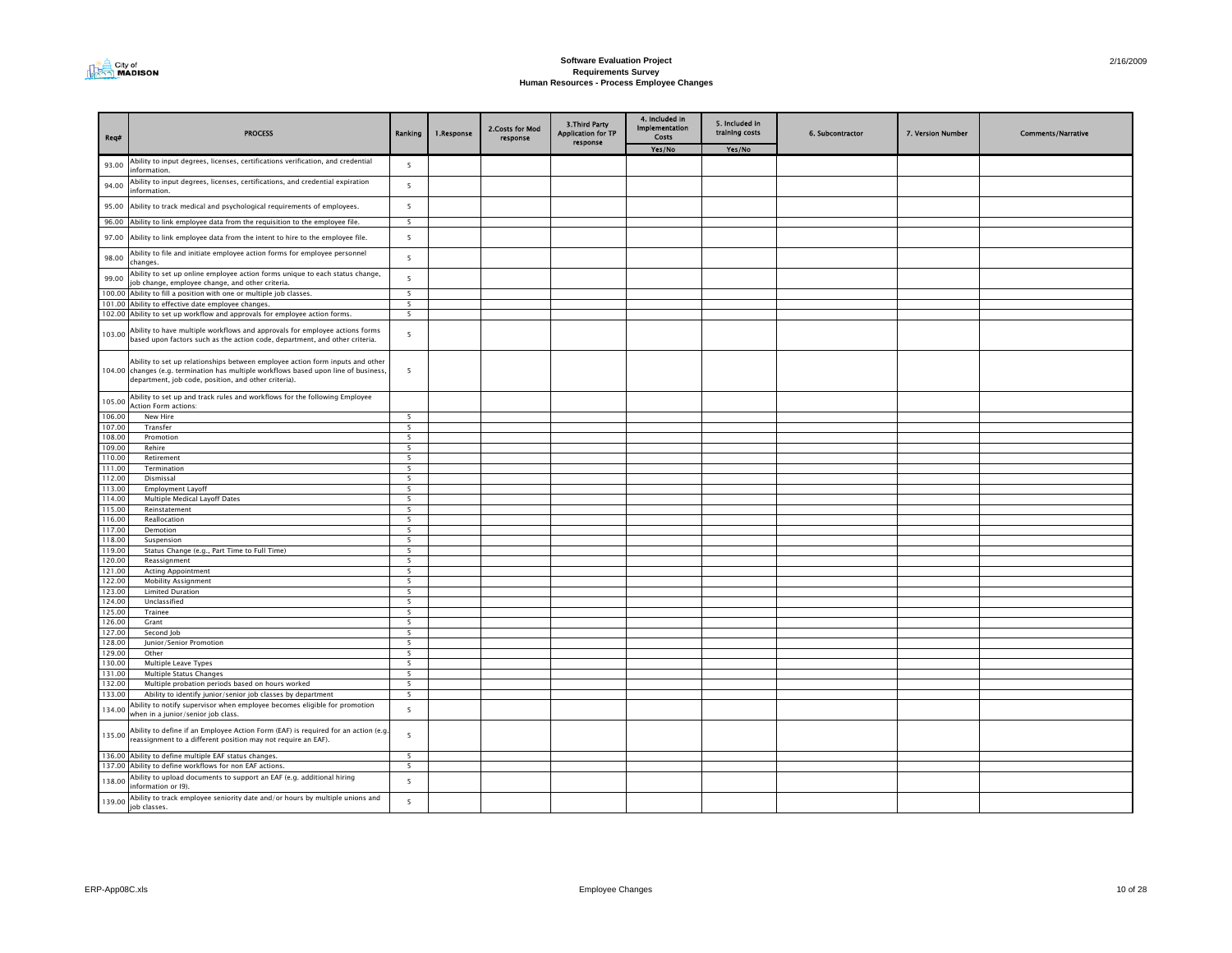

| Req#             | <b>PROCESS</b>                                                                                                                                                                                                                | Ranking                  | 1.Response | 2. Costs for Mod<br>response | <b>3.Third Party</b><br><b>Application for TP</b><br>response | 4. Included in<br>Implementation<br>Costs | 5. Included in<br>training costs | 6. Subcontractor | 7. Version Number | <b>Comments/Narrative</b> |
|------------------|-------------------------------------------------------------------------------------------------------------------------------------------------------------------------------------------------------------------------------|--------------------------|------------|------------------------------|---------------------------------------------------------------|-------------------------------------------|----------------------------------|------------------|-------------------|---------------------------|
|                  |                                                                                                                                                                                                                               |                          |            |                              |                                                               | Yes/No                                    | Yes/No                           |                  |                   |                           |
| 93.00            | Ability to input degrees, licenses, certifications verification, and credential<br>nformation.                                                                                                                                | 5                        |            |                              |                                                               |                                           |                                  |                  |                   |                           |
| 94.00            | Ability to input degrees, licenses, certifications, and credential expiration<br>information.                                                                                                                                 | $\overline{5}$           |            |                              |                                                               |                                           |                                  |                  |                   |                           |
| 95.00            | Ability to track medical and psychological requirements of employees.                                                                                                                                                         | 5                        |            |                              |                                                               |                                           |                                  |                  |                   |                           |
| 96.00            | Ability to link employee data from the requisition to the employee file.                                                                                                                                                      | - 5                      |            |                              |                                                               |                                           |                                  |                  |                   |                           |
| 97.00            | Ability to link employee data from the intent to hire to the employee file.                                                                                                                                                   | 5                        |            |                              |                                                               |                                           |                                  |                  |                   |                           |
| 98.00            | Ability to file and initiate employee action forms for employee personnel<br>changes.                                                                                                                                         | 5                        |            |                              |                                                               |                                           |                                  |                  |                   |                           |
| 99.00            | Ability to set up online employee action forms unique to each status change,<br>ob change, employee change, and other criteria.                                                                                               | 5                        |            |                              |                                                               |                                           |                                  |                  |                   |                           |
| 100.00           | Ability to fill a position with one or multiple job classes.                                                                                                                                                                  | 5                        |            |                              |                                                               |                                           |                                  |                  |                   |                           |
| 101.00           | Ability to effective date employee changes.                                                                                                                                                                                   | $\overline{\phantom{a}}$ |            |                              |                                                               |                                           |                                  |                  |                   |                           |
| 102.00           | Ability to set up workflow and approvals for employee action forms.                                                                                                                                                           | 5                        |            |                              |                                                               |                                           |                                  |                  |                   |                           |
| 103.00           | Ability to have multiple workflows and approvals for employee actions forms<br>based upon factors such as the action code, department, and other criteria.                                                                    | 5                        |            |                              |                                                               |                                           |                                  |                  |                   |                           |
|                  | Ability to set up relationships between employee action form inputs and other<br>104.00 changes (e.g. termination has multiple workflows based upon line of business,<br>department, job code, position, and other criteria). | 5                        |            |                              |                                                               |                                           |                                  |                  |                   |                           |
| 105.00           | Ability to set up and track rules and workflows for the following Employee<br><b>Action Form actions:</b>                                                                                                                     |                          |            |                              |                                                               |                                           |                                  |                  |                   |                           |
| 106.00           | New Hire                                                                                                                                                                                                                      | 5                        |            |                              |                                                               |                                           |                                  |                  |                   |                           |
| 107.00           | Transfer                                                                                                                                                                                                                      | 5                        |            |                              |                                                               |                                           |                                  |                  |                   |                           |
| 108.00           | Promotion                                                                                                                                                                                                                     | 5                        |            |                              |                                                               |                                           |                                  |                  |                   |                           |
| 109.00           | Rehire                                                                                                                                                                                                                        | 5                        |            |                              |                                                               |                                           |                                  |                  |                   |                           |
| 110.00           | Retirement                                                                                                                                                                                                                    | 5                        |            |                              |                                                               |                                           |                                  |                  |                   |                           |
| 111.00<br>112.00 | Termination                                                                                                                                                                                                                   | 5                        |            |                              |                                                               |                                           |                                  |                  |                   |                           |
| 113.00           | Dismissal<br><b>Employment Layoff</b>                                                                                                                                                                                         | 5<br>$\overline{5}$      |            |                              |                                                               |                                           |                                  |                  |                   |                           |
| 114.00           | Multiple Medical Layoff Dates                                                                                                                                                                                                 | $\overline{\phantom{a}}$ |            |                              |                                                               |                                           |                                  |                  |                   |                           |
| 115.00           | Reinstatement                                                                                                                                                                                                                 | 5                        |            |                              |                                                               |                                           |                                  |                  |                   |                           |
| 116.00           | Reallocation                                                                                                                                                                                                                  | 5                        |            |                              |                                                               |                                           |                                  |                  |                   |                           |
| 117.00           | Demotion                                                                                                                                                                                                                      | -5                       |            |                              |                                                               |                                           |                                  |                  |                   |                           |
| 118.00           | Suspension                                                                                                                                                                                                                    | 5                        |            |                              |                                                               |                                           |                                  |                  |                   |                           |
| 119.00           | Status Change (e.g., Part Time to Full Time)                                                                                                                                                                                  | 5                        |            |                              |                                                               |                                           |                                  |                  |                   |                           |
| 120.00           | Reassignment                                                                                                                                                                                                                  | 5                        |            |                              |                                                               |                                           |                                  |                  |                   |                           |
| 121.00           | <b>Acting Appointment</b>                                                                                                                                                                                                     | 5                        |            |                              |                                                               |                                           |                                  |                  |                   |                           |
| 122.00<br>123.00 | <b>Mobility Assignment</b><br><b>Limited Duration</b>                                                                                                                                                                         | 5<br>5                   |            |                              |                                                               |                                           |                                  |                  |                   |                           |
| 124.00           | Unclassified                                                                                                                                                                                                                  | $\overline{\phantom{a}}$ |            |                              |                                                               |                                           |                                  |                  |                   |                           |
| 125.00           | Trainee                                                                                                                                                                                                                       | $\overline{\phantom{a}}$ |            |                              |                                                               |                                           |                                  |                  |                   |                           |
| 126.00           | Grant                                                                                                                                                                                                                         | 5                        |            |                              |                                                               |                                           |                                  |                  |                   |                           |
| 127.00           | Second Job                                                                                                                                                                                                                    | 5                        |            |                              |                                                               |                                           |                                  |                  |                   |                           |
| 128.00           | Junior/Senior Promotion                                                                                                                                                                                                       | 5                        |            |                              |                                                               |                                           |                                  |                  |                   |                           |
| 129.00           | Other                                                                                                                                                                                                                         | 5                        |            |                              |                                                               |                                           |                                  |                  |                   |                           |
| 130.00           | Multiple Leave Types                                                                                                                                                                                                          | $\overline{\phantom{a}}$ |            |                              |                                                               |                                           |                                  |                  |                   |                           |
| 131.00           | Multiple Status Changes                                                                                                                                                                                                       | 5                        |            |                              |                                                               |                                           |                                  |                  |                   |                           |
| 132.00<br>133.00 | Multiple probation periods based on hours worked                                                                                                                                                                              | 5<br>5                   |            |                              |                                                               |                                           |                                  |                  |                   |                           |
|                  | Ability to identify junior/senior job classes by department<br>Ability to notify supervisor when employee becomes eligible for promotion                                                                                      |                          |            |                              |                                                               |                                           |                                  |                  |                   |                           |
| 134.00           | when in a junior/senior job class.                                                                                                                                                                                            | $\overline{\phantom{0}}$ |            |                              |                                                               |                                           |                                  |                  |                   |                           |
| 135.00           | Ability to define if an Employee Action Form (EAF) is required for an action (e.g.<br>reassignment to a different position may not require an EAF).                                                                           | 5                        |            |                              |                                                               |                                           |                                  |                  |                   |                           |
| 136.00           | Ability to define multiple EAF status changes.                                                                                                                                                                                | 5                        |            |                              |                                                               |                                           |                                  |                  |                   |                           |
| 137.00           | Ability to define workflows for non EAF actions.                                                                                                                                                                              | 5                        |            |                              |                                                               |                                           |                                  |                  |                   |                           |
| 138.00           | Ability to upload documents to support an EAF (e.g. additional hiring<br>information or I9).                                                                                                                                  | 5                        |            |                              |                                                               |                                           |                                  |                  |                   |                           |
| 139.00           | Ability to track employee seniority date and/or hours by multiple unions and<br>job classes.                                                                                                                                  | 5                        |            |                              |                                                               |                                           |                                  |                  |                   |                           |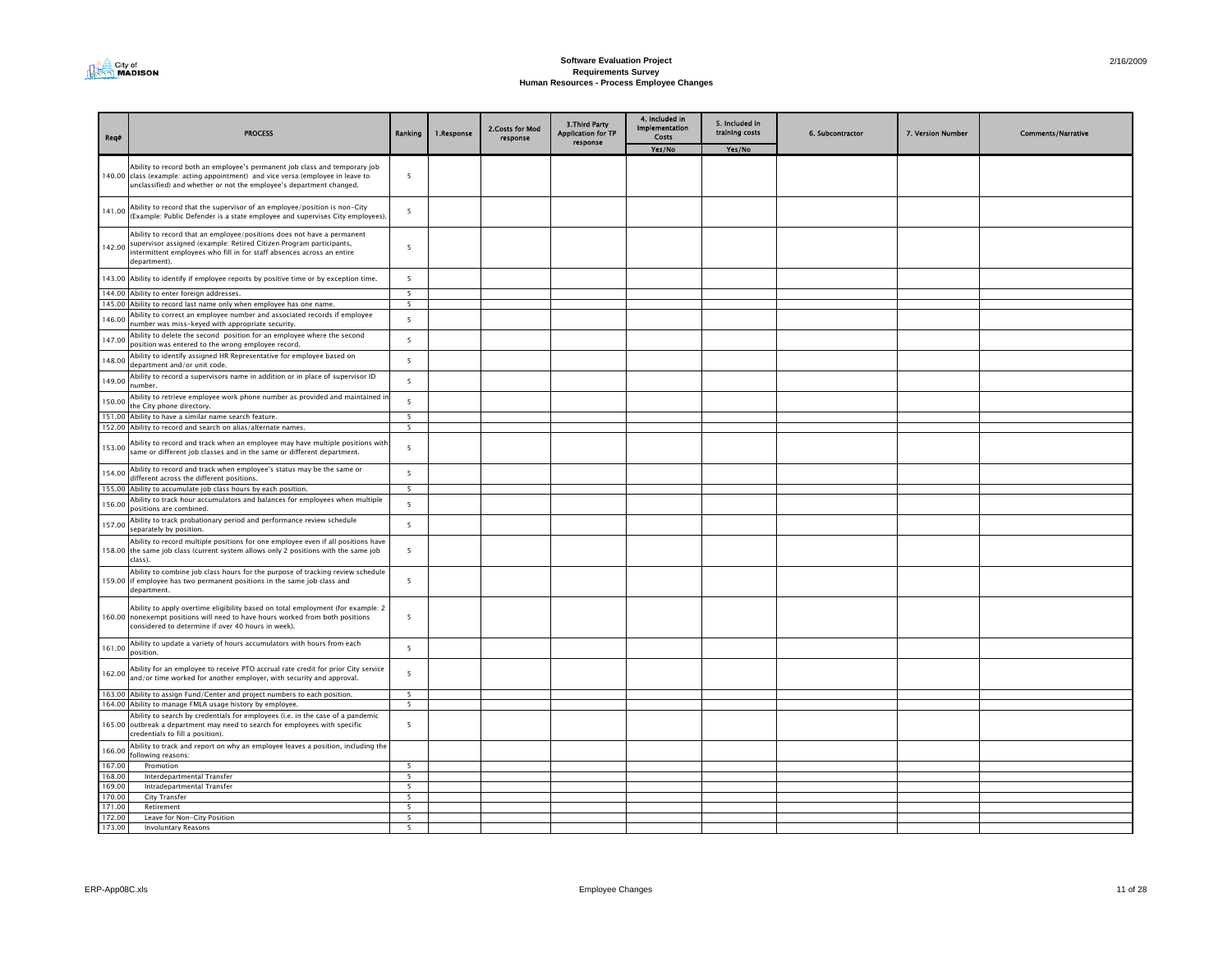

| Reg#             | <b>PROCESS</b>                                                                                                                                                                                                                          | Ranking                  | 1.Response | 2. Costs for Mod<br>response | 3. Third Party<br><b>Application for TP</b><br>response | 4. Included in<br><b>Implementation</b><br>Costs | 5. Included in<br>training costs | 6. Subcontractor | 7. Version Number | <b>Comments/Narrative</b> |
|------------------|-----------------------------------------------------------------------------------------------------------------------------------------------------------------------------------------------------------------------------------------|--------------------------|------------|------------------------------|---------------------------------------------------------|--------------------------------------------------|----------------------------------|------------------|-------------------|---------------------------|
|                  |                                                                                                                                                                                                                                         |                          |            |                              |                                                         | Yes/No                                           | Yes/No                           |                  |                   |                           |
|                  | Ability to record both an employee's permanent job class and temporary job<br>140.00 class (example: acting appointment) and vice versa (employee in leave to<br>unclassified) and whether or not the employee's department changed.    | 5                        |            |                              |                                                         |                                                  |                                  |                  |                   |                           |
|                  | 141.00 Ability to record that the supervisor of an employee/position is non-City<br>(Example: Public Defender is a state employee and supervises City employees).                                                                       | 5                        |            |                              |                                                         |                                                  |                                  |                  |                   |                           |
|                  | Ability to record that an employee/positions does not have a permanent<br>Supervisor assigned (example: Retired Citizen Program participants,<br>intermittent employees who fill in for staff absences across an entire<br>department). | 5                        |            |                              |                                                         |                                                  |                                  |                  |                   |                           |
|                  | 143.00 Ability to identify if employee reports by positive time or by exception time.                                                                                                                                                   | $\overline{5}$           |            |                              |                                                         |                                                  |                                  |                  |                   |                           |
|                  | 144.00 Ability to enter foreign addresses.                                                                                                                                                                                              | 5                        |            |                              |                                                         |                                                  |                                  |                  |                   |                           |
|                  | 145.00 Ability to record last name only when employee has one name.                                                                                                                                                                     | 5                        |            |                              |                                                         |                                                  |                                  |                  |                   |                           |
| 146.00           | Ability to correct an employee number and associated records if employee<br>number was miss-keyed with appropriate security.                                                                                                            | $\overline{\phantom{a}}$ |            |                              |                                                         |                                                  |                                  |                  |                   |                           |
| 147.00           | Ability to delete the second position for an employee where the second<br>position was entered to the wrong employee record.                                                                                                            | 5                        |            |                              |                                                         |                                                  |                                  |                  |                   |                           |
| 148.00           | Ability to identify assigned HR Representative for employee based on<br>department and/or unit code                                                                                                                                     | $\overline{\phantom{a}}$ |            |                              |                                                         |                                                  |                                  |                  |                   |                           |
| 149.00           | Ability to record a supervisors name in addition or in place of supervisor ID<br>number.                                                                                                                                                | $\overline{5}$           |            |                              |                                                         |                                                  |                                  |                  |                   |                           |
| 150.00           | Ability to retrieve employee work phone number as provided and maintained in<br>the City phone directory.                                                                                                                               | 5                        |            |                              |                                                         |                                                  |                                  |                  |                   |                           |
| 151.00           | Ability to have a similar name search feature.                                                                                                                                                                                          | $\overline{\phantom{a}}$ |            |                              |                                                         |                                                  |                                  |                  |                   |                           |
|                  | 152.00 Ability to record and search on alias/alternate names.                                                                                                                                                                           | $\overline{\phantom{a}}$ |            |                              |                                                         |                                                  |                                  |                  |                   |                           |
| 153.00           | Ability to record and track when an employee may have multiple positions with<br>same or different job classes and in the same or different department.                                                                                 | $\overline{\phantom{a}}$ |            |                              |                                                         |                                                  |                                  |                  |                   |                           |
| 154.00           | Ability to record and track when employee's status may be the same or<br>different across the different positions.                                                                                                                      | 5                        |            |                              |                                                         |                                                  |                                  |                  |                   |                           |
| 155.00           | Ability to accumulate job class hours by each position.                                                                                                                                                                                 | 5                        |            |                              |                                                         |                                                  |                                  |                  |                   |                           |
| 156.00           | Ability to track hour accumulators and balances for employees when multiple<br>positions are combined.                                                                                                                                  | $\overline{\phantom{a}}$ |            |                              |                                                         |                                                  |                                  |                  |                   |                           |
| 157.00           | Ability to track probationary period and performance review schedule<br>separately by position                                                                                                                                          | 5                        |            |                              |                                                         |                                                  |                                  |                  |                   |                           |
|                  | Ability to record multiple positions for one employee even if all positions have<br>158.00 the same job class (current system allows only 2 positions with the same job<br>class).                                                      | 5                        |            |                              |                                                         |                                                  |                                  |                  |                   |                           |
|                  | Ability to combine job class hours for the purpose of tracking review schedule<br>159.00 if employee has two permanent positions in the same job class and<br>department.                                                               | 5                        |            |                              |                                                         |                                                  |                                  |                  |                   |                           |
|                  | Ability to apply overtime eligibility based on total employment (for example: 2<br>160.00 nonexempt positions will need to have hours worked from both positions<br>considered to determine if over 40 hours in week).                  | 5                        |            |                              |                                                         |                                                  |                                  |                  |                   |                           |
| 161.00           | Ability to update a variety of hours accumulators with hours from each<br>nosition.                                                                                                                                                     | 5                        |            |                              |                                                         |                                                  |                                  |                  |                   |                           |
| 162.00           | Ability for an employee to receive PTO accrual rate credit for prior City service<br>and/or time worked for another employer, with security and approval.                                                                               | $\overline{\phantom{a}}$ |            |                              |                                                         |                                                  |                                  |                  |                   |                           |
|                  | 163.00 Ability to assign Fund/Center and project numbers to each position.                                                                                                                                                              | 5                        |            |                              |                                                         |                                                  |                                  |                  |                   |                           |
|                  | 164.00 Ability to manage FMLA usage history by employee.                                                                                                                                                                                | 5                        |            |                              |                                                         |                                                  |                                  |                  |                   |                           |
|                  | Ability to search by credentials for employees (i.e. in the case of a pandemic<br>165.00 outbreak a department may need to search for employees with specific<br>credentials to fill a position).                                       | $\overline{\phantom{a}}$ |            |                              |                                                         |                                                  |                                  |                  |                   |                           |
| 166.00           | Ability to track and report on why an employee leaves a position, including the<br>following reasons:                                                                                                                                   |                          |            |                              |                                                         |                                                  |                                  |                  |                   |                           |
| 167.00           | Promotion                                                                                                                                                                                                                               | $\overline{5}$           |            |                              |                                                         |                                                  |                                  |                  |                   |                           |
| 168.00           | Interdepartmental Transfer                                                                                                                                                                                                              | 5                        |            |                              |                                                         |                                                  |                                  |                  |                   |                           |
| 169.00           | Intradepartmental Transfer                                                                                                                                                                                                              | 5<br>$\overline{5}$      |            |                              |                                                         |                                                  |                                  |                  |                   |                           |
| 170.00<br>171.00 | City Transfer<br>Retirement                                                                                                                                                                                                             | $\overline{\phantom{a}}$ |            |                              |                                                         |                                                  |                                  |                  |                   |                           |
| 172.00           | Leave for Non-City Position                                                                                                                                                                                                             | $\overline{\phantom{a}}$ |            |                              |                                                         |                                                  |                                  |                  |                   |                           |
| 173,00           | <b>Involuntary Reasons</b>                                                                                                                                                                                                              | 5                        |            |                              |                                                         |                                                  |                                  |                  |                   |                           |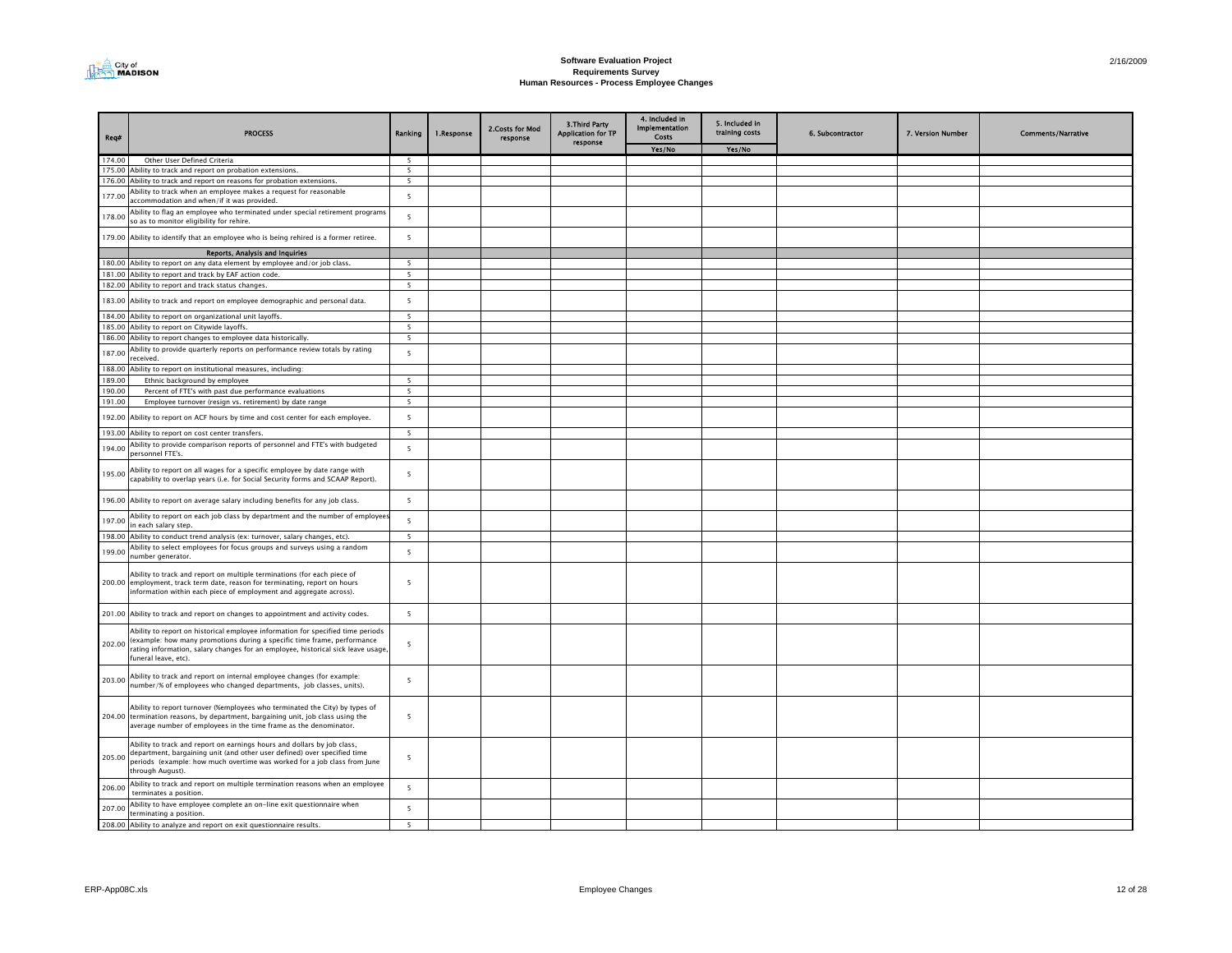

| Req#   | <b>PROCESS</b>                                                                                                                                                                                                                                                        | Ranking                  | 1.Response | 2. Costs for Mod<br>response | 3. Third Party<br>Application for TP<br>response | 4. Included in<br><b>Implementation</b><br>Costs | 5. Included in<br>training costs | 6. Subcontractor | 7. Version Number | <b>Comments/Narrative</b> |
|--------|-----------------------------------------------------------------------------------------------------------------------------------------------------------------------------------------------------------------------------------------------------------------------|--------------------------|------------|------------------------------|--------------------------------------------------|--------------------------------------------------|----------------------------------|------------------|-------------------|---------------------------|
|        |                                                                                                                                                                                                                                                                       |                          |            |                              |                                                  | Yes/No                                           | Yes/No                           |                  |                   |                           |
| 174.00 | Other User Defined Criteria                                                                                                                                                                                                                                           | 5                        |            |                              |                                                  |                                                  |                                  |                  |                   |                           |
|        | 175.00 Ability to track and report on probation extensions.                                                                                                                                                                                                           | 5                        |            |                              |                                                  |                                                  |                                  |                  |                   |                           |
|        | 176.00 Ability to track and report on reasons for probation extensions.                                                                                                                                                                                               | $\mathbf{r}$             |            |                              |                                                  |                                                  |                                  |                  |                   |                           |
| 177.00 | Ability to track when an employee makes a request for reasonable<br>accommodation and when/if it was provided.                                                                                                                                                        | 5                        |            |                              |                                                  |                                                  |                                  |                  |                   |                           |
| 178.00 | Ability to flag an employee who terminated under special retirement programs<br>so as to monitor eligibility for rehire.                                                                                                                                              | $\overline{5}$           |            |                              |                                                  |                                                  |                                  |                  |                   |                           |
|        | 179.00 Ability to identify that an employee who is being rehired is a former retiree.                                                                                                                                                                                 | 5                        |            |                              |                                                  |                                                  |                                  |                  |                   |                           |
|        | Reports, Analysis and Inquiries                                                                                                                                                                                                                                       |                          |            |                              |                                                  |                                                  |                                  |                  |                   |                           |
|        | 180.00 Ability to report on any data element by employee and/or job class.                                                                                                                                                                                            | 5                        |            |                              |                                                  |                                                  |                                  |                  |                   |                           |
|        | 181.00 Ability to report and track by EAF action code.                                                                                                                                                                                                                | - 5                      |            |                              |                                                  |                                                  |                                  |                  |                   |                           |
|        | 182.00 Ability to report and track status changes.                                                                                                                                                                                                                    | 5                        |            |                              |                                                  |                                                  |                                  |                  |                   |                           |
|        | 183.00 Ability to track and report on employee demographic and personal data.                                                                                                                                                                                         | $5\overline{5}$          |            |                              |                                                  |                                                  |                                  |                  |                   |                           |
| 184.00 | Ability to report on organizational unit layoffs.                                                                                                                                                                                                                     | $\overline{\phantom{a}}$ |            |                              |                                                  |                                                  |                                  |                  |                   |                           |
|        | 185.00 Ability to report on Citywide layoffs.                                                                                                                                                                                                                         | 5                        |            |                              |                                                  |                                                  |                                  |                  |                   |                           |
| 186.00 | Ability to report changes to employee data historically.                                                                                                                                                                                                              | $5\overline{5}$          |            |                              |                                                  |                                                  |                                  |                  |                   |                           |
| 187.00 | Ability to provide quarterly reports on performance review totals by rating<br>received.                                                                                                                                                                              | 5                        |            |                              |                                                  |                                                  |                                  |                  |                   |                           |
|        | 188.00 Ability to report on institutional measures, including:                                                                                                                                                                                                        |                          |            |                              |                                                  |                                                  |                                  |                  |                   |                           |
| 189.00 | Ethnic background by employee                                                                                                                                                                                                                                         | 5                        |            |                              |                                                  |                                                  |                                  |                  |                   |                           |
| 190.00 | Percent of FTE's with past due performance evaluations                                                                                                                                                                                                                | $\overline{\phantom{a}}$ |            |                              |                                                  |                                                  |                                  |                  |                   |                           |
| 191.00 | Employee turnover (resign vs. retirement) by date range                                                                                                                                                                                                               | 5                        |            |                              |                                                  |                                                  |                                  |                  |                   |                           |
| 192.00 | Ability to report on ACF hours by time and cost center for each employee.                                                                                                                                                                                             | 5                        |            |                              |                                                  |                                                  |                                  |                  |                   |                           |
|        | 193.00 Ability to report on cost center transfers.                                                                                                                                                                                                                    | 5                        |            |                              |                                                  |                                                  |                                  |                  |                   |                           |
| 194.00 | Ability to provide comparison reports of personnel and FTE's with budgeted<br>personnel FTE's.                                                                                                                                                                        | 5                        |            |                              |                                                  |                                                  |                                  |                  |                   |                           |
| 195.00 | Ability to report on all wages for a specific employee by date range with<br>capability to overlap years (i.e. for Social Security forms and SCAAP Report).                                                                                                           | 5                        |            |                              |                                                  |                                                  |                                  |                  |                   |                           |
|        | 196.00 Ability to report on average salary including benefits for any job class.                                                                                                                                                                                      | 5                        |            |                              |                                                  |                                                  |                                  |                  |                   |                           |
| 197.00 | Ability to report on each job class by department and the number of employee<br>in each salary step.                                                                                                                                                                  | 5                        |            |                              |                                                  |                                                  |                                  |                  |                   |                           |
| 198.00 | Ability to conduct trend analysis (ex: turnover, salary changes, etc).                                                                                                                                                                                                | 5                        |            |                              |                                                  |                                                  |                                  |                  |                   |                           |
| 199.00 | Ability to select employees for focus groups and surveys using a random<br>umber generator.                                                                                                                                                                           | 5                        |            |                              |                                                  |                                                  |                                  |                  |                   |                           |
|        | Ability to track and report on multiple terminations (for each piece of<br>200.00 employment, track term date, reason for terminating, report on hours<br>information within each piece of employment and aggregate across).                                          | $\overline{\phantom{a}}$ |            |                              |                                                  |                                                  |                                  |                  |                   |                           |
|        | 201.00 Ability to track and report on changes to appointment and activity codes.                                                                                                                                                                                      | 5                        |            |                              |                                                  |                                                  |                                  |                  |                   |                           |
| 202.00 | Ability to report on historical employee information for specified time periods<br>(example: how many promotions during a specific time frame, performance<br>rating information, salary changes for an employee, historical sick leave usage<br>funeral leave, etc). | $\overline{5}$           |            |                              |                                                  |                                                  |                                  |                  |                   |                           |
| 203.00 | Ability to track and report on internal employee changes (for example:<br>number/% of employees who changed departments, job classes, units).                                                                                                                         | 5                        |            |                              |                                                  |                                                  |                                  |                  |                   |                           |
|        | Ability to report turnover (%employees who terminated the City) by types of<br>204.00 termination reasons, by department, bargaining unit, job class using the<br>average number of employees in the time frame as the denominator.                                   | 5                        |            |                              |                                                  |                                                  |                                  |                  |                   |                           |
| 205.00 | Ability to track and report on earnings hours and dollars by job class,<br>department, bargaining unit (and other user defined) over specified time<br>periods (example: how much overtime was worked for a job class from June<br>through August).                   | 5                        |            |                              |                                                  |                                                  |                                  |                  |                   |                           |
| 206.00 | Ability to track and report on multiple termination reasons when an employee<br>terminates a position                                                                                                                                                                 | 5                        |            |                              |                                                  |                                                  |                                  |                  |                   |                           |
| 207.00 | Ability to have employee complete an on-line exit questionnaire when<br>terminating a position.                                                                                                                                                                       | 5                        |            |                              |                                                  |                                                  |                                  |                  |                   |                           |
|        | 208.00 Ability to analyze and report on exit questionnaire results.                                                                                                                                                                                                   | 5                        |            |                              |                                                  |                                                  |                                  |                  |                   |                           |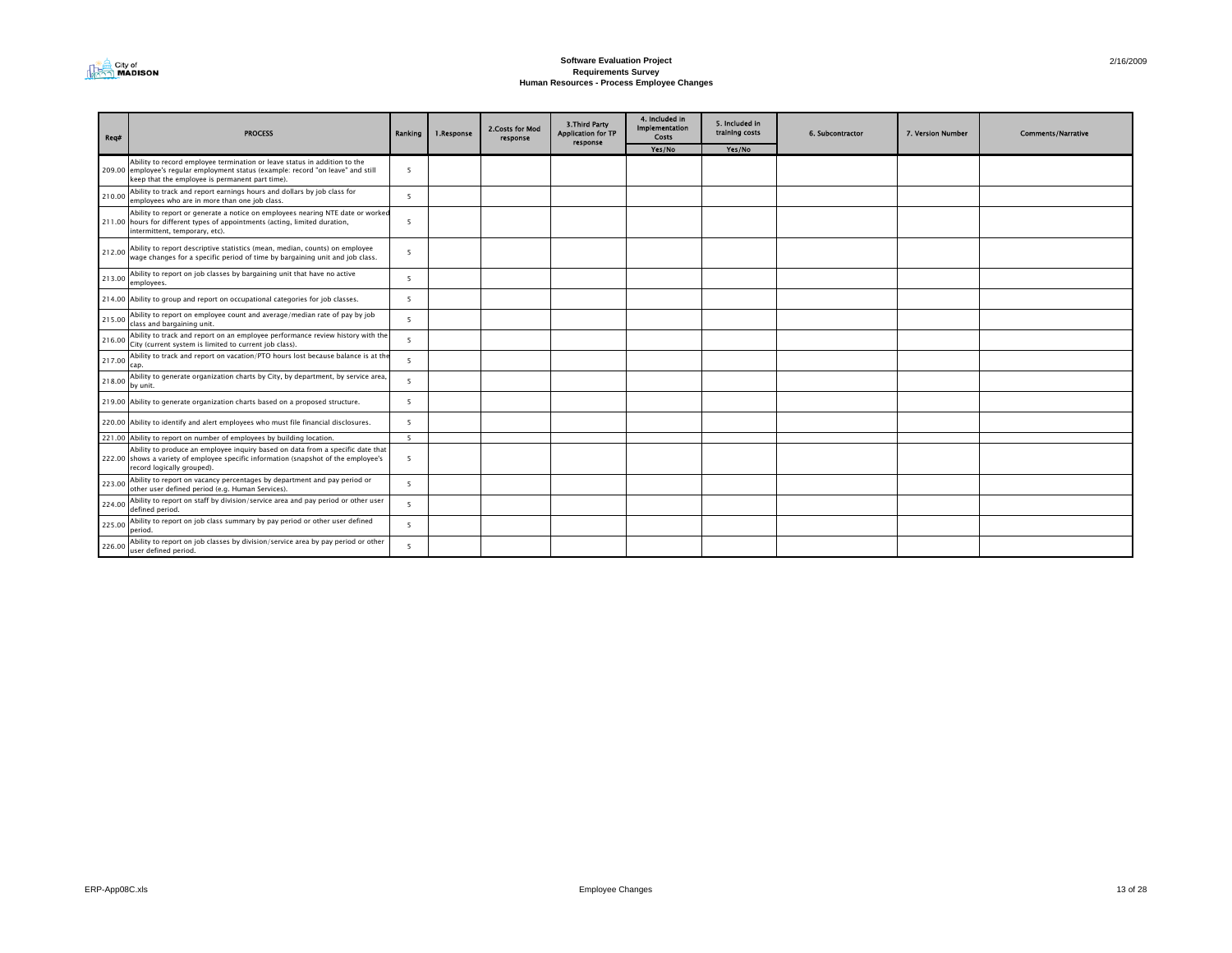

| Req#   | <b>PROCESS</b>                                                                                                                                                                                                    | Ranking        | 1.Response | 2. Costs for Mod<br>response | 3. Third Party<br><b>Application for TP</b><br>response | 4. Included in<br><b>Implementation</b><br>Costs | 5. Included in<br>training costs | 6. Subcontractor | 7. Version Number | <b>Comments/Narrative</b> |
|--------|-------------------------------------------------------------------------------------------------------------------------------------------------------------------------------------------------------------------|----------------|------------|------------------------------|---------------------------------------------------------|--------------------------------------------------|----------------------------------|------------------|-------------------|---------------------------|
|        |                                                                                                                                                                                                                   |                |            |                              |                                                         | Yes/No                                           | Yes/No                           |                  |                   |                           |
|        | Ability to record employee termination or leave status in addition to the<br>209.00 employee's regular employment status (example: record "on leave" and still<br>keep that the employee is permanent part time). | - 5            |            |                              |                                                         |                                                  |                                  |                  |                   |                           |
| 210.00 | Ability to track and report earnings hours and dollars by job class for<br>employees who are in more than one job class.                                                                                          | - 5            |            |                              |                                                         |                                                  |                                  |                  |                   |                           |
|        | Ability to report or generate a notice on employees nearing NTE date or worked<br>211.00 hours for different types of appointments (acting, limited duration,<br>intermittent, temporary, etc).                   | - 5            |            |                              |                                                         |                                                  |                                  |                  |                   |                           |
| 212.00 | Ability to report descriptive statistics (mean, median, counts) on employee<br>wage changes for a specific period of time by bargaining unit and job class.                                                       | $\overline{5}$ |            |                              |                                                         |                                                  |                                  |                  |                   |                           |
| 213.00 | Ability to report on job classes by bargaining unit that have no active<br>employees.                                                                                                                             | -5             |            |                              |                                                         |                                                  |                                  |                  |                   |                           |
|        | 214.00 Ability to group and report on occupational categories for job classes.                                                                                                                                    | -5             |            |                              |                                                         |                                                  |                                  |                  |                   |                           |
| 215.00 | Ability to report on employee count and average/median rate of pay by job<br>class and bargaining unit.                                                                                                           | $\overline{5}$ |            |                              |                                                         |                                                  |                                  |                  |                   |                           |
| 216.00 | Ability to track and report on an employee performance review history with the<br>City (current system is limited to current job class).                                                                          | -5             |            |                              |                                                         |                                                  |                                  |                  |                   |                           |
| 217.00 | Ability to track and report on vacation/PTO hours lost because balance is at the<br>cap.                                                                                                                          | $\overline{5}$ |            |                              |                                                         |                                                  |                                  |                  |                   |                           |
| 218.00 | Ability to generate organization charts by City, by department, by service area,<br>by unit.                                                                                                                      | $\overline{5}$ |            |                              |                                                         |                                                  |                                  |                  |                   |                           |
|        | 219.00 Ability to generate organization charts based on a proposed structure.                                                                                                                                     | -5             |            |                              |                                                         |                                                  |                                  |                  |                   |                           |
|        | 220.00 Ability to identify and alert employees who must file financial disclosures.                                                                                                                               | - 5            |            |                              |                                                         |                                                  |                                  |                  |                   |                           |
|        | 221.00 Ability to report on number of employees by building location.                                                                                                                                             | 5              |            |                              |                                                         |                                                  |                                  |                  |                   |                           |
|        | Ability to produce an employee inquiry based on data from a specific date that<br>222.00 shows a variety of employee specific information (snapshot of the employee's<br>record logically grouped).               | 5              |            |                              |                                                         |                                                  |                                  |                  |                   |                           |
| 223.00 | Ability to report on vacancy percentages by department and pay period or<br>other user defined period (e.g. Human Services).                                                                                      | -5             |            |                              |                                                         |                                                  |                                  |                  |                   |                           |
| 224.00 | Ability to report on staff by division/service area and pay period or other user<br>defined period.                                                                                                               | $\overline{5}$ |            |                              |                                                         |                                                  |                                  |                  |                   |                           |
| 225.00 | Ability to report on job class summary by pay period or other user defined<br>period.                                                                                                                             | $\overline{5}$ |            |                              |                                                         |                                                  |                                  |                  |                   |                           |
| 226.00 | Ability to report on job classes by division/service area by pay period or other<br>user defined period.                                                                                                          | $\overline{5}$ |            |                              |                                                         |                                                  |                                  |                  |                   |                           |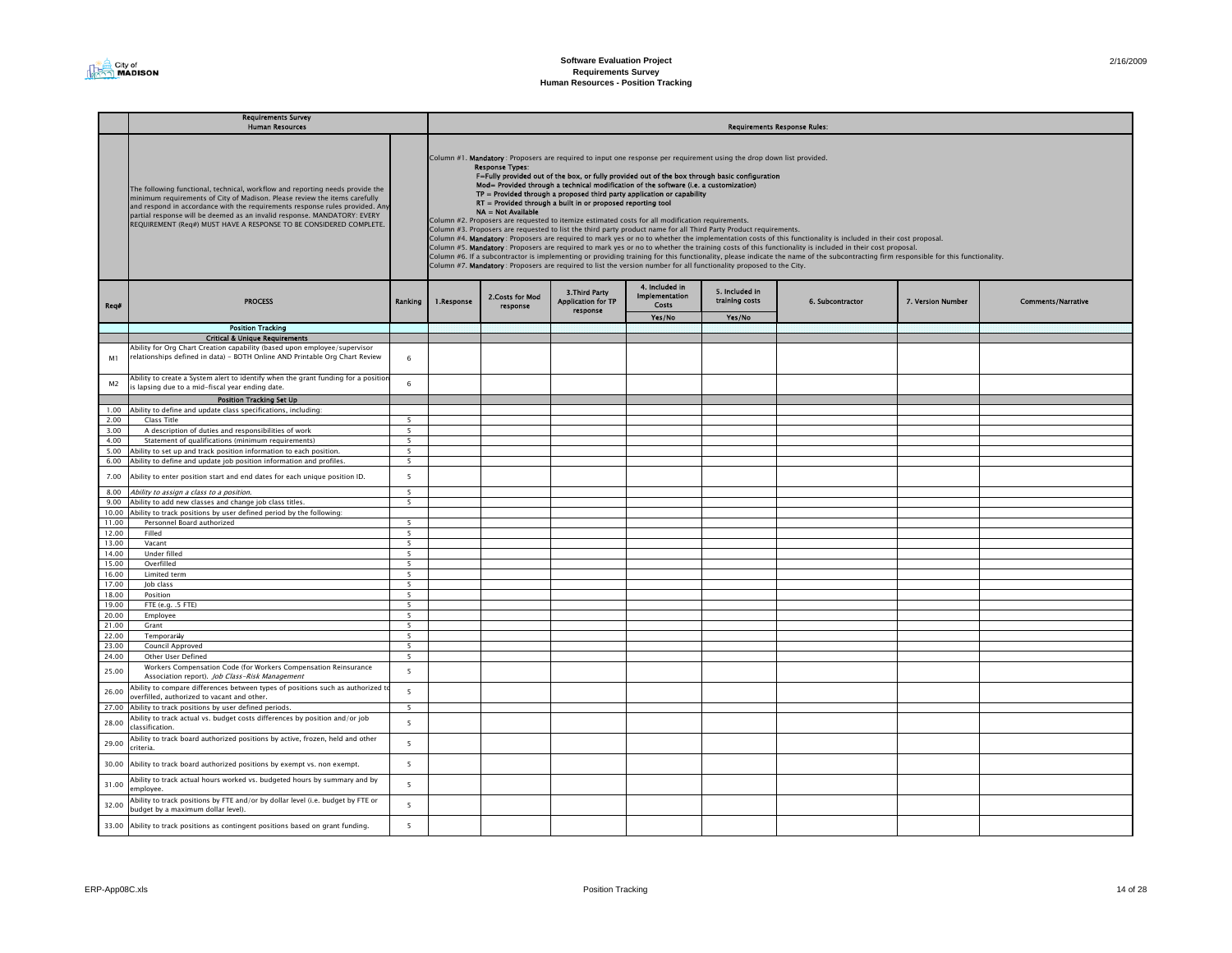|                | <b>Requirements Survey</b><br><b>Human Resources</b>                                                                                                                                                                                                                                                                                                                                          | <b>Requirements Response Rules:</b>        |            |                                              |                                                                |                                                                                                                                                                                                                                                                                                                                                                                                                                                                                                                                                                                                                                                                                                                                           |                                  |                                                                                                                                                                                                                                                                                                                                                                                                                                                                                                                 |                   |                           |  |
|----------------|-----------------------------------------------------------------------------------------------------------------------------------------------------------------------------------------------------------------------------------------------------------------------------------------------------------------------------------------------------------------------------------------------|--------------------------------------------|------------|----------------------------------------------|----------------------------------------------------------------|-------------------------------------------------------------------------------------------------------------------------------------------------------------------------------------------------------------------------------------------------------------------------------------------------------------------------------------------------------------------------------------------------------------------------------------------------------------------------------------------------------------------------------------------------------------------------------------------------------------------------------------------------------------------------------------------------------------------------------------------|----------------------------------|-----------------------------------------------------------------------------------------------------------------------------------------------------------------------------------------------------------------------------------------------------------------------------------------------------------------------------------------------------------------------------------------------------------------------------------------------------------------------------------------------------------------|-------------------|---------------------------|--|
|                | The following functional, technical, workflow and reporting needs provide the<br>minimum requirements of City of Madison. Please review the items carefully<br>and respond in accordance with the requirements response rules provided. Any<br>partial response will be deemed as an invalid response. MANDATORY: EVERY<br>REQUIREMENT (Req#) MUST HAVE A RESPONSE TO BE CONSIDERED COMPLETE. |                                            |            | <b>Response Types:</b><br>NA = Not Available | RT = Provided through a built in or proposed reporting tool    | Column #1. Mandatory: Proposers are required to input one response per requirement using the drop down list provided.<br>F=Fully provided out of the box, or fully provided out of the box through basic configuration<br>Mod= Provided through a technical modification of the software (i.e. a customization)<br>TP = Provided through a proposed third party application or capability<br>Column #2. Proposers are requested to itemize estimated costs for all modification requirements.<br>Column #3. Proposers are requested to list the third party product name for all Third Party Product requirements.<br>Column #7. Mandatory: Proposers are required to list the version number for all functionality proposed to the City. |                                  | Column #4. Mandatory : Proposers are required to mark yes or no to whether the implementation costs of this functionality is included in their cost proposal.<br>Column #5. Mandatory : Proposers are required to mark yes or no to whether the training costs of this functionality is included in their cost proposal.<br>Column #6. If a subcontractor is implementing or providing training for this functionality, please indicate the name of the subcontracting firm responsible for this functionality. |                   |                           |  |
| Rea#           | <b>PROCESS</b>                                                                                                                                                                                                                                                                                                                                                                                | Ranking                                    | 1.Response | 2. Costs for Mod<br>response                 | <b>3. Third Party</b><br><b>Application for TP</b><br>response | 4. Included in<br>Implementation<br>Costs                                                                                                                                                                                                                                                                                                                                                                                                                                                                                                                                                                                                                                                                                                 | 5. Included in<br>training costs | 6. Subcontractor                                                                                                                                                                                                                                                                                                                                                                                                                                                                                                | 7. Version Number | <b>Comments/Narrative</b> |  |
|                | <b>Position Tracking</b>                                                                                                                                                                                                                                                                                                                                                                      |                                            |            |                                              |                                                                | Yes/No                                                                                                                                                                                                                                                                                                                                                                                                                                                                                                                                                                                                                                                                                                                                    | Yes/No                           |                                                                                                                                                                                                                                                                                                                                                                                                                                                                                                                 |                   |                           |  |
|                | <b>Critical &amp; Unique Requirements</b>                                                                                                                                                                                                                                                                                                                                                     |                                            |            |                                              |                                                                |                                                                                                                                                                                                                                                                                                                                                                                                                                                                                                                                                                                                                                                                                                                                           |                                  |                                                                                                                                                                                                                                                                                                                                                                                                                                                                                                                 |                   |                           |  |
|                | Ability for Org Chart Creation capability (based upon employee/supervisor                                                                                                                                                                                                                                                                                                                     |                                            |            |                                              |                                                                |                                                                                                                                                                                                                                                                                                                                                                                                                                                                                                                                                                                                                                                                                                                                           |                                  |                                                                                                                                                                                                                                                                                                                                                                                                                                                                                                                 |                   |                           |  |
| M1             | relationships defined in data) - BOTH Online AND Printable Org Chart Review                                                                                                                                                                                                                                                                                                                   | 6                                          |            |                                              |                                                                |                                                                                                                                                                                                                                                                                                                                                                                                                                                                                                                                                                                                                                                                                                                                           |                                  |                                                                                                                                                                                                                                                                                                                                                                                                                                                                                                                 |                   |                           |  |
| M <sub>2</sub> | Ability to create a System alert to identify when the grant funding for a positior<br>is lapsing due to a mid-fiscal year ending date.                                                                                                                                                                                                                                                        | 6                                          |            |                                              |                                                                |                                                                                                                                                                                                                                                                                                                                                                                                                                                                                                                                                                                                                                                                                                                                           |                                  |                                                                                                                                                                                                                                                                                                                                                                                                                                                                                                                 |                   |                           |  |
|                | <b>Position Tracking Set Up</b>                                                                                                                                                                                                                                                                                                                                                               |                                            |            |                                              |                                                                |                                                                                                                                                                                                                                                                                                                                                                                                                                                                                                                                                                                                                                                                                                                                           |                                  |                                                                                                                                                                                                                                                                                                                                                                                                                                                                                                                 |                   |                           |  |
|                | 1.00 Ability to define and update class specifications, including:                                                                                                                                                                                                                                                                                                                            |                                            |            |                                              |                                                                |                                                                                                                                                                                                                                                                                                                                                                                                                                                                                                                                                                                                                                                                                                                                           |                                  |                                                                                                                                                                                                                                                                                                                                                                                                                                                                                                                 |                   |                           |  |
| 2.00           | Class Title                                                                                                                                                                                                                                                                                                                                                                                   | 5                                          |            |                                              |                                                                |                                                                                                                                                                                                                                                                                                                                                                                                                                                                                                                                                                                                                                                                                                                                           |                                  |                                                                                                                                                                                                                                                                                                                                                                                                                                                                                                                 |                   |                           |  |
| 3.00           | A description of duties and responsibilities of work                                                                                                                                                                                                                                                                                                                                          | 5                                          |            |                                              |                                                                |                                                                                                                                                                                                                                                                                                                                                                                                                                                                                                                                                                                                                                                                                                                                           |                                  |                                                                                                                                                                                                                                                                                                                                                                                                                                                                                                                 |                   |                           |  |
| 4.00           | Statement of qualifications (minimum requirements)                                                                                                                                                                                                                                                                                                                                            | $\overline{5}$<br>$\overline{\phantom{0}}$ |            |                                              |                                                                |                                                                                                                                                                                                                                                                                                                                                                                                                                                                                                                                                                                                                                                                                                                                           |                                  |                                                                                                                                                                                                                                                                                                                                                                                                                                                                                                                 |                   |                           |  |
|                | 5.00 Ability to set up and track position information to each position.<br>6.00 Ability to define and update job position information and profiles.                                                                                                                                                                                                                                           | 5                                          |            |                                              |                                                                |                                                                                                                                                                                                                                                                                                                                                                                                                                                                                                                                                                                                                                                                                                                                           |                                  |                                                                                                                                                                                                                                                                                                                                                                                                                                                                                                                 |                   |                           |  |
| 7.00           | Ability to enter position start and end dates for each unique position ID.                                                                                                                                                                                                                                                                                                                    | 5                                          |            |                                              |                                                                |                                                                                                                                                                                                                                                                                                                                                                                                                                                                                                                                                                                                                                                                                                                                           |                                  |                                                                                                                                                                                                                                                                                                                                                                                                                                                                                                                 |                   |                           |  |
| 8.00           | Ability to assign a class to a position.                                                                                                                                                                                                                                                                                                                                                      | 5                                          |            |                                              |                                                                |                                                                                                                                                                                                                                                                                                                                                                                                                                                                                                                                                                                                                                                                                                                                           |                                  |                                                                                                                                                                                                                                                                                                                                                                                                                                                                                                                 |                   |                           |  |
| 9.00           | Ability to add new classes and change job class titles.                                                                                                                                                                                                                                                                                                                                       | 5 <sup>5</sup>                             |            |                                              |                                                                |                                                                                                                                                                                                                                                                                                                                                                                                                                                                                                                                                                                                                                                                                                                                           |                                  |                                                                                                                                                                                                                                                                                                                                                                                                                                                                                                                 |                   |                           |  |
|                | 10.00 Ability to track positions by user defined period by the following:                                                                                                                                                                                                                                                                                                                     |                                            |            |                                              |                                                                |                                                                                                                                                                                                                                                                                                                                                                                                                                                                                                                                                                                                                                                                                                                                           |                                  |                                                                                                                                                                                                                                                                                                                                                                                                                                                                                                                 |                   |                           |  |
| 11.00          | Personnel Board authorized                                                                                                                                                                                                                                                                                                                                                                    | 5                                          |            |                                              |                                                                |                                                                                                                                                                                                                                                                                                                                                                                                                                                                                                                                                                                                                                                                                                                                           |                                  |                                                                                                                                                                                                                                                                                                                                                                                                                                                                                                                 |                   |                           |  |
| 12.00          | Filled                                                                                                                                                                                                                                                                                                                                                                                        | 5                                          |            |                                              |                                                                |                                                                                                                                                                                                                                                                                                                                                                                                                                                                                                                                                                                                                                                                                                                                           |                                  |                                                                                                                                                                                                                                                                                                                                                                                                                                                                                                                 |                   |                           |  |
| 13.00          | Vacant                                                                                                                                                                                                                                                                                                                                                                                        | $\overline{\phantom{0}}$                   |            |                                              |                                                                |                                                                                                                                                                                                                                                                                                                                                                                                                                                                                                                                                                                                                                                                                                                                           |                                  |                                                                                                                                                                                                                                                                                                                                                                                                                                                                                                                 |                   |                           |  |
| 14.00          | Under filled                                                                                                                                                                                                                                                                                                                                                                                  | $\overline{\phantom{0}}$                   |            |                                              |                                                                |                                                                                                                                                                                                                                                                                                                                                                                                                                                                                                                                                                                                                                                                                                                                           |                                  |                                                                                                                                                                                                                                                                                                                                                                                                                                                                                                                 |                   |                           |  |
| 15.00          | Overfilled                                                                                                                                                                                                                                                                                                                                                                                    | 5                                          |            |                                              |                                                                |                                                                                                                                                                                                                                                                                                                                                                                                                                                                                                                                                                                                                                                                                                                                           |                                  |                                                                                                                                                                                                                                                                                                                                                                                                                                                                                                                 |                   |                           |  |
| 16.00          | Limited term                                                                                                                                                                                                                                                                                                                                                                                  | 5                                          |            |                                              |                                                                |                                                                                                                                                                                                                                                                                                                                                                                                                                                                                                                                                                                                                                                                                                                                           |                                  |                                                                                                                                                                                                                                                                                                                                                                                                                                                                                                                 |                   |                           |  |
| 17.00<br>18.00 | Job class<br>Position                                                                                                                                                                                                                                                                                                                                                                         | 5 <sub>1</sub><br>5 <sub>1</sub>           |            |                                              |                                                                |                                                                                                                                                                                                                                                                                                                                                                                                                                                                                                                                                                                                                                                                                                                                           |                                  |                                                                                                                                                                                                                                                                                                                                                                                                                                                                                                                 |                   |                           |  |
| 19.00          | FTE (e.g. .5 FTE)                                                                                                                                                                                                                                                                                                                                                                             | 5                                          |            |                                              |                                                                |                                                                                                                                                                                                                                                                                                                                                                                                                                                                                                                                                                                                                                                                                                                                           |                                  |                                                                                                                                                                                                                                                                                                                                                                                                                                                                                                                 |                   |                           |  |
| 20.00          | Employee                                                                                                                                                                                                                                                                                                                                                                                      | 5                                          |            |                                              |                                                                |                                                                                                                                                                                                                                                                                                                                                                                                                                                                                                                                                                                                                                                                                                                                           |                                  |                                                                                                                                                                                                                                                                                                                                                                                                                                                                                                                 |                   |                           |  |
| 21.00          | Grant                                                                                                                                                                                                                                                                                                                                                                                         | 5                                          |            |                                              |                                                                |                                                                                                                                                                                                                                                                                                                                                                                                                                                                                                                                                                                                                                                                                                                                           |                                  |                                                                                                                                                                                                                                                                                                                                                                                                                                                                                                                 |                   |                           |  |
| 22.00          | Temporarily                                                                                                                                                                                                                                                                                                                                                                                   | 5                                          |            |                                              |                                                                |                                                                                                                                                                                                                                                                                                                                                                                                                                                                                                                                                                                                                                                                                                                                           |                                  |                                                                                                                                                                                                                                                                                                                                                                                                                                                                                                                 |                   |                           |  |
| 23.00          | Council Approved                                                                                                                                                                                                                                                                                                                                                                              | $\overline{\phantom{0}}$                   |            |                                              |                                                                |                                                                                                                                                                                                                                                                                                                                                                                                                                                                                                                                                                                                                                                                                                                                           |                                  |                                                                                                                                                                                                                                                                                                                                                                                                                                                                                                                 |                   |                           |  |
| 24.00          | Other User Defined                                                                                                                                                                                                                                                                                                                                                                            | $\overline{5}$                             |            |                                              |                                                                |                                                                                                                                                                                                                                                                                                                                                                                                                                                                                                                                                                                                                                                                                                                                           |                                  |                                                                                                                                                                                                                                                                                                                                                                                                                                                                                                                 |                   |                           |  |
| 25.00          | Workers Compensation Code (for Workers Compensation Reinsurance<br>Association report). Job Class-Risk Management                                                                                                                                                                                                                                                                             | 5                                          |            |                                              |                                                                |                                                                                                                                                                                                                                                                                                                                                                                                                                                                                                                                                                                                                                                                                                                                           |                                  |                                                                                                                                                                                                                                                                                                                                                                                                                                                                                                                 |                   |                           |  |
| 26.00          | Ability to compare differences between types of positions such as authorized to<br>overfilled, authorized to vacant and other.                                                                                                                                                                                                                                                                | 5                                          |            |                                              |                                                                |                                                                                                                                                                                                                                                                                                                                                                                                                                                                                                                                                                                                                                                                                                                                           |                                  |                                                                                                                                                                                                                                                                                                                                                                                                                                                                                                                 |                   |                           |  |
|                | 27.00 Ability to track positions by user defined periods.                                                                                                                                                                                                                                                                                                                                     | 5                                          |            |                                              |                                                                |                                                                                                                                                                                                                                                                                                                                                                                                                                                                                                                                                                                                                                                                                                                                           |                                  |                                                                                                                                                                                                                                                                                                                                                                                                                                                                                                                 |                   |                           |  |
| 28.00          | Ability to track actual vs. budget costs differences by position and/or job<br>lassification                                                                                                                                                                                                                                                                                                  | 5                                          |            |                                              |                                                                |                                                                                                                                                                                                                                                                                                                                                                                                                                                                                                                                                                                                                                                                                                                                           |                                  |                                                                                                                                                                                                                                                                                                                                                                                                                                                                                                                 |                   |                           |  |
| 29.00          | Ability to track board authorized positions by active, frozen, held and other<br>riteria.                                                                                                                                                                                                                                                                                                     | $5\overline{5}$                            |            |                                              |                                                                |                                                                                                                                                                                                                                                                                                                                                                                                                                                                                                                                                                                                                                                                                                                                           |                                  |                                                                                                                                                                                                                                                                                                                                                                                                                                                                                                                 |                   |                           |  |
|                | 30.00 Ability to track board authorized positions by exempt vs. non exempt.                                                                                                                                                                                                                                                                                                                   | 5                                          |            |                                              |                                                                |                                                                                                                                                                                                                                                                                                                                                                                                                                                                                                                                                                                                                                                                                                                                           |                                  |                                                                                                                                                                                                                                                                                                                                                                                                                                                                                                                 |                   |                           |  |
| 31.00          | Ability to track actual hours worked vs. budgeted hours by summary and by<br>mployee.                                                                                                                                                                                                                                                                                                         | 5                                          |            |                                              |                                                                |                                                                                                                                                                                                                                                                                                                                                                                                                                                                                                                                                                                                                                                                                                                                           |                                  |                                                                                                                                                                                                                                                                                                                                                                                                                                                                                                                 |                   |                           |  |
| 32.00          | Ability to track positions by FTE and/or by dollar level (i.e. budget by FTE or<br>budget by a maximum dollar level).                                                                                                                                                                                                                                                                         | 5                                          |            |                                              |                                                                |                                                                                                                                                                                                                                                                                                                                                                                                                                                                                                                                                                                                                                                                                                                                           |                                  |                                                                                                                                                                                                                                                                                                                                                                                                                                                                                                                 |                   |                           |  |
|                | 33.00 Ability to track positions as contingent positions based on grant funding.                                                                                                                                                                                                                                                                                                              | 5 <sup>1</sup>                             |            |                                              |                                                                |                                                                                                                                                                                                                                                                                                                                                                                                                                                                                                                                                                                                                                                                                                                                           |                                  |                                                                                                                                                                                                                                                                                                                                                                                                                                                                                                                 |                   |                           |  |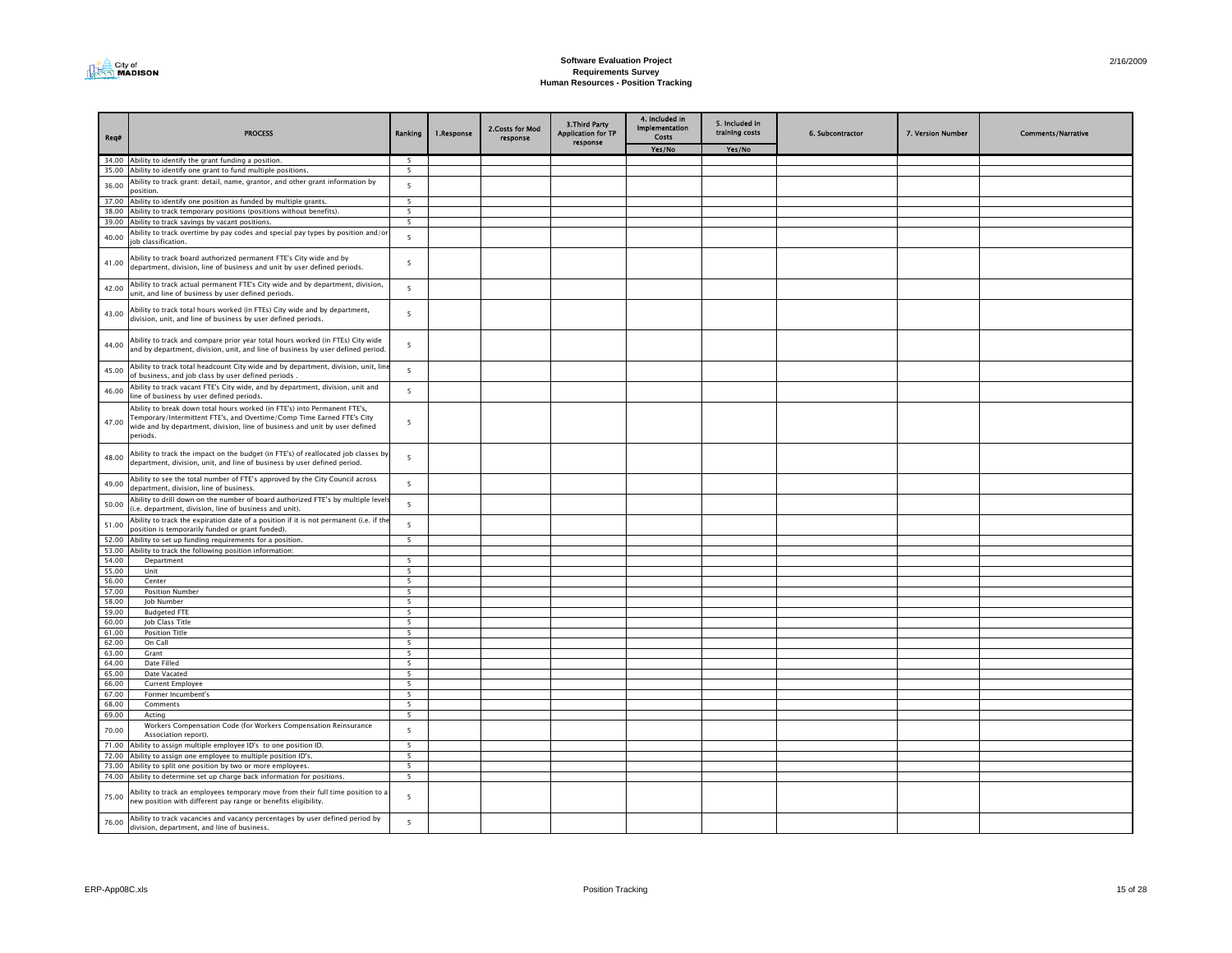

| Req#           | <b>PROCESS</b>                                                                                                                                                                                                                                 | Ranking                                              | 1.Response | 2. Costs for Mod<br>response | <b>3.Third Party</b><br><b>Application for TP</b><br>response | 4. Included in<br><b>Implementation</b><br>Costs | 5. Included in<br>training costs | 6. Subcontractor | 7. Version Number | <b>Comments/Narrative</b> |
|----------------|------------------------------------------------------------------------------------------------------------------------------------------------------------------------------------------------------------------------------------------------|------------------------------------------------------|------------|------------------------------|---------------------------------------------------------------|--------------------------------------------------|----------------------------------|------------------|-------------------|---------------------------|
|                |                                                                                                                                                                                                                                                |                                                      |            |                              |                                                               | Yes/No                                           | Yes/No                           |                  |                   |                           |
|                | 34.00 Ability to identify the grant funding a position.                                                                                                                                                                                        | - 5                                                  |            |                              |                                                               |                                                  |                                  |                  |                   |                           |
| 35.00          | Ability to identify one grant to fund multiple positions.                                                                                                                                                                                      | 5                                                    |            |                              |                                                               |                                                  |                                  |                  |                   |                           |
| 36.00          | Ability to track grant: detail, name, grantor, and other grant information by<br>nosition.                                                                                                                                                     | 5                                                    |            |                              |                                                               |                                                  |                                  |                  |                   |                           |
| 37.00          | Ability to identify one position as funded by multiple grants.                                                                                                                                                                                 | 5                                                    |            |                              |                                                               |                                                  |                                  |                  |                   |                           |
|                | 38.00 Ability to track temporary positions (positions without benefits).                                                                                                                                                                       | 5                                                    |            |                              |                                                               |                                                  |                                  |                  |                   |                           |
|                | 39.00 Ability to track savings by vacant positions.                                                                                                                                                                                            | 5 <sub>1</sub>                                       |            |                              |                                                               |                                                  |                                  |                  |                   |                           |
| 40.00          | Ability to track overtime by pay codes and special pay types by position and/or<br>job classification.                                                                                                                                         | 5                                                    |            |                              |                                                               |                                                  |                                  |                  |                   |                           |
| 41.00          | Ability to track board authorized permanent FTE's City wide and by<br>department, division, line of business and unit by user defined periods.                                                                                                 | 5                                                    |            |                              |                                                               |                                                  |                                  |                  |                   |                           |
| 42.00          | Ability to track actual permanent FTE's City wide and by department, division,<br>unit, and line of business by user defined periods.                                                                                                          | 5                                                    |            |                              |                                                               |                                                  |                                  |                  |                   |                           |
| 43.00          | Ability to track total hours worked (in FTEs) City wide and by department,<br>division, unit, and line of business by user defined periods.                                                                                                    | 5                                                    |            |                              |                                                               |                                                  |                                  |                  |                   |                           |
| 44.00          | Ability to track and compare prior year total hours worked (in FTEs) City wide<br>and by department, division, unit, and line of business by user defined period.                                                                              | $\overline{\phantom{a}}$                             |            |                              |                                                               |                                                  |                                  |                  |                   |                           |
| 45.00          | Ability to track total headcount City wide and by department, division, unit, lin<br>of business, and job class by user defined periods.                                                                                                       | 5                                                    |            |                              |                                                               |                                                  |                                  |                  |                   |                           |
| 46.00          | Ability to track vacant FTE's City wide, and by department, division, unit and<br>line of business by user defined periods.                                                                                                                    | $\overline{\phantom{a}}$                             |            |                              |                                                               |                                                  |                                  |                  |                   |                           |
| 47.00          | Ability to break down total hours worked (in FTE's) into Permanent FTE's,<br>Temporary/Intermittent FTE's, and Overtime/Comp Time Earned FTE's City<br>wide and by department, division, line of business and unit by user defined<br>periods. | 5                                                    |            |                              |                                                               |                                                  |                                  |                  |                   |                           |
| 48.00          | Ability to track the impact on the budget (in FTE's) of reallocated job classes by<br>department, division, unit, and line of business by user defined period.                                                                                 | 5                                                    |            |                              |                                                               |                                                  |                                  |                  |                   |                           |
| 49.00          | Ability to see the total number of FTE's approved by the City Council across<br>department, division, line of business.                                                                                                                        | 5                                                    |            |                              |                                                               |                                                  |                                  |                  |                   |                           |
| 50.00          | Ability to drill down on the number of board authorized FTE's by multiple level<br>(i.e. department, division, line of business and unit).                                                                                                     | 5                                                    |            |                              |                                                               |                                                  |                                  |                  |                   |                           |
| 51.00          | Ability to track the expiration date of a position if it is not permanent (i.e. if the<br>position is temporarily funded or grant funded).                                                                                                     | 5                                                    |            |                              |                                                               |                                                  |                                  |                  |                   |                           |
| 52.00          | Ability to set up funding requirements for a position.                                                                                                                                                                                         | 5                                                    |            |                              |                                                               |                                                  |                                  |                  |                   |                           |
| 53.00          | Ability to track the following position information:                                                                                                                                                                                           |                                                      |            |                              |                                                               |                                                  |                                  |                  |                   |                           |
| 54.00          | Department                                                                                                                                                                                                                                     | $\overline{5}$                                       |            |                              |                                                               |                                                  |                                  |                  |                   |                           |
| 55.00          | Unit                                                                                                                                                                                                                                           | 5                                                    |            |                              |                                                               |                                                  |                                  |                  |                   |                           |
| 56.00          | Center                                                                                                                                                                                                                                         | $\overline{\phantom{a}}$<br>$\overline{\phantom{a}}$ |            |                              |                                                               |                                                  |                                  |                  |                   |                           |
| 57.00<br>58.00 | <b>Position Number</b>                                                                                                                                                                                                                         | $\overline{\phantom{a}}$                             |            |                              |                                                               |                                                  |                                  |                  |                   |                           |
| 59.00          | Job Number<br><b>Budgeted FTE</b>                                                                                                                                                                                                              | $\overline{\phantom{a}}$                             |            |                              |                                                               |                                                  |                                  |                  |                   |                           |
| 60.00          | Job Class Title                                                                                                                                                                                                                                | 5                                                    |            |                              |                                                               |                                                  |                                  |                  |                   |                           |
| 61.00          | <b>Position Title</b>                                                                                                                                                                                                                          | 5                                                    |            |                              |                                                               |                                                  |                                  |                  |                   |                           |
| 62.00          | On Call                                                                                                                                                                                                                                        | 5                                                    |            |                              |                                                               |                                                  |                                  |                  |                   |                           |
| 63.00          | Grant                                                                                                                                                                                                                                          | 5                                                    |            |                              |                                                               |                                                  |                                  |                  |                   |                           |
| 64.00          | Date Filled                                                                                                                                                                                                                                    | $\overline{\phantom{a}}$                             |            |                              |                                                               |                                                  |                                  |                  |                   |                           |
| 65.00          | Date Vacated                                                                                                                                                                                                                                   | 5                                                    |            |                              |                                                               |                                                  |                                  |                  |                   |                           |
| 66.00          | <b>Current Employee</b>                                                                                                                                                                                                                        | 5                                                    |            |                              |                                                               |                                                  |                                  |                  |                   |                           |
| 67.00          | Former Incumbent's                                                                                                                                                                                                                             | $\overline{\phantom{a}}$                             |            |                              |                                                               |                                                  |                                  |                  |                   |                           |
| 68.00          | Comments                                                                                                                                                                                                                                       | 5                                                    |            |                              |                                                               |                                                  |                                  |                  |                   |                           |
| 69.00          | Acting                                                                                                                                                                                                                                         | 5                                                    |            |                              |                                                               |                                                  |                                  |                  |                   |                           |
| 70.00          | Workers Compensation Code (for Workers Compensation Reinsurance<br>Association report).                                                                                                                                                        | $\overline{\phantom{a}}$                             |            |                              |                                                               |                                                  |                                  |                  |                   |                           |
| 71.00          | Ability to assign multiple employee ID's to one position ID.                                                                                                                                                                                   | 5                                                    |            |                              |                                                               |                                                  |                                  |                  |                   |                           |
| 72.00          | Ability to assign one employee to multiple position ID's.                                                                                                                                                                                      | 5                                                    |            |                              |                                                               |                                                  |                                  |                  |                   |                           |
|                | 73.00 Ability to split one position by two or more employees.                                                                                                                                                                                  | 5                                                    |            |                              |                                                               |                                                  |                                  |                  |                   |                           |
|                | 74.00 Ability to determine set up charge back information for positions.                                                                                                                                                                       | 5                                                    |            |                              |                                                               |                                                  |                                  |                  |                   |                           |
| 75.00          | Ability to track an employees temporary move from their full time position to a<br>new position with different pay range or benefits eligibility.                                                                                              | 5                                                    |            |                              |                                                               |                                                  |                                  |                  |                   |                           |
| 76.00          | Ability to track vacancies and vacancy percentages by user defined period by<br>division, department, and line of business.                                                                                                                    | 5                                                    |            |                              |                                                               |                                                  |                                  |                  |                   |                           |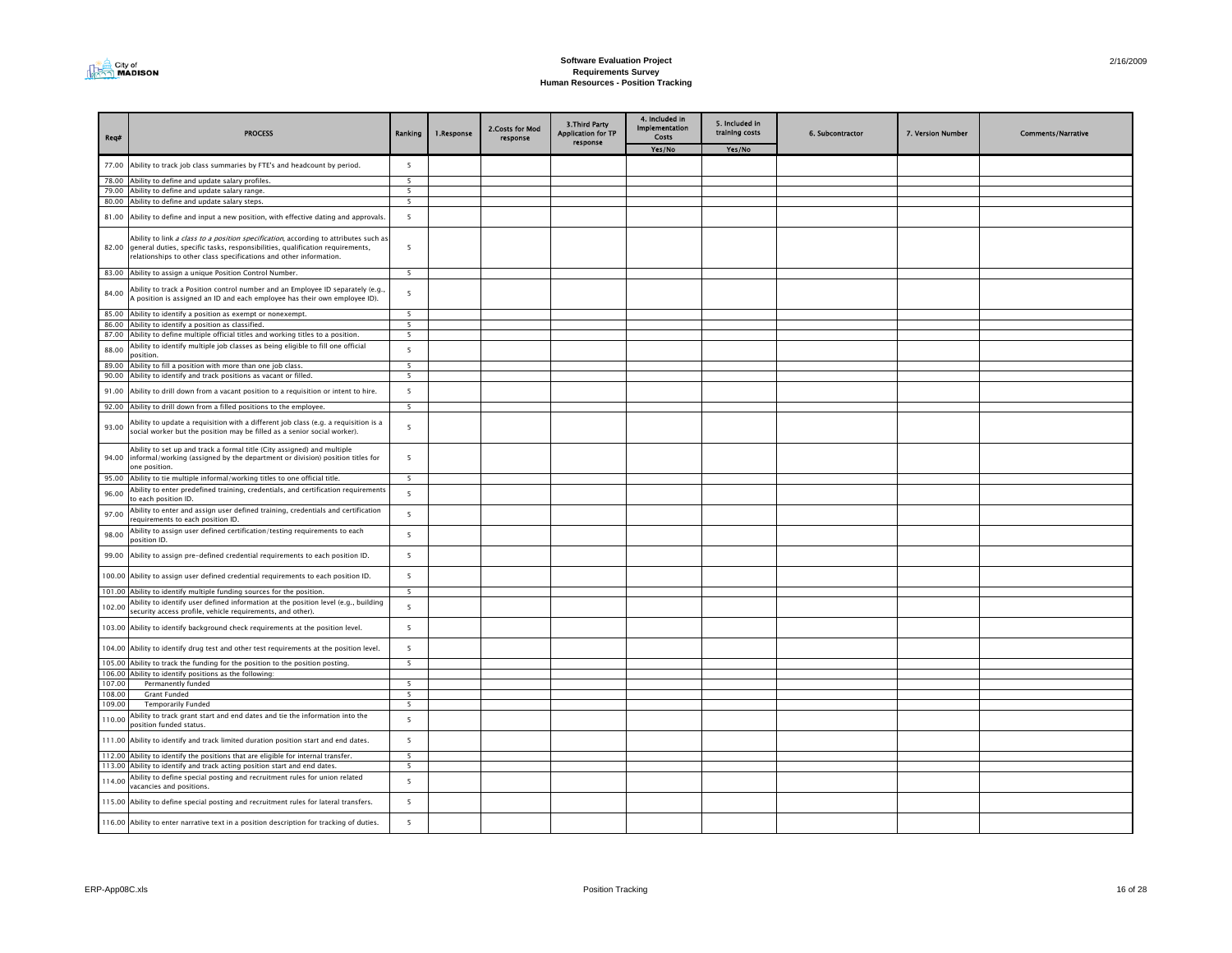

| Reg#             | <b>PROCESS</b>                                                                                                                                                                                                                              | Ranking                       | 1.Response | 2. Costs for Mod<br>response | <b>3.Third Party</b><br><b>Application for TP</b><br>response | 4. Included in<br><b>Implementation</b><br>Costs | 5. Included in<br>training costs | 6. Subcontractor | 7. Version Number | <b>Comments/Narrative</b> |
|------------------|---------------------------------------------------------------------------------------------------------------------------------------------------------------------------------------------------------------------------------------------|-------------------------------|------------|------------------------------|---------------------------------------------------------------|--------------------------------------------------|----------------------------------|------------------|-------------------|---------------------------|
|                  |                                                                                                                                                                                                                                             |                               |            |                              |                                                               | Yes/No                                           | Yes/No                           |                  |                   |                           |
| 77.00            | Ability to track job class summaries by FTE's and headcount by period.                                                                                                                                                                      | $\overline{\phantom{a}}$      |            |                              |                                                               |                                                  |                                  |                  |                   |                           |
|                  | 78.00 Ability to define and update salary profiles.                                                                                                                                                                                         | $\overline{\phantom{a}}$      |            |                              |                                                               |                                                  |                                  |                  |                   |                           |
| 79.00            | Ability to define and update salary range.                                                                                                                                                                                                  | 5                             |            |                              |                                                               |                                                  |                                  |                  |                   |                           |
|                  | 80.00 Ability to define and update salary steps.                                                                                                                                                                                            | $\overline{\phantom{a}}$      |            |                              |                                                               |                                                  |                                  |                  |                   |                           |
| 81.00            | Ability to define and input a new position, with effective dating and approvals.                                                                                                                                                            | 5                             |            |                              |                                                               |                                                  |                                  |                  |                   |                           |
| 82.00            | Ability to link a class to a position specification, according to attributes such as<br>general duties, specific tasks, responsibilities, qualification requirements,<br>relationships to other class specifications and other information. | 5                             |            |                              |                                                               |                                                  |                                  |                  |                   |                           |
|                  | 83.00 Ability to assign a unique Position Control Number.                                                                                                                                                                                   | $\overline{\phantom{0}}$      |            |                              |                                                               |                                                  |                                  |                  |                   |                           |
| 84.00            | Ability to track a Position control number and an Employee ID separately (e.g.<br>A position is assigned an ID and each employee has their own employee ID).                                                                                | 5                             |            |                              |                                                               |                                                  |                                  |                  |                   |                           |
| 85.00            | Ability to identify a position as exempt or nonexempt.                                                                                                                                                                                      | $\overline{5}$                |            |                              |                                                               |                                                  |                                  |                  |                   |                           |
| 86.00            | Ability to identify a position as classified.                                                                                                                                                                                               | $\overline{5}$                |            |                              |                                                               |                                                  |                                  |                  |                   |                           |
| 87.00            | Ability to define multiple official titles and working titles to a position.                                                                                                                                                                | 5                             |            |                              |                                                               |                                                  |                                  |                  |                   |                           |
| 88.00            | Ability to identify multiple job classes as being eligible to fill one official<br>nosition.                                                                                                                                                | 5                             |            |                              |                                                               |                                                  |                                  |                  |                   |                           |
| 89.00            | Ability to fill a position with more than one job class.                                                                                                                                                                                    | $\overline{\phantom{a}}$      |            |                              |                                                               |                                                  |                                  |                  |                   |                           |
| 90.00            | Ability to identify and track positions as vacant or filled.                                                                                                                                                                                | $\overline{5}$                |            |                              |                                                               |                                                  |                                  |                  |                   |                           |
| 91.00            | Ability to drill down from a vacant position to a requisition or intent to hire.                                                                                                                                                            | 5                             |            |                              |                                                               |                                                  |                                  |                  |                   |                           |
|                  | 92.00 Ability to drill down from a filled positions to the employee.                                                                                                                                                                        | 5                             |            |                              |                                                               |                                                  |                                  |                  |                   |                           |
| 93.00            | Ability to update a requisition with a different job class (e.g. a requisition is a<br>social worker but the position may be filled as a senior social worker).                                                                             | 5                             |            |                              |                                                               |                                                  |                                  |                  |                   |                           |
| 94.00            | Ability to set up and track a formal title (City assigned) and multiple<br>informal/working (assigned by the department or division) position titles for<br>one position.                                                                   | 5                             |            |                              |                                                               |                                                  |                                  |                  |                   |                           |
| 95.00            | Ability to tie multiple informal/working titles to one official title.                                                                                                                                                                      | -5                            |            |                              |                                                               |                                                  |                                  |                  |                   |                           |
| 96.00            | Ability to enter predefined training, credentials, and certification requirements<br>to each position ID.                                                                                                                                   | 5                             |            |                              |                                                               |                                                  |                                  |                  |                   |                           |
| 97.00            | Ability to enter and assign user defined training, credentials and certification<br>requirements to each position ID.                                                                                                                       | 5                             |            |                              |                                                               |                                                  |                                  |                  |                   |                           |
| 98.00            | Ability to assign user defined certification/testing requirements to each<br>position ID.                                                                                                                                                   | 5                             |            |                              |                                                               |                                                  |                                  |                  |                   |                           |
| 99.00            | Ability to assign pre-defined credential requirements to each position ID.                                                                                                                                                                  | 5                             |            |                              |                                                               |                                                  |                                  |                  |                   |                           |
|                  | 100.00 Ability to assign user defined credential requirements to each position ID.                                                                                                                                                          | 5                             |            |                              |                                                               |                                                  |                                  |                  |                   |                           |
|                  | 101.00 Ability to identify multiple funding sources for the position.                                                                                                                                                                       | $\overline{5}$                |            |                              |                                                               |                                                  |                                  |                  |                   |                           |
| 102.00           | Ability to identify user defined information at the position level (e.g., building<br>security access profile, vehicle requirements, and other).                                                                                            | 5                             |            |                              |                                                               |                                                  |                                  |                  |                   |                           |
|                  | 103.00 Ability to identify background check requirements at the position level.                                                                                                                                                             | 5                             |            |                              |                                                               |                                                  |                                  |                  |                   |                           |
|                  | 104.00 Ability to identify drug test and other test requirements at the position level.                                                                                                                                                     | 5                             |            |                              |                                                               |                                                  |                                  |                  |                   |                           |
|                  | 105.00 Ability to track the funding for the position to the position posting.                                                                                                                                                               | 5                             |            |                              |                                                               |                                                  |                                  |                  |                   |                           |
|                  | 106.00 Ability to identify positions as the following:                                                                                                                                                                                      | $\overline{5}$                |            |                              |                                                               |                                                  |                                  |                  |                   |                           |
| 107.00<br>108.00 | Permanently funded<br><b>Grant Funded</b>                                                                                                                                                                                                   | 5                             |            |                              |                                                               |                                                  |                                  |                  |                   |                           |
| 109.00           | <b>Temporarily Funded</b>                                                                                                                                                                                                                   | 5                             |            |                              |                                                               |                                                  |                                  |                  |                   |                           |
|                  | Ability to track grant start and end dates and tie the information into the                                                                                                                                                                 |                               |            |                              |                                                               |                                                  |                                  |                  |                   |                           |
| 110.00           | position funded status.                                                                                                                                                                                                                     | 5                             |            |                              |                                                               |                                                  |                                  |                  |                   |                           |
|                  | 111.00 Ability to identify and track limited duration position start and end dates.<br>112.00 Ability to identify the positions that are eligible for internal transfer.                                                                    | 5<br>$\overline{\phantom{0}}$ |            |                              |                                                               |                                                  |                                  |                  |                   |                           |
|                  | 113.00 Ability to identify and track acting position start and end dates.                                                                                                                                                                   | $\overline{\phantom{a}}$      |            |                              |                                                               |                                                  |                                  |                  |                   |                           |
|                  | Ability to define special posting and recruitment rules for union related                                                                                                                                                                   |                               |            |                              |                                                               |                                                  |                                  |                  |                   |                           |
| 114.00           | vacancies and positions.                                                                                                                                                                                                                    | 5                             |            |                              |                                                               |                                                  |                                  |                  |                   |                           |
|                  | 115.00 Ability to define special posting and recruitment rules for lateral transfers.                                                                                                                                                       | 5                             |            |                              |                                                               |                                                  |                                  |                  |                   |                           |
|                  | 116.00 Ability to enter narrative text in a position description for tracking of duties.                                                                                                                                                    | 5                             |            |                              |                                                               |                                                  |                                  |                  |                   |                           |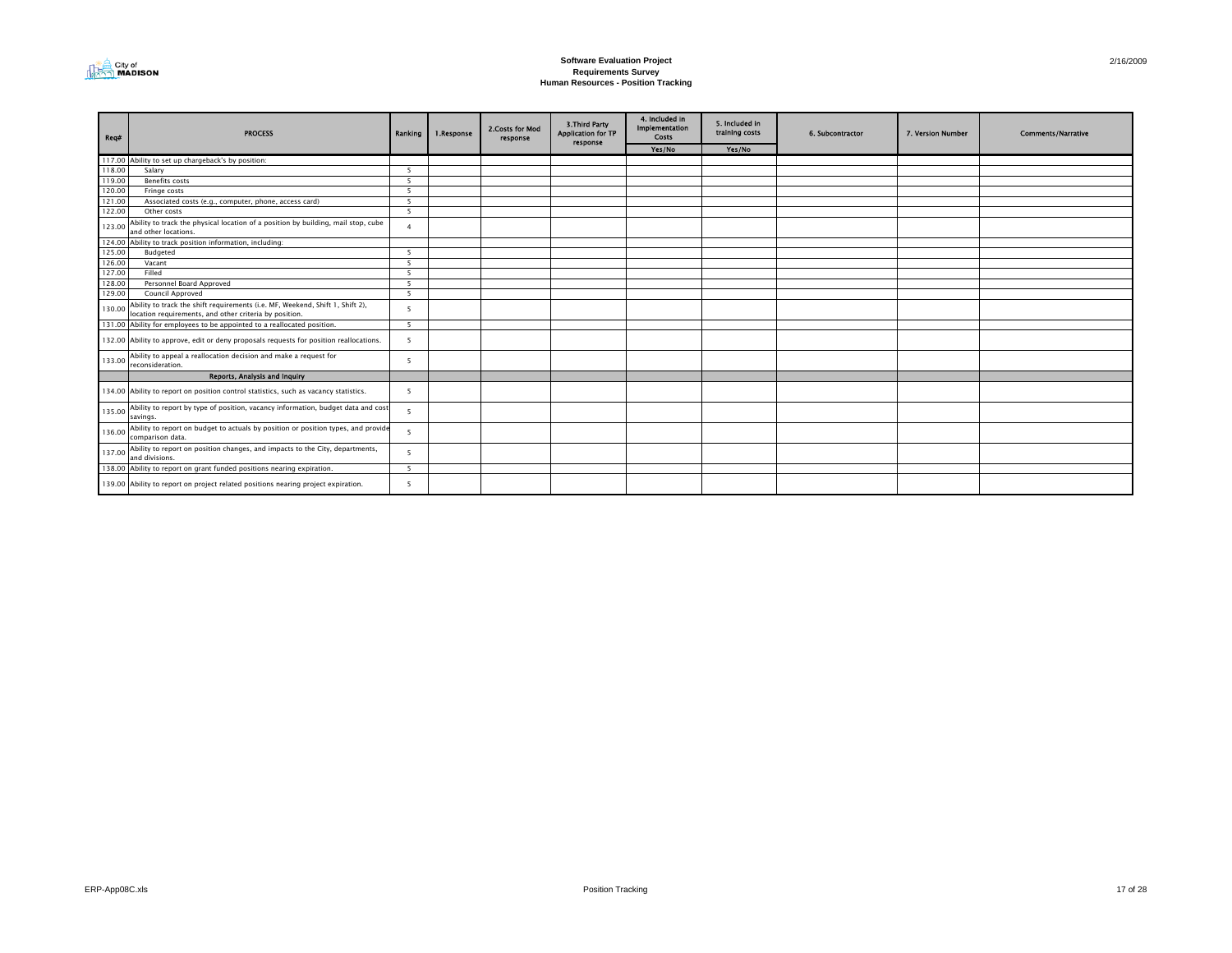

| Req#   | <b>PROCESS</b>                                                                                                                          | Ranking                  | 1.Response | 2. Costs for Mod<br>response | <b>3.Third Party</b><br><b>Application for TP</b><br>response | 4. Included in<br>Implementation<br>Costs | 5. Included in<br>training costs | 6. Subcontractor | 7. Version Number | <b>Comments/Narrative</b> |
|--------|-----------------------------------------------------------------------------------------------------------------------------------------|--------------------------|------------|------------------------------|---------------------------------------------------------------|-------------------------------------------|----------------------------------|------------------|-------------------|---------------------------|
|        |                                                                                                                                         |                          |            |                              |                                                               | Yes/No                                    | Yes/No                           |                  |                   |                           |
|        | 117.00 Ability to set up chargeback's by position:                                                                                      |                          |            |                              |                                                               |                                           |                                  |                  |                   |                           |
| 118.00 | Salary                                                                                                                                  | -5                       |            |                              |                                                               |                                           |                                  |                  |                   |                           |
| 119.00 | Benefits costs                                                                                                                          | -5                       |            |                              |                                                               |                                           |                                  |                  |                   |                           |
| 120.00 | Fringe costs                                                                                                                            | -5                       |            |                              |                                                               |                                           |                                  |                  |                   |                           |
| 121.00 | Associated costs (e.g., computer, phone, access card)                                                                                   | -5                       |            |                              |                                                               |                                           |                                  |                  |                   |                           |
| 122.00 | Other costs                                                                                                                             | $\overline{5}$           |            |                              |                                                               |                                           |                                  |                  |                   |                           |
| 123.00 | Ability to track the physical location of a position by building, mail stop, cube<br>and other locations.                               | $\boldsymbol{\Delta}$    |            |                              |                                                               |                                           |                                  |                  |                   |                           |
|        | 124.00 Ability to track position information, including:                                                                                |                          |            |                              |                                                               |                                           |                                  |                  |                   |                           |
| 125.00 | Budgeted                                                                                                                                | $\overline{\phantom{a}}$ |            |                              |                                                               |                                           |                                  |                  |                   |                           |
| 126.00 | Vacant                                                                                                                                  | - 5                      |            |                              |                                                               |                                           |                                  |                  |                   |                           |
| 127.00 | Filled                                                                                                                                  | 5 <sup>5</sup>           |            |                              |                                                               |                                           |                                  |                  |                   |                           |
| 128.00 | Personnel Board Approved                                                                                                                | - 5                      |            |                              |                                                               |                                           |                                  |                  |                   |                           |
| 129.00 | Council Approved                                                                                                                        | -5                       |            |                              |                                                               |                                           |                                  |                  |                   |                           |
| 130.00 | Ability to track the shift requirements (i.e. MF, Weekend, Shift 1, Shift 2),<br>location requirements, and other criteria by position. | 5                        |            |                              |                                                               |                                           |                                  |                  |                   |                           |
|        | 131.00 Ability for employees to be appointed to a reallocated position.                                                                 | 5                        |            |                              |                                                               |                                           |                                  |                  |                   |                           |
|        | 132.00 Ability to approve, edit or deny proposals requests for position reallocations.                                                  | 5                        |            |                              |                                                               |                                           |                                  |                  |                   |                           |
| 133.00 | Ability to appeal a reallocation decision and make a request for<br>reconsideration.                                                    | -5                       |            |                              |                                                               |                                           |                                  |                  |                   |                           |
|        | Reports, Analysis and Inquiry                                                                                                           |                          |            |                              |                                                               |                                           |                                  |                  |                   |                           |
|        | 134.00 Ability to report on position control statistics, such as vacancy statistics.                                                    | -5                       |            |                              |                                                               |                                           |                                  |                  |                   |                           |
| 135.00 | Ability to report by type of position, vacancy information, budget data and cost<br>savings.                                            | 5                        |            |                              |                                                               |                                           |                                  |                  |                   |                           |
| 136.00 | Ability to report on budget to actuals by position or position types, and provide<br>comparison data.                                   | 5                        |            |                              |                                                               |                                           |                                  |                  |                   |                           |
| 137.00 | Ability to report on position changes, and impacts to the City, departments,<br>and divisions.                                          | 5                        |            |                              |                                                               |                                           |                                  |                  |                   |                           |
|        | 138.00 Ability to report on grant funded positions nearing expiration.                                                                  | - 5                      |            |                              |                                                               |                                           |                                  |                  |                   |                           |
|        | 139.00 Ability to report on project related positions nearing project expiration.                                                       | -5                       |            |                              |                                                               |                                           |                                  |                  |                   |                           |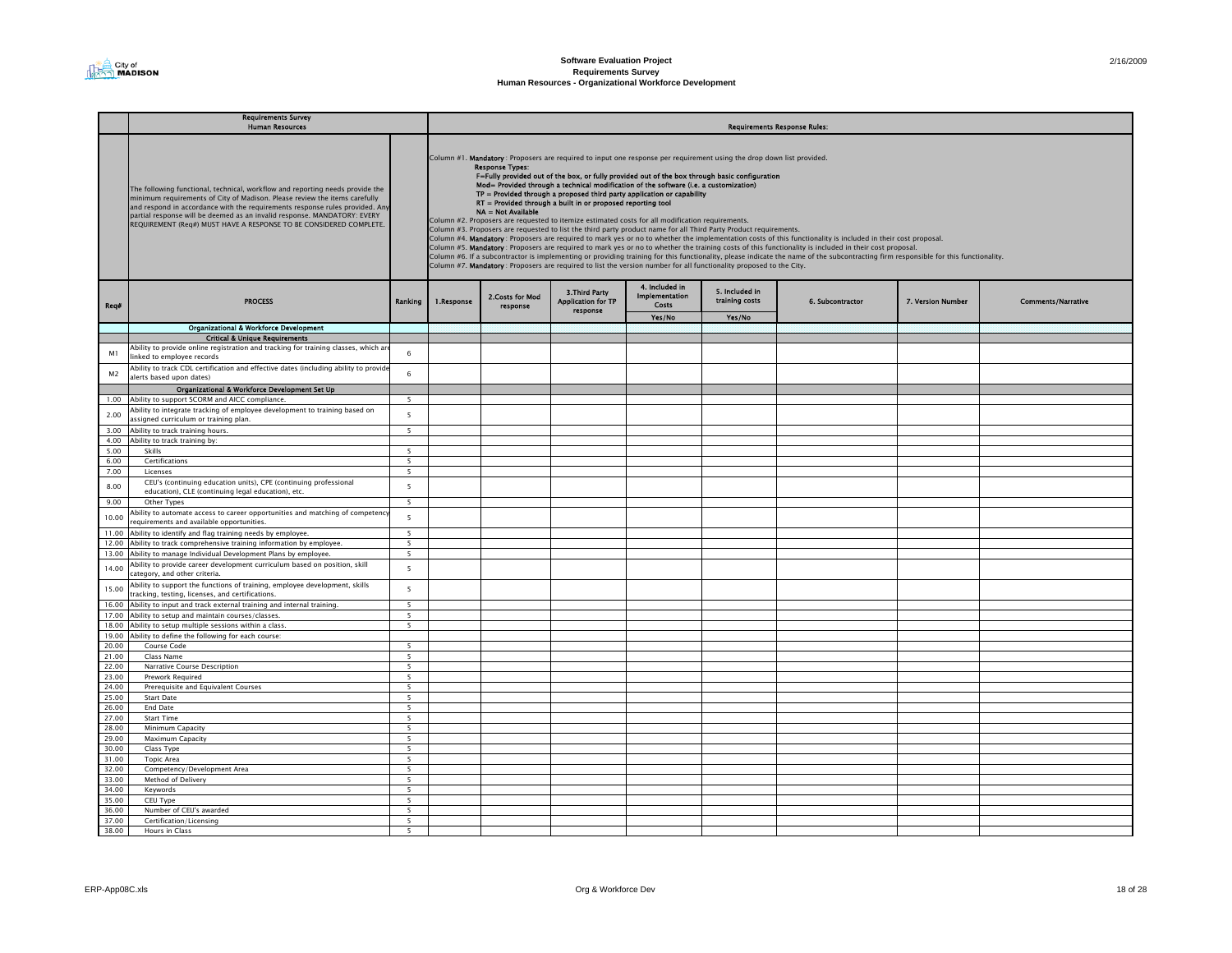|                | Requirements Survey<br><b>Human Resources</b>                                                                                                                                                                                                                                                                                                                                                 |                                                      | <b>Requirements Response Rules:</b> |                                              |                                                               |                                                                                                                                                                                                                                                                                                                                                                                                                                                                                                                                                                                                                                                                                                                                           |                                  |                                                                                                                                                                                                                                                                                                                                                                                                                                                                                                               |                   |                           |  |  |  |
|----------------|-----------------------------------------------------------------------------------------------------------------------------------------------------------------------------------------------------------------------------------------------------------------------------------------------------------------------------------------------------------------------------------------------|------------------------------------------------------|-------------------------------------|----------------------------------------------|---------------------------------------------------------------|-------------------------------------------------------------------------------------------------------------------------------------------------------------------------------------------------------------------------------------------------------------------------------------------------------------------------------------------------------------------------------------------------------------------------------------------------------------------------------------------------------------------------------------------------------------------------------------------------------------------------------------------------------------------------------------------------------------------------------------------|----------------------------------|---------------------------------------------------------------------------------------------------------------------------------------------------------------------------------------------------------------------------------------------------------------------------------------------------------------------------------------------------------------------------------------------------------------------------------------------------------------------------------------------------------------|-------------------|---------------------------|--|--|--|
|                | The following functional, technical, workflow and reporting needs provide the<br>minimum requirements of City of Madison. Please review the items carefully<br>and respond in accordance with the requirements response rules provided. Any<br>partial response will be deemed as an invalid response. MANDATORY: EVERY<br>REQUIREMENT (Req#) MUST HAVE A RESPONSE TO BE CONSIDERED COMPLETE. |                                                      |                                     | <b>Response Types:</b><br>NA = Not Available | RT = Provided through a built in or proposed reporting tool   | Column #1. Mandatory: Proposers are required to input one response per requirement using the drop down list provided.<br>F=Fully provided out of the box, or fully provided out of the box through basic configuration<br>Mod= Provided through a technical modification of the software (i.e. a customization)<br>TP = Provided through a proposed third party application or capability<br>Column #2. Proposers are requested to itemize estimated costs for all modification requirements.<br>Column #3. Proposers are requested to list the third party product name for all Third Party Product requirements.<br>Column #7. Mandatory: Proposers are required to list the version number for all functionality proposed to the City. |                                  | Column #4. Mandatory: Proposers are required to mark yes or no to whether the implementation costs of this functionality is included in their cost proposal.<br>Column #5. Mandatory: Proposers are required to mark yes or no to whether the training costs of this functionality is included in their cost proposal.<br>Column #6. If a subcontractor is implementing or providing training for this functionality, please indicate the name of the subcontracting firm responsible for this functionality. |                   |                           |  |  |  |
| Reg#           | <b>PROCESS</b>                                                                                                                                                                                                                                                                                                                                                                                | Ranking                                              | 1.Response                          | 2. Costs for Mod<br>response                 | <b>3.Third Party</b><br><b>Application for TP</b><br>response | 4. Included in<br>Implementation<br>Costs                                                                                                                                                                                                                                                                                                                                                                                                                                                                                                                                                                                                                                                                                                 | 5. Included in<br>training costs | 6. Subcontractor                                                                                                                                                                                                                                                                                                                                                                                                                                                                                              | 7. Version Number | <b>Comments/Narrative</b> |  |  |  |
|                |                                                                                                                                                                                                                                                                                                                                                                                               |                                                      |                                     |                                              |                                                               | Yes/No                                                                                                                                                                                                                                                                                                                                                                                                                                                                                                                                                                                                                                                                                                                                    | Yes/No                           |                                                                                                                                                                                                                                                                                                                                                                                                                                                                                                               |                   |                           |  |  |  |
|                | <b>Organizational &amp; Workforce Development</b>                                                                                                                                                                                                                                                                                                                                             |                                                      |                                     |                                              |                                                               |                                                                                                                                                                                                                                                                                                                                                                                                                                                                                                                                                                                                                                                                                                                                           |                                  |                                                                                                                                                                                                                                                                                                                                                                                                                                                                                                               |                   |                           |  |  |  |
|                | <b>Critical &amp; Unique Requirements</b>                                                                                                                                                                                                                                                                                                                                                     |                                                      |                                     |                                              |                                                               |                                                                                                                                                                                                                                                                                                                                                                                                                                                                                                                                                                                                                                                                                                                                           |                                  |                                                                                                                                                                                                                                                                                                                                                                                                                                                                                                               |                   |                           |  |  |  |
| M1             | Ability to provide online registration and tracking for training classes, which a<br>linked to employee records                                                                                                                                                                                                                                                                               | $\,6\,$                                              |                                     |                                              |                                                               |                                                                                                                                                                                                                                                                                                                                                                                                                                                                                                                                                                                                                                                                                                                                           |                                  |                                                                                                                                                                                                                                                                                                                                                                                                                                                                                                               |                   |                           |  |  |  |
| M <sub>2</sub> | Ability to track CDL certification and effective dates (including ability to provide<br>alerts based upon dates)                                                                                                                                                                                                                                                                              | $6\phantom{1}$                                       |                                     |                                              |                                                               |                                                                                                                                                                                                                                                                                                                                                                                                                                                                                                                                                                                                                                                                                                                                           |                                  |                                                                                                                                                                                                                                                                                                                                                                                                                                                                                                               |                   |                           |  |  |  |
|                | Organizational & Workforce Development Set Up                                                                                                                                                                                                                                                                                                                                                 |                                                      |                                     |                                              |                                                               |                                                                                                                                                                                                                                                                                                                                                                                                                                                                                                                                                                                                                                                                                                                                           |                                  |                                                                                                                                                                                                                                                                                                                                                                                                                                                                                                               |                   |                           |  |  |  |
| 1.00           | Ability to support SCORM and AICC compliance.                                                                                                                                                                                                                                                                                                                                                 | 5 <sup>5</sup>                                       |                                     |                                              |                                                               |                                                                                                                                                                                                                                                                                                                                                                                                                                                                                                                                                                                                                                                                                                                                           |                                  |                                                                                                                                                                                                                                                                                                                                                                                                                                                                                                               |                   |                           |  |  |  |
|                | Ability to integrate tracking of employee development to training based on                                                                                                                                                                                                                                                                                                                    | 5                                                    |                                     |                                              |                                                               |                                                                                                                                                                                                                                                                                                                                                                                                                                                                                                                                                                                                                                                                                                                                           |                                  |                                                                                                                                                                                                                                                                                                                                                                                                                                                                                                               |                   |                           |  |  |  |
| 2.00           | assigned curriculum or training plan.                                                                                                                                                                                                                                                                                                                                                         |                                                      |                                     |                                              |                                                               |                                                                                                                                                                                                                                                                                                                                                                                                                                                                                                                                                                                                                                                                                                                                           |                                  |                                                                                                                                                                                                                                                                                                                                                                                                                                                                                                               |                   |                           |  |  |  |
| 3.00           | Ability to track training hours.                                                                                                                                                                                                                                                                                                                                                              | 5                                                    |                                     |                                              |                                                               |                                                                                                                                                                                                                                                                                                                                                                                                                                                                                                                                                                                                                                                                                                                                           |                                  |                                                                                                                                                                                                                                                                                                                                                                                                                                                                                                               |                   |                           |  |  |  |
| 4.00           | Ability to track training by:                                                                                                                                                                                                                                                                                                                                                                 |                                                      |                                     |                                              |                                                               |                                                                                                                                                                                                                                                                                                                                                                                                                                                                                                                                                                                                                                                                                                                                           |                                  |                                                                                                                                                                                                                                                                                                                                                                                                                                                                                                               |                   |                           |  |  |  |
| 5.00           | Skills                                                                                                                                                                                                                                                                                                                                                                                        | 5                                                    |                                     |                                              |                                                               |                                                                                                                                                                                                                                                                                                                                                                                                                                                                                                                                                                                                                                                                                                                                           |                                  |                                                                                                                                                                                                                                                                                                                                                                                                                                                                                                               |                   |                           |  |  |  |
| 6.00           | Certifications                                                                                                                                                                                                                                                                                                                                                                                | 5                                                    |                                     |                                              |                                                               |                                                                                                                                                                                                                                                                                                                                                                                                                                                                                                                                                                                                                                                                                                                                           |                                  |                                                                                                                                                                                                                                                                                                                                                                                                                                                                                                               |                   |                           |  |  |  |
| 7.00           | Licenses                                                                                                                                                                                                                                                                                                                                                                                      | 5                                                    |                                     |                                              |                                                               |                                                                                                                                                                                                                                                                                                                                                                                                                                                                                                                                                                                                                                                                                                                                           |                                  |                                                                                                                                                                                                                                                                                                                                                                                                                                                                                                               |                   |                           |  |  |  |
| 8.00<br>9.00   | CEU's (continuing education units), CPE (continuing professional<br>education), CLE (continuing legal education), etc.<br>Other Types                                                                                                                                                                                                                                                         | 5<br>$\overline{5}$                                  |                                     |                                              |                                                               |                                                                                                                                                                                                                                                                                                                                                                                                                                                                                                                                                                                                                                                                                                                                           |                                  |                                                                                                                                                                                                                                                                                                                                                                                                                                                                                                               |                   |                           |  |  |  |
|                | Ability to automate access to career opportunities and matching of competenc                                                                                                                                                                                                                                                                                                                  |                                                      |                                     |                                              |                                                               |                                                                                                                                                                                                                                                                                                                                                                                                                                                                                                                                                                                                                                                                                                                                           |                                  |                                                                                                                                                                                                                                                                                                                                                                                                                                                                                                               |                   |                           |  |  |  |
| 10.00<br>11.00 | requirements and available opportunities.<br>Ability to identify and flag training needs by employee.                                                                                                                                                                                                                                                                                         | 5<br>5 <sup>5</sup>                                  |                                     |                                              |                                                               |                                                                                                                                                                                                                                                                                                                                                                                                                                                                                                                                                                                                                                                                                                                                           |                                  |                                                                                                                                                                                                                                                                                                                                                                                                                                                                                                               |                   |                           |  |  |  |
| 12.00          | Ability to track comprehensive training information by employee.                                                                                                                                                                                                                                                                                                                              | 5                                                    |                                     |                                              |                                                               |                                                                                                                                                                                                                                                                                                                                                                                                                                                                                                                                                                                                                                                                                                                                           |                                  |                                                                                                                                                                                                                                                                                                                                                                                                                                                                                                               |                   |                           |  |  |  |
| 13.00          | Ability to manage Individual Development Plans by employee.                                                                                                                                                                                                                                                                                                                                   | 5                                                    |                                     |                                              |                                                               |                                                                                                                                                                                                                                                                                                                                                                                                                                                                                                                                                                                                                                                                                                                                           |                                  |                                                                                                                                                                                                                                                                                                                                                                                                                                                                                                               |                   |                           |  |  |  |
|                | Ability to provide career development curriculum based on position, skill                                                                                                                                                                                                                                                                                                                     |                                                      |                                     |                                              |                                                               |                                                                                                                                                                                                                                                                                                                                                                                                                                                                                                                                                                                                                                                                                                                                           |                                  |                                                                                                                                                                                                                                                                                                                                                                                                                                                                                                               |                   |                           |  |  |  |
| 14.00          | category, and other criteria.<br>Ability to support the functions of training, employee development, skills                                                                                                                                                                                                                                                                                   | 5                                                    |                                     |                                              |                                                               |                                                                                                                                                                                                                                                                                                                                                                                                                                                                                                                                                                                                                                                                                                                                           |                                  |                                                                                                                                                                                                                                                                                                                                                                                                                                                                                                               |                   |                           |  |  |  |
| 15.00          | tracking, testing, licenses, and certifications.                                                                                                                                                                                                                                                                                                                                              | 5                                                    |                                     |                                              |                                                               |                                                                                                                                                                                                                                                                                                                                                                                                                                                                                                                                                                                                                                                                                                                                           |                                  |                                                                                                                                                                                                                                                                                                                                                                                                                                                                                                               |                   |                           |  |  |  |
| 16.00          | Ability to input and track external training and internal training.                                                                                                                                                                                                                                                                                                                           | 5 <sup>5</sup>                                       |                                     |                                              |                                                               |                                                                                                                                                                                                                                                                                                                                                                                                                                                                                                                                                                                                                                                                                                                                           |                                  |                                                                                                                                                                                                                                                                                                                                                                                                                                                                                                               |                   |                           |  |  |  |
| 17.00          | Ability to setup and maintain courses/classes.                                                                                                                                                                                                                                                                                                                                                | -5                                                   |                                     |                                              |                                                               |                                                                                                                                                                                                                                                                                                                                                                                                                                                                                                                                                                                                                                                                                                                                           |                                  |                                                                                                                                                                                                                                                                                                                                                                                                                                                                                                               |                   |                           |  |  |  |
| 18.00          | Ability to setup multiple sessions within a class.                                                                                                                                                                                                                                                                                                                                            | 5                                                    |                                     |                                              |                                                               |                                                                                                                                                                                                                                                                                                                                                                                                                                                                                                                                                                                                                                                                                                                                           |                                  |                                                                                                                                                                                                                                                                                                                                                                                                                                                                                                               |                   |                           |  |  |  |
| 19.00          | Ability to define the following for each course:                                                                                                                                                                                                                                                                                                                                              |                                                      |                                     |                                              |                                                               |                                                                                                                                                                                                                                                                                                                                                                                                                                                                                                                                                                                                                                                                                                                                           |                                  |                                                                                                                                                                                                                                                                                                                                                                                                                                                                                                               |                   |                           |  |  |  |
| 20.00          | Course Code                                                                                                                                                                                                                                                                                                                                                                                   | $\overline{5}$<br>$\overline{5}$                     |                                     |                                              |                                                               |                                                                                                                                                                                                                                                                                                                                                                                                                                                                                                                                                                                                                                                                                                                                           |                                  |                                                                                                                                                                                                                                                                                                                                                                                                                                                                                                               |                   |                           |  |  |  |
| 21.00<br>22.00 | Class Name<br>Narrative Course Description                                                                                                                                                                                                                                                                                                                                                    | $\overline{\phantom{a}}$                             |                                     |                                              |                                                               |                                                                                                                                                                                                                                                                                                                                                                                                                                                                                                                                                                                                                                                                                                                                           |                                  |                                                                                                                                                                                                                                                                                                                                                                                                                                                                                                               |                   |                           |  |  |  |
| 23.00          | Prework Required                                                                                                                                                                                                                                                                                                                                                                              | 5                                                    |                                     |                                              |                                                               |                                                                                                                                                                                                                                                                                                                                                                                                                                                                                                                                                                                                                                                                                                                                           |                                  |                                                                                                                                                                                                                                                                                                                                                                                                                                                                                                               |                   |                           |  |  |  |
| 24.00          | Prerequisite and Equivalent Courses                                                                                                                                                                                                                                                                                                                                                           | 5                                                    |                                     |                                              |                                                               |                                                                                                                                                                                                                                                                                                                                                                                                                                                                                                                                                                                                                                                                                                                                           |                                  |                                                                                                                                                                                                                                                                                                                                                                                                                                                                                                               |                   |                           |  |  |  |
| 25.00          | <b>Start Date</b>                                                                                                                                                                                                                                                                                                                                                                             | 5                                                    |                                     |                                              |                                                               |                                                                                                                                                                                                                                                                                                                                                                                                                                                                                                                                                                                                                                                                                                                                           |                                  |                                                                                                                                                                                                                                                                                                                                                                                                                                                                                                               |                   |                           |  |  |  |
| 26.00          | <b>End Date</b>                                                                                                                                                                                                                                                                                                                                                                               | -5                                                   |                                     |                                              |                                                               |                                                                                                                                                                                                                                                                                                                                                                                                                                                                                                                                                                                                                                                                                                                                           |                                  |                                                                                                                                                                                                                                                                                                                                                                                                                                                                                                               |                   |                           |  |  |  |
| 27.00          | <b>Start Time</b>                                                                                                                                                                                                                                                                                                                                                                             | 5                                                    |                                     |                                              |                                                               |                                                                                                                                                                                                                                                                                                                                                                                                                                                                                                                                                                                                                                                                                                                                           |                                  |                                                                                                                                                                                                                                                                                                                                                                                                                                                                                                               |                   |                           |  |  |  |
| 28.00          | Minimum Capacity                                                                                                                                                                                                                                                                                                                                                                              | $\overline{\phantom{a}}$                             |                                     |                                              |                                                               |                                                                                                                                                                                                                                                                                                                                                                                                                                                                                                                                                                                                                                                                                                                                           |                                  |                                                                                                                                                                                                                                                                                                                                                                                                                                                                                                               |                   |                           |  |  |  |
| 29.00          | <b>Maximum Capacity</b>                                                                                                                                                                                                                                                                                                                                                                       | $\overline{5}$                                       |                                     |                                              |                                                               |                                                                                                                                                                                                                                                                                                                                                                                                                                                                                                                                                                                                                                                                                                                                           |                                  |                                                                                                                                                                                                                                                                                                                                                                                                                                                                                                               |                   |                           |  |  |  |
| 30.00          | Class Type                                                                                                                                                                                                                                                                                                                                                                                    | $\overline{\phantom{a}}$                             |                                     |                                              |                                                               |                                                                                                                                                                                                                                                                                                                                                                                                                                                                                                                                                                                                                                                                                                                                           |                                  |                                                                                                                                                                                                                                                                                                                                                                                                                                                                                                               |                   |                           |  |  |  |
| 31.00          | <b>Topic Area</b>                                                                                                                                                                                                                                                                                                                                                                             | 5                                                    |                                     |                                              |                                                               |                                                                                                                                                                                                                                                                                                                                                                                                                                                                                                                                                                                                                                                                                                                                           |                                  |                                                                                                                                                                                                                                                                                                                                                                                                                                                                                                               |                   |                           |  |  |  |
| 32.00          | Competency/Development Area                                                                                                                                                                                                                                                                                                                                                                   | 5 <sup>5</sup>                                       |                                     |                                              |                                                               |                                                                                                                                                                                                                                                                                                                                                                                                                                                                                                                                                                                                                                                                                                                                           |                                  |                                                                                                                                                                                                                                                                                                                                                                                                                                                                                                               |                   |                           |  |  |  |
| 33.00          | Method of Delivery                                                                                                                                                                                                                                                                                                                                                                            | 5                                                    |                                     |                                              |                                                               |                                                                                                                                                                                                                                                                                                                                                                                                                                                                                                                                                                                                                                                                                                                                           |                                  |                                                                                                                                                                                                                                                                                                                                                                                                                                                                                                               |                   |                           |  |  |  |
| 34.00          | Keywords                                                                                                                                                                                                                                                                                                                                                                                      | 5                                                    |                                     |                                              |                                                               |                                                                                                                                                                                                                                                                                                                                                                                                                                                                                                                                                                                                                                                                                                                                           |                                  |                                                                                                                                                                                                                                                                                                                                                                                                                                                                                                               |                   |                           |  |  |  |
| 35.00          | <b>CEU Type</b>                                                                                                                                                                                                                                                                                                                                                                               | $\overline{\phantom{a}}$<br>$\overline{\phantom{0}}$ |                                     |                                              |                                                               |                                                                                                                                                                                                                                                                                                                                                                                                                                                                                                                                                                                                                                                                                                                                           |                                  |                                                                                                                                                                                                                                                                                                                                                                                                                                                                                                               |                   |                           |  |  |  |
| 36.00          | Number of CEU's awarded                                                                                                                                                                                                                                                                                                                                                                       |                                                      |                                     |                                              |                                                               |                                                                                                                                                                                                                                                                                                                                                                                                                                                                                                                                                                                                                                                                                                                                           |                                  |                                                                                                                                                                                                                                                                                                                                                                                                                                                                                                               |                   |                           |  |  |  |
| 37.00<br>38.00 | Certification/Licensing<br>Hours in Class                                                                                                                                                                                                                                                                                                                                                     | -5                                                   |                                     |                                              |                                                               |                                                                                                                                                                                                                                                                                                                                                                                                                                                                                                                                                                                                                                                                                                                                           |                                  |                                                                                                                                                                                                                                                                                                                                                                                                                                                                                                               |                   |                           |  |  |  |
|                |                                                                                                                                                                                                                                                                                                                                                                                               |                                                      |                                     |                                              |                                                               |                                                                                                                                                                                                                                                                                                                                                                                                                                                                                                                                                                                                                                                                                                                                           |                                  |                                                                                                                                                                                                                                                                                                                                                                                                                                                                                                               |                   |                           |  |  |  |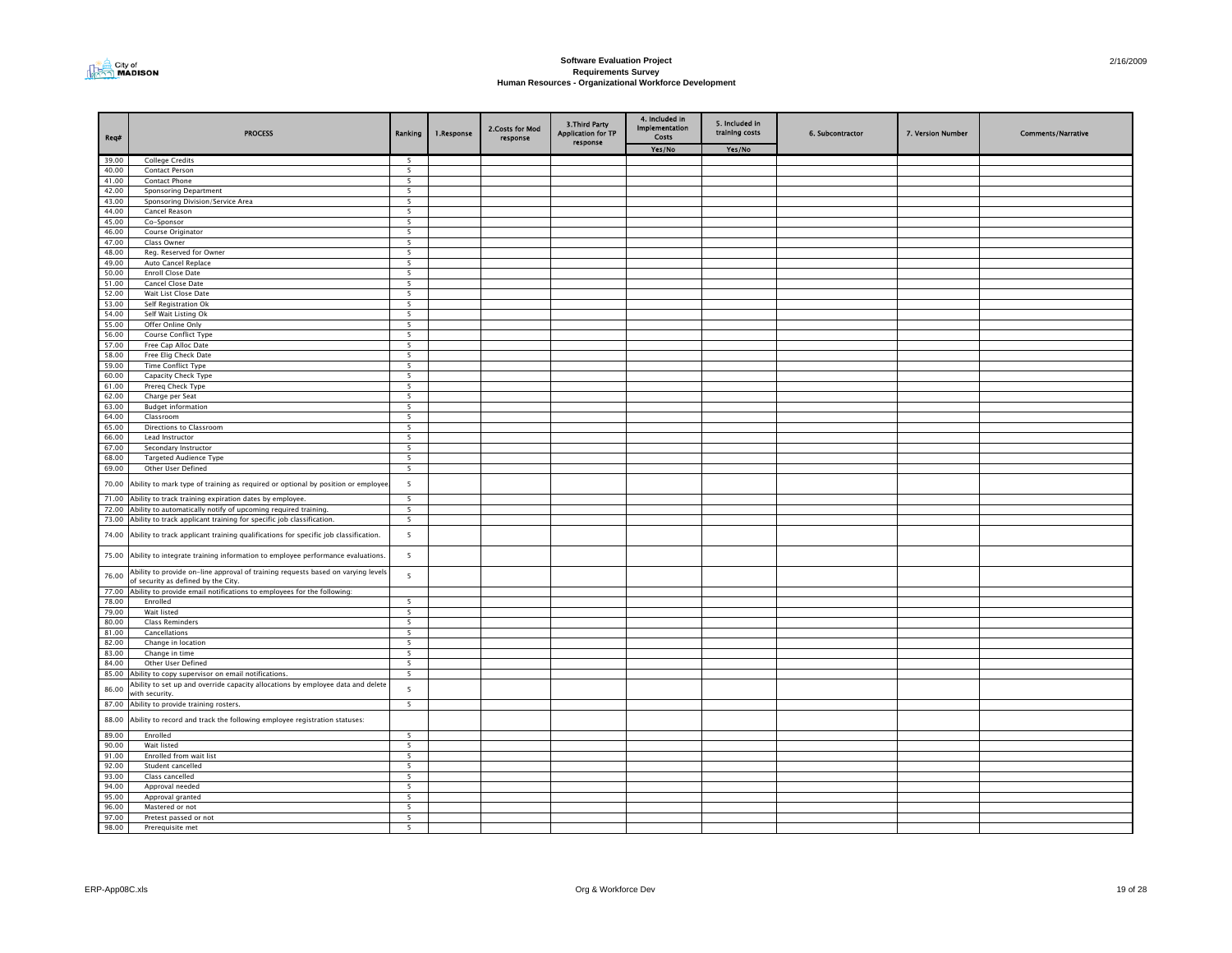

| Req#           | <b>PROCESS</b>                                                                                                          | Ranking                  | 1.Response | 2. Costs for Mod<br>response | 3. Third Party<br><b>Application for TP</b><br>response | 4. Included in<br><b>Implementation</b><br><b>Costs</b> | 5. Included in<br>training costs | 6. Subcontractor | 7. Version Number | <b>Comments/Narrative</b> |
|----------------|-------------------------------------------------------------------------------------------------------------------------|--------------------------|------------|------------------------------|---------------------------------------------------------|---------------------------------------------------------|----------------------------------|------------------|-------------------|---------------------------|
|                |                                                                                                                         |                          |            |                              |                                                         | Yes/No                                                  | Yes/No                           |                  |                   |                           |
| 39.00          | <b>College Credits</b>                                                                                                  | 5                        |            |                              |                                                         |                                                         |                                  |                  |                   |                           |
| 40.00          | Contact Person                                                                                                          | 5                        |            |                              |                                                         |                                                         |                                  |                  |                   |                           |
| 41.00          | Contact Phone                                                                                                           | $\overline{5}$           |            |                              |                                                         |                                                         |                                  |                  |                   |                           |
| 42.00          | <b>Sponsoring Department</b>                                                                                            | 5                        |            |                              |                                                         |                                                         |                                  |                  |                   |                           |
| 43.00          | Sponsoring Division/Service Area                                                                                        | 5                        |            |                              |                                                         |                                                         |                                  |                  |                   |                           |
| 44.00<br>45.00 | Cancel Reason                                                                                                           | -5                       |            |                              |                                                         |                                                         |                                  |                  |                   |                           |
| 46.00          | Co-Sponsor<br>Course Originator                                                                                         | 5<br>5                   |            |                              |                                                         |                                                         |                                  |                  |                   |                           |
| 47.00          | Class Owner                                                                                                             | 5                        |            |                              |                                                         |                                                         |                                  |                  |                   |                           |
| 48.00          | Reg. Reserved for Owner                                                                                                 | $\overline{\phantom{a}}$ |            |                              |                                                         |                                                         |                                  |                  |                   |                           |
| 49.00          | Auto Cancel Replace                                                                                                     | 5                        |            |                              |                                                         |                                                         |                                  |                  |                   |                           |
| 50.00          | <b>Enroll Close Date</b>                                                                                                | 5                        |            |                              |                                                         |                                                         |                                  |                  |                   |                           |
| 51.00          | Cancel Close Date                                                                                                       | -5                       |            |                              |                                                         |                                                         |                                  |                  |                   |                           |
| 52.00          | Wait List Close Date                                                                                                    | 5                        |            |                              |                                                         |                                                         |                                  |                  |                   |                           |
| 53.00          | Self Registration Ok                                                                                                    | 5                        |            |                              |                                                         |                                                         |                                  |                  |                   |                           |
| 54.00          | Self Wait Listing Ok                                                                                                    | 5                        |            |                              |                                                         |                                                         |                                  |                  |                   |                           |
| 55.00          | Offer Online Only                                                                                                       | 5                        |            |                              |                                                         |                                                         |                                  |                  |                   |                           |
| 56.00          | Course Conflict Type                                                                                                    | 5                        |            |                              |                                                         |                                                         |                                  |                  |                   |                           |
| 57.00          | Free Cap Alloc Date                                                                                                     | 5                        |            |                              |                                                         |                                                         |                                  |                  |                   |                           |
| 58.00<br>59.00 | Free Elig Check Date<br><b>Time Conflict Type</b>                                                                       | 5                        |            |                              |                                                         |                                                         |                                  |                  |                   |                           |
| 60.00          |                                                                                                                         | -5<br>5                  |            |                              |                                                         |                                                         |                                  |                  |                   |                           |
| 61.00          | Capacity Check Type<br>Prereg Check Type                                                                                | 5                        |            |                              |                                                         |                                                         |                                  |                  |                   |                           |
| 62.00          | Charge per Seat                                                                                                         | $\overline{5}$           |            |                              |                                                         |                                                         |                                  |                  |                   |                           |
| 63.00          | <b>Budget information</b>                                                                                               | $\overline{\phantom{a}}$ |            |                              |                                                         |                                                         |                                  |                  |                   |                           |
| 64.00          | Classroom                                                                                                               | $\overline{5}$           |            |                              |                                                         |                                                         |                                  |                  |                   |                           |
| 65.00          | Directions to Classroom                                                                                                 | 5                        |            |                              |                                                         |                                                         |                                  |                  |                   |                           |
| 66.00          | Lead Instructor                                                                                                         | -5                       |            |                              |                                                         |                                                         |                                  |                  |                   |                           |
| 67.00          | Secondary Instructor                                                                                                    | 5                        |            |                              |                                                         |                                                         |                                  |                  |                   |                           |
| 68.00          | <b>Targeted Audience Type</b>                                                                                           | 5                        |            |                              |                                                         |                                                         |                                  |                  |                   |                           |
| 69.00          | Other User Defined                                                                                                      | 5                        |            |                              |                                                         |                                                         |                                  |                  |                   |                           |
| 70.00          | Ability to mark type of training as required or optional by position or employee                                        | $\overline{5}$           |            |                              |                                                         |                                                         |                                  |                  |                   |                           |
| 71.00          | Ability to track training expiration dates by employee.                                                                 | 5                        |            |                              |                                                         |                                                         |                                  |                  |                   |                           |
| 72.00          | Ability to automatically notify of upcoming required training.                                                          | 5                        |            |                              |                                                         |                                                         |                                  |                  |                   |                           |
|                | 73.00 Ability to track applicant training for specific job classification.                                              | 5                        |            |                              |                                                         |                                                         |                                  |                  |                   |                           |
| 74.00          | Ability to track applicant training qualifications for specific job classification.                                     | 5                        |            |                              |                                                         |                                                         |                                  |                  |                   |                           |
|                | 75.00 Ability to integrate training information to employee performance evaluations.                                    | 5                        |            |                              |                                                         |                                                         |                                  |                  |                   |                           |
| 76.00          | Ability to provide on-line approval of training requests based on varying levels<br>of security as defined by the City. | 5                        |            |                              |                                                         |                                                         |                                  |                  |                   |                           |
|                | 77.00 Ability to provide email notifications to employees for the following:                                            |                          |            |                              |                                                         |                                                         |                                  |                  |                   |                           |
| 78.00          | Enrolled                                                                                                                | - 5                      |            |                              |                                                         |                                                         |                                  |                  |                   |                           |
| 79.00          | Wait listed                                                                                                             | 5                        |            |                              |                                                         |                                                         |                                  |                  |                   |                           |
| 80.00<br>81.00 | <b>Class Reminders</b><br>Cancellations                                                                                 | 5<br>5                   |            |                              |                                                         |                                                         |                                  |                  |                   |                           |
| 82.00          |                                                                                                                         | 5                        |            |                              |                                                         |                                                         |                                  |                  |                   |                           |
| 83.00          | Change in location<br>Change in time                                                                                    | 5                        |            |                              |                                                         |                                                         |                                  |                  |                   |                           |
| 84.00          | Other User Defined                                                                                                      | 5                        |            |                              |                                                         |                                                         |                                  |                  |                   |                           |
| 85.00          | Ability to copy supervisor on email notifications.                                                                      | 5                        |            |                              |                                                         |                                                         |                                  |                  |                   |                           |
|                | Ability to set up and override capacity allocations by employee data and delete                                         |                          |            |                              |                                                         |                                                         |                                  |                  |                   |                           |
| 86.00<br>87.00 | with security.<br>Ability to provide training rosters.                                                                  | 5<br>5                   |            |                              |                                                         |                                                         |                                  |                  |                   |                           |
|                |                                                                                                                         |                          |            |                              |                                                         |                                                         |                                  |                  |                   |                           |
| 88.00<br>89.00 | Ability to record and track the following employee registration statuses:<br>Enrolled                                   | $\overline{5}$           |            |                              |                                                         |                                                         |                                  |                  |                   |                           |
| 90.00          | Wait listed                                                                                                             | 5                        |            |                              |                                                         |                                                         |                                  |                  |                   |                           |
| 91.00          | Enrolled from wait list                                                                                                 | 5                        |            |                              |                                                         |                                                         |                                  |                  |                   |                           |
| 92.00          | Student cancelled                                                                                                       | 5                        |            |                              |                                                         |                                                         |                                  |                  |                   |                           |
| 93.00          | Class cancelled                                                                                                         | 5                        |            |                              |                                                         |                                                         |                                  |                  |                   |                           |
| 94.00          | Approval needed                                                                                                         | 5                        |            |                              |                                                         |                                                         |                                  |                  |                   |                           |
| 95.00          | Approval granted                                                                                                        | $\overline{5}$           |            |                              |                                                         |                                                         |                                  |                  |                   |                           |
| 96.00          | Mastered or not                                                                                                         | 5                        |            |                              |                                                         |                                                         |                                  |                  |                   |                           |
| 97.00          | Pretest passed or not                                                                                                   | 5                        |            |                              |                                                         |                                                         |                                  |                  |                   |                           |
| 98.00          | Prerequisite met                                                                                                        | -5                       |            |                              |                                                         |                                                         |                                  |                  |                   |                           |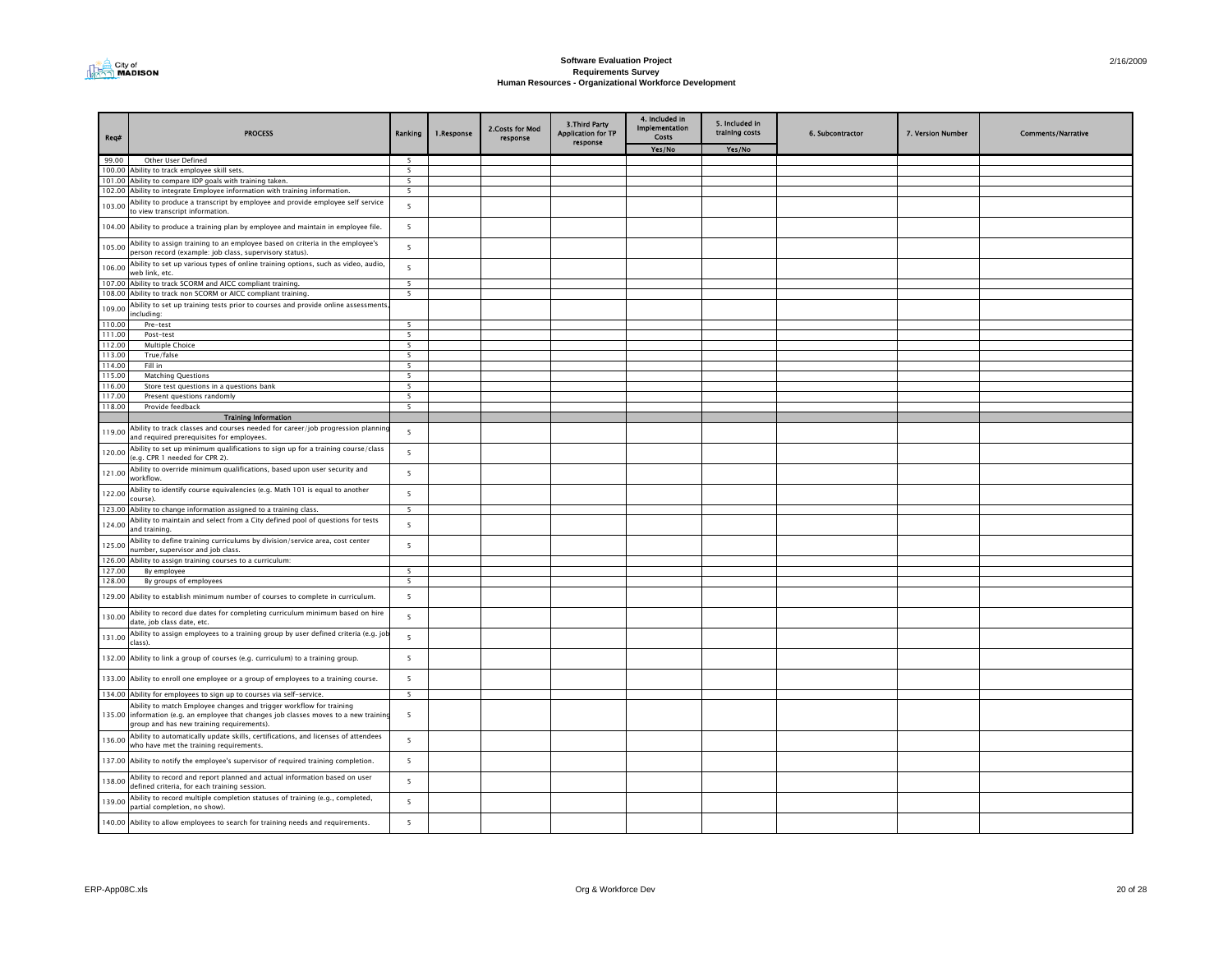

| Req#             | <b>PROCESS</b>                                                                                                                                                                                           | Ranking                       | 1.Response | 2. Costs for Mod<br>response | <b>3.Third Party</b><br>pplication for TP<br>response | 4. Included in<br><b>Implementation</b><br>Costs | 5. Included in<br>training costs | 6. Subcontractor | 7. Version Number | <b>Comments/Narrative</b> |
|------------------|----------------------------------------------------------------------------------------------------------------------------------------------------------------------------------------------------------|-------------------------------|------------|------------------------------|-------------------------------------------------------|--------------------------------------------------|----------------------------------|------------------|-------------------|---------------------------|
|                  |                                                                                                                                                                                                          |                               |            |                              |                                                       | Yes/No                                           | Yes/No                           |                  |                   |                           |
| 99.00            | Other User Defined                                                                                                                                                                                       | 5                             |            |                              |                                                       |                                                  |                                  |                  |                   |                           |
|                  | 100.00 Ability to track employee skill sets.                                                                                                                                                             | $\overline{\phantom{a}}$      |            |                              |                                                       |                                                  |                                  |                  |                   |                           |
|                  | 101.00 Ability to compare IDP goals with training taken.                                                                                                                                                 | $\overline{5}$                |            |                              |                                                       |                                                  |                                  |                  |                   |                           |
|                  | 102.00 Ability to integrate Employee information with training information.                                                                                                                              | $\overline{\phantom{a}}$      |            |                              |                                                       |                                                  |                                  |                  |                   |                           |
| 103.00           | Ability to produce a transcript by employee and provide employee self service<br>to view transcript information.                                                                                         | 5                             |            |                              |                                                       |                                                  |                                  |                  |                   |                           |
|                  | 104.00 Ability to produce a training plan by employee and maintain in employee file.                                                                                                                     | 5                             |            |                              |                                                       |                                                  |                                  |                  |                   |                           |
| 105.00           | Ability to assign training to an employee based on criteria in the employee's<br>person record (example: job class, supervisory status).                                                                 | 5                             |            |                              |                                                       |                                                  |                                  |                  |                   |                           |
| 106.00           | Ability to set up various types of online training options, such as video, audio,<br>web link, etc.                                                                                                      | $\overline{\phantom{a}}$      |            |                              |                                                       |                                                  |                                  |                  |                   |                           |
| 107.00           | Ability to track SCORM and AICC compliant training.                                                                                                                                                      | 5                             |            |                              |                                                       |                                                  |                                  |                  |                   |                           |
|                  | 108.00 Ability to track non SCORM or AICC compliant training.                                                                                                                                            | $\overline{5}$                |            |                              |                                                       |                                                  |                                  |                  |                   |                           |
| 109.00           | Ability to set up training tests prior to courses and provide online assessments<br>including:                                                                                                           |                               |            |                              |                                                       |                                                  |                                  |                  |                   |                           |
| 110.00           | Pre-test                                                                                                                                                                                                 | $\overline{5}$                |            |                              |                                                       |                                                  |                                  |                  |                   |                           |
| 111.00<br>112.00 | Post-test<br>Multiple Choice                                                                                                                                                                             | $\overline{\phantom{a}}$<br>5 |            |                              |                                                       |                                                  |                                  |                  |                   |                           |
| 113.00           | True/false                                                                                                                                                                                               | $\overline{\phantom{a}}$      |            |                              |                                                       |                                                  |                                  |                  |                   |                           |
| 114.00           | Fill in                                                                                                                                                                                                  | 5                             |            |                              |                                                       |                                                  |                                  |                  |                   |                           |
| 115.00           | <b>Matching Questions</b>                                                                                                                                                                                | $\overline{5}$                |            |                              |                                                       |                                                  |                                  |                  |                   |                           |
| 116.00           | Store test questions in a questions bank                                                                                                                                                                 | 5                             |            |                              |                                                       |                                                  |                                  |                  |                   |                           |
| 117.00           | Present questions randomly                                                                                                                                                                               | $\overline{5}$                |            |                              |                                                       |                                                  |                                  |                  |                   |                           |
| 118.00           | Provide feedback                                                                                                                                                                                         | 5                             |            |                              |                                                       |                                                  |                                  |                  |                   |                           |
|                  | <b>Training Information</b>                                                                                                                                                                              |                               |            |                              |                                                       |                                                  |                                  |                  |                   |                           |
|                  | Ability to track classes and courses needed for career/job progression planning                                                                                                                          |                               |            |                              |                                                       |                                                  |                                  |                  |                   |                           |
| 119.00           | and required prerequisites for employees.<br>Ability to set up minimum qualifications to sign up for a training course/class                                                                             | 5                             |            |                              |                                                       |                                                  |                                  |                  |                   |                           |
| 120.00           | (e.g. CPR 1 needed for CPR 2).<br>Ability to override minimum qualifications, based upon user security and                                                                                               | 5                             |            |                              |                                                       |                                                  |                                  |                  |                   |                           |
| 121.00           | workflow.                                                                                                                                                                                                | 5                             |            |                              |                                                       |                                                  |                                  |                  |                   |                           |
| 122.00           | Ability to identify course equivalencies (e.g. Math 101 is equal to another<br>course).<br>123.00 Ability to change information assigned to a training class.                                            | 5<br>$\overline{5}$           |            |                              |                                                       |                                                  |                                  |                  |                   |                           |
|                  |                                                                                                                                                                                                          |                               |            |                              |                                                       |                                                  |                                  |                  |                   |                           |
| 124.00           | Ability to maintain and select from a City defined pool of questions for tests<br>and training.                                                                                                          | 5                             |            |                              |                                                       |                                                  |                                  |                  |                   |                           |
| 125.00           | Ability to define training curriculums by division/service area, cost center<br>number, supervisor and job class.                                                                                        | 5                             |            |                              |                                                       |                                                  |                                  |                  |                   |                           |
| 127.00           | 126.00 Ability to assign training courses to a curriculum:<br>By employee                                                                                                                                | $\overline{5}$                |            |                              |                                                       |                                                  |                                  |                  |                   |                           |
| 128.00           | By groups of employees                                                                                                                                                                                   | $\overline{5}$                |            |                              |                                                       |                                                  |                                  |                  |                   |                           |
|                  |                                                                                                                                                                                                          |                               |            |                              |                                                       |                                                  |                                  |                  |                   |                           |
|                  | 129.00 Ability to establish minimum number of courses to complete in curriculum.                                                                                                                         | 5                             |            |                              |                                                       |                                                  |                                  |                  |                   |                           |
| 130.00           | Ability to record due dates for completing curriculum minimum based on hire<br>date, job class date, etc.                                                                                                | 5                             |            |                              |                                                       |                                                  |                                  |                  |                   |                           |
| 131.00           | Ability to assign employees to a training group by user defined criteria (e.g. jol<br>class).                                                                                                            | 5                             |            |                              |                                                       |                                                  |                                  |                  |                   |                           |
|                  | 132.00 Ability to link a group of courses (e.g. curriculum) to a training group.                                                                                                                         | 5                             |            |                              |                                                       |                                                  |                                  |                  |                   |                           |
|                  | 133.00 Ability to enroll one employee or a group of employees to a training course.                                                                                                                      | 5                             |            |                              |                                                       |                                                  |                                  |                  |                   |                           |
|                  | 134.00 Ability for employees to sign up to courses via self-service.                                                                                                                                     | 5                             |            |                              |                                                       |                                                  |                                  |                  |                   |                           |
|                  | Ability to match Employee changes and trigger workflow for training<br>135.00 information (e.g. an employee that changes job classes moves to a new trainin<br>group and has new training requirements). | 5                             |            |                              |                                                       |                                                  |                                  |                  |                   |                           |
| 136.00           | Ability to automatically update skills, certifications, and licenses of attendees<br>who have met the training requirements.                                                                             | 5                             |            |                              |                                                       |                                                  |                                  |                  |                   |                           |
|                  | 137.00 Ability to notify the employee's supervisor of required training completion.                                                                                                                      | 5                             |            |                              |                                                       |                                                  |                                  |                  |                   |                           |
| 138.00           | Ability to record and report planned and actual information based on user<br>defined criteria, for each training session.                                                                                | 5                             |            |                              |                                                       |                                                  |                                  |                  |                   |                           |
| 139.00           | Ability to record multiple completion statuses of training (e.g., completed,<br>partial completion, no show).                                                                                            | 5                             |            |                              |                                                       |                                                  |                                  |                  |                   |                           |
|                  | 140.00 Ability to allow employees to search for training needs and requirements.                                                                                                                         | 5                             |            |                              |                                                       |                                                  |                                  |                  |                   |                           |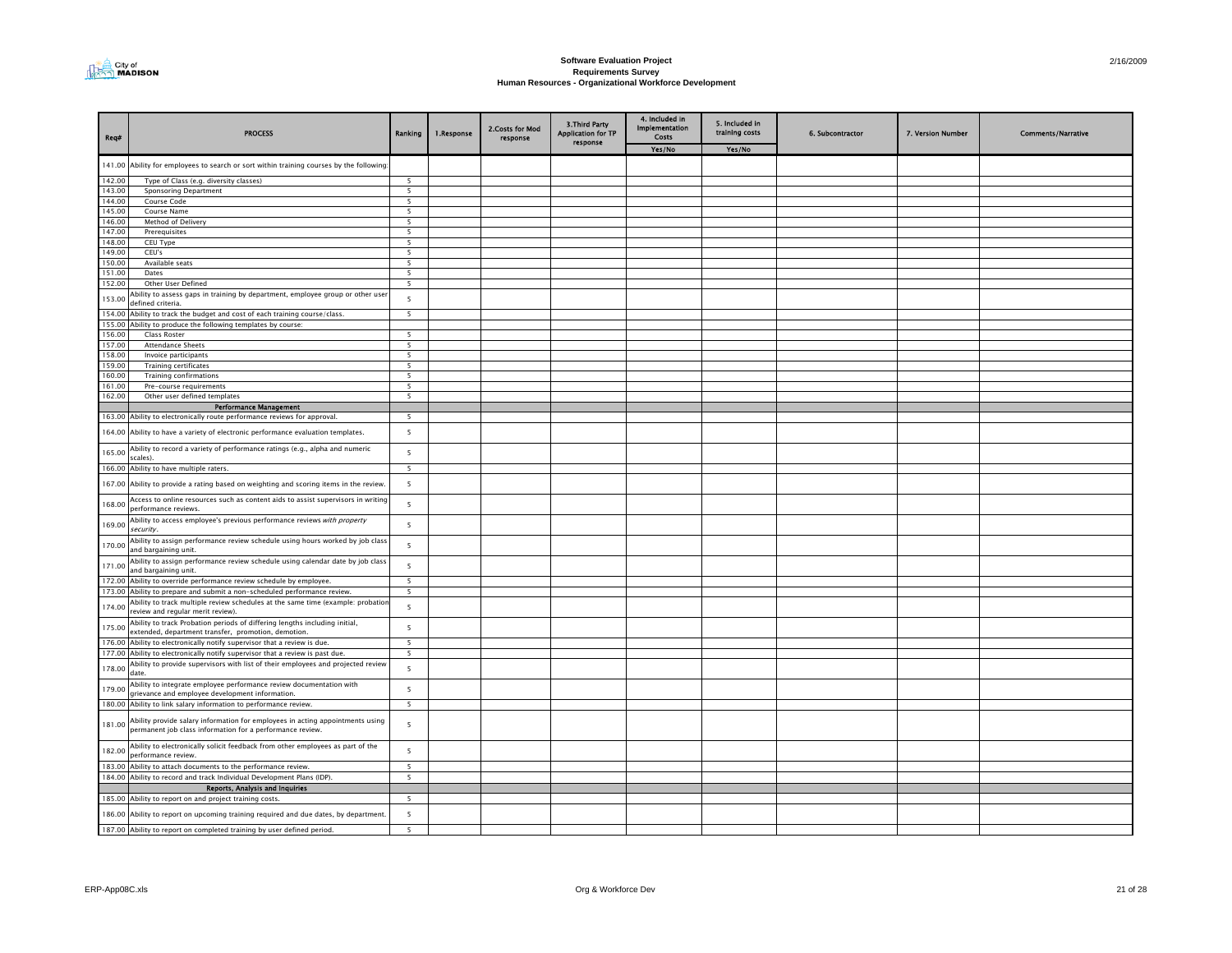

| Req#             | <b>PROCESS</b>                                                                                                                              | Ranking                                    | 1.Response | 2. Costs for Mod<br>response | <b>3.Third Party</b><br><b>Application for TP</b><br>response | 4. Included in<br>Implementation<br><b>Costs</b> | 5. Included in<br>training costs | 6. Subcontractor | 7. Version Number | <b>Comments/Narrative</b> |
|------------------|---------------------------------------------------------------------------------------------------------------------------------------------|--------------------------------------------|------------|------------------------------|---------------------------------------------------------------|--------------------------------------------------|----------------------------------|------------------|-------------------|---------------------------|
|                  |                                                                                                                                             |                                            |            |                              |                                                               | Yes/No                                           | Yes/No                           |                  |                   |                           |
|                  | 141.00 Ability for employees to search or sort within training courses by the following                                                     |                                            |            |                              |                                                               |                                                  |                                  |                  |                   |                           |
| 142.00           | Type of Class (e.g. diversity classes)                                                                                                      | $\overline{\phantom{a}}$                   |            |                              |                                                               |                                                  |                                  |                  |                   |                           |
| 143.00           | <b>Sponsoring Department</b>                                                                                                                | 5                                          |            |                              |                                                               |                                                  |                                  |                  |                   |                           |
| 144.00<br>145.00 | Course Code<br>Course Name                                                                                                                  | 5<br>- 5                                   |            |                              |                                                               |                                                  |                                  |                  |                   |                           |
| 146.00           | Method of Delivery                                                                                                                          | 5                                          |            |                              |                                                               |                                                  |                                  |                  |                   |                           |
| 147.00           | Prerequisites                                                                                                                               | 5                                          |            |                              |                                                               |                                                  |                                  |                  |                   |                           |
| 148.00           | CEU Type                                                                                                                                    | 5                                          |            |                              |                                                               |                                                  |                                  |                  |                   |                           |
| 149.00           | CEU's                                                                                                                                       | 5                                          |            |                              |                                                               |                                                  |                                  |                  |                   |                           |
| 150.00<br>151.00 | Available seats<br>Dates                                                                                                                    | $\overline{\phantom{a}}$<br>$\overline{5}$ |            |                              |                                                               |                                                  |                                  |                  |                   |                           |
| 152.00           | Other User Defined                                                                                                                          | $\overline{5}$                             |            |                              |                                                               |                                                  |                                  |                  |                   |                           |
|                  | Ability to assess gaps in training by department, employee group or other user                                                              |                                            |            |                              |                                                               |                                                  |                                  |                  |                   |                           |
| 153.00           | defined criteria                                                                                                                            | $\overline{\phantom{a}}$                   |            |                              |                                                               |                                                  |                                  |                  |                   |                           |
| 154.00           | Ability to track the budget and cost of each training course/class.                                                                         | 5                                          |            |                              |                                                               |                                                  |                                  |                  |                   |                           |
| 155.00           | Ability to produce the following templates by course:                                                                                       |                                            |            |                              |                                                               |                                                  |                                  |                  |                   |                           |
| 156.00<br>157.00 | Class Roster                                                                                                                                | $\overline{5}$<br>$\overline{\phantom{a}}$ |            |                              |                                                               |                                                  |                                  |                  |                   |                           |
| 158.00           | <b>Attendance Sheets</b><br>Invoice participants                                                                                            | $\overline{\phantom{a}}$                   |            |                              |                                                               |                                                  |                                  |                  |                   |                           |
| 159.00           | <b>Training certificates</b>                                                                                                                | $\overline{\phantom{a}}$                   |            |                              |                                                               |                                                  |                                  |                  |                   |                           |
| 160.00           | <b>Training confirmations</b>                                                                                                               | - 5                                        |            |                              |                                                               |                                                  |                                  |                  |                   |                           |
| 161.00           | Pre-course requirements                                                                                                                     | 5                                          |            |                              |                                                               |                                                  |                                  |                  |                   |                           |
| 162.00           | Other user defined templates                                                                                                                | 5                                          |            |                              |                                                               |                                                  |                                  |                  |                   |                           |
|                  | <b>Performance Management</b>                                                                                                               |                                            |            |                              |                                                               |                                                  |                                  |                  |                   |                           |
| 163.00           | Ability to electronically route performance reviews for approval.                                                                           | 5                                          |            |                              |                                                               |                                                  |                                  |                  |                   |                           |
| 164.00           | Ability to have a variety of electronic performance evaluation templates.                                                                   | 5                                          |            |                              |                                                               |                                                  |                                  |                  |                   |                           |
| 165.00           | Ability to record a variety of performance ratings (e.g., alpha and numeric<br>scales).                                                     | $\overline{5}$                             |            |                              |                                                               |                                                  |                                  |                  |                   |                           |
|                  | 166.00 Ability to have multiple raters.                                                                                                     | $\overline{5}$                             |            |                              |                                                               |                                                  |                                  |                  |                   |                           |
|                  | 167.00 Ability to provide a rating based on weighting and scoring items in the review.                                                      | 5                                          |            |                              |                                                               |                                                  |                                  |                  |                   |                           |
| 168.00           | Access to online resources such as content aids to assist supervisors in writing<br>performance reviews                                     | $5\overline{5}$                            |            |                              |                                                               |                                                  |                                  |                  |                   |                           |
| 169.00           | Ability to access employee's previous performance reviews with property<br>security.                                                        | $5\overline{5}$                            |            |                              |                                                               |                                                  |                                  |                  |                   |                           |
| 170.00           | Ability to assign performance review schedule using hours worked by job class<br>and bargaining unit.                                       | $5\overline{5}$                            |            |                              |                                                               |                                                  |                                  |                  |                   |                           |
| 171.00           | Ability to assign performance review schedule using calendar date by job class<br>and bargaining unit.                                      | 5                                          |            |                              |                                                               |                                                  |                                  |                  |                   |                           |
| 172.00           | Ability to override performance review schedule by employee                                                                                 | 5<br>$\overline{\phantom{a}}$              |            |                              |                                                               |                                                  |                                  |                  |                   |                           |
|                  | 173.00 Ability to prepare and submit a non-scheduled performance review                                                                     |                                            |            |                              |                                                               |                                                  |                                  |                  |                   |                           |
| 174.00           | Ability to track multiple review schedules at the same time (example: probatior<br>review and regular merit review).                        | 5                                          |            |                              |                                                               |                                                  |                                  |                  |                   |                           |
| 175.00           | Ability to track Probation periods of differing lengths including initial,<br>extended, department transfer, promotion, demotion.           | $5\overline{5}$                            |            |                              |                                                               |                                                  |                                  |                  |                   |                           |
| 176.00<br>177.00 | Ability to electronically notify supervisor that a review is due.<br>Ability to electronically notify supervisor that a review is past due. | 5<br>$\overline{5}$                        |            |                              |                                                               |                                                  |                                  |                  |                   |                           |
| 178.00           | Ability to provide supervisors with list of their employees and projected review<br>date.                                                   | $5\overline{5}$                            |            |                              |                                                               |                                                  |                                  |                  |                   |                           |
| 179.00           | Ability to integrate employee performance review documentation with                                                                         | 5                                          |            |                              |                                                               |                                                  |                                  |                  |                   |                           |
|                  | rievance and employee development information.<br>180.00 Ability to link salary information to performance review.                          | 5                                          |            |                              |                                                               |                                                  |                                  |                  |                   |                           |
|                  |                                                                                                                                             |                                            |            |                              |                                                               |                                                  |                                  |                  |                   |                           |
| 181.00           | Ability provide salary information for employees in acting appointments using<br>permanent job class information for a performance review.  | 5                                          |            |                              |                                                               |                                                  |                                  |                  |                   |                           |
| 182.00           | Ability to electronically solicit feedback from other employees as part of the<br>performance review.                                       | 5                                          |            |                              |                                                               |                                                  |                                  |                  |                   |                           |
| 183.00           | Ability to attach documents to the performance review.                                                                                      | 5                                          |            |                              |                                                               |                                                  |                                  |                  |                   |                           |
|                  | 184.00 Ability to record and track Individual Development Plans (IDP).                                                                      | 5                                          |            |                              |                                                               |                                                  |                                  |                  |                   |                           |
|                  | Reports, Analysis and Inquiries                                                                                                             |                                            |            |                              |                                                               |                                                  |                                  |                  |                   |                           |
|                  | 185.00 Ability to report on and project training costs.                                                                                     | 5                                          |            |                              |                                                               |                                                  |                                  |                  |                   |                           |
|                  | 186.00 Ability to report on upcoming training required and due dates, by department.                                                        | $\overline{\phantom{a}}$                   |            |                              |                                                               |                                                  |                                  |                  |                   |                           |
|                  | 187.00 Ability to report on completed training by user defined period.                                                                      | 5                                          |            |                              |                                                               |                                                  |                                  |                  |                   |                           |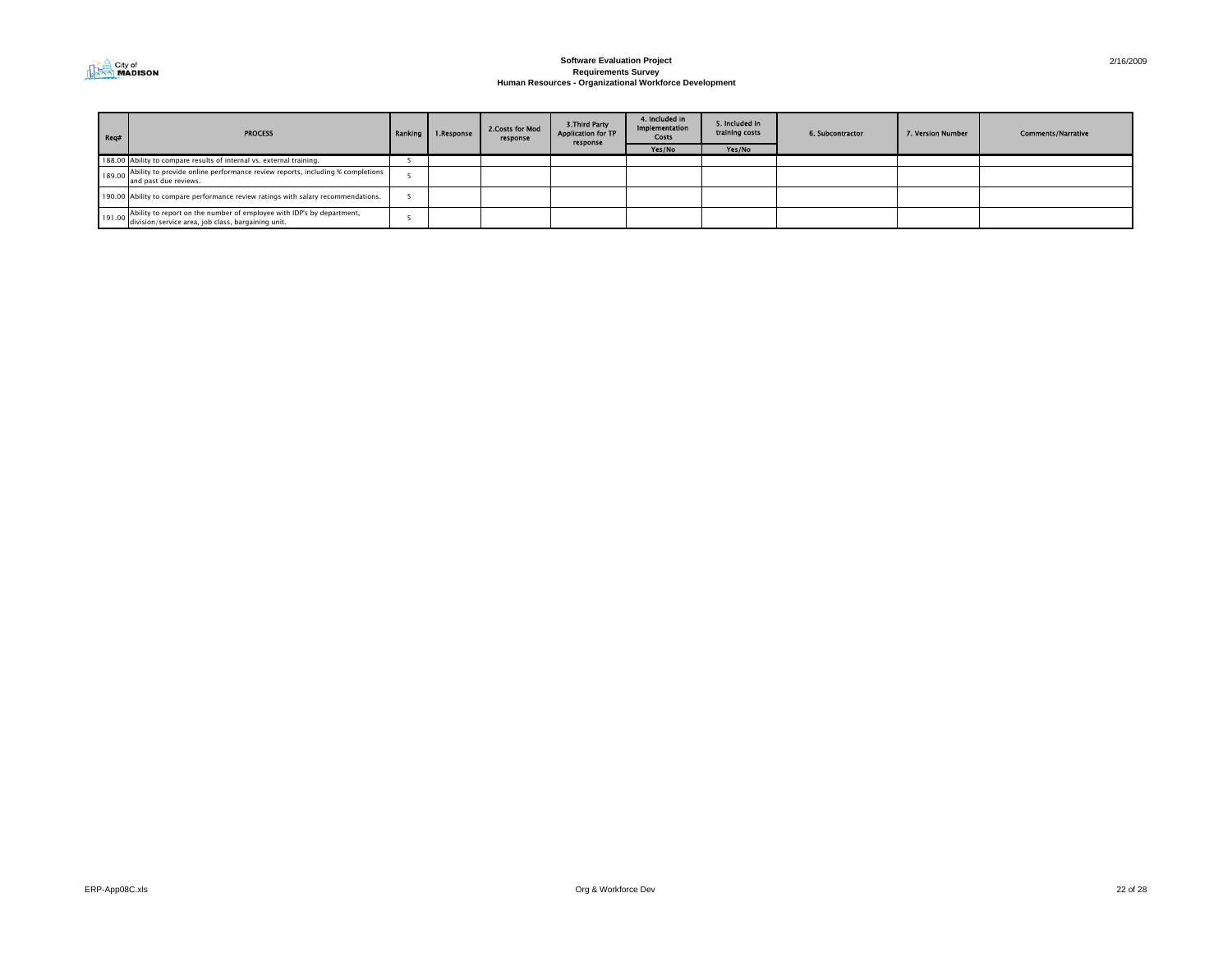

| Reg# | <b>PROCESS</b>                                                                                                                     | Ranking I | 1.Response | 2. Costs for Mod<br>response | 3. Third Party<br><b>Application for TP</b><br>response | 4. Included in<br>Implementation<br>Costs | 5. Included in<br>training costs | 6. Subcontractor | 7. Version Number | <b>Comments/Narrative</b> |
|------|------------------------------------------------------------------------------------------------------------------------------------|-----------|------------|------------------------------|---------------------------------------------------------|-------------------------------------------|----------------------------------|------------------|-------------------|---------------------------|
|      |                                                                                                                                    |           |            |                              |                                                         | Yes/No                                    | Yes/No                           |                  |                   |                           |
|      | 188.00 Ability to compare results of internal vs. external training.                                                               |           |            |                              |                                                         |                                           |                                  |                  |                   |                           |
|      | 189.00 Ability to provide online performance review reports, including % completions<br>and past due reviews.                      |           |            |                              |                                                         |                                           |                                  |                  |                   |                           |
|      | 190.00 Ability to compare performance review ratings with salary recommendations.                                                  |           |            |                              |                                                         |                                           |                                  |                  |                   |                           |
|      | 191.00 Ability to report on the number of employee with IDP's by department,<br>division/service area, job class, bargaining unit. |           |            |                              |                                                         |                                           |                                  |                  |                   |                           |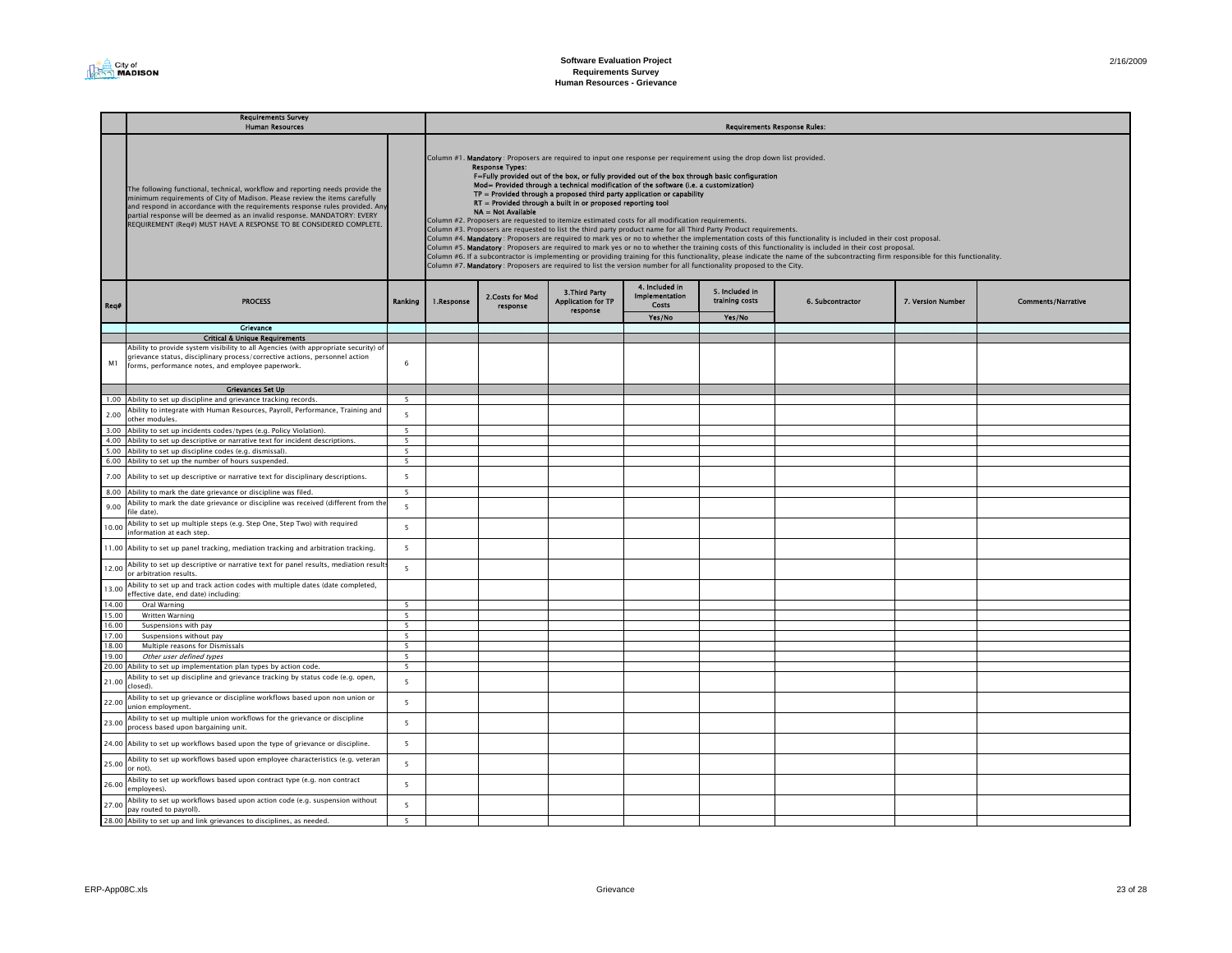|              | <b>Requirements Survey</b><br><b>Human Resources</b>                                                                                                                                                                                                                                                                                                                                          |                          | <b>Requirements Response Rules:</b>                                                                                                                                                                                                                                                                                                                                                                                                                                                                                                                                                                                                                                                                                                                                                                                                                                                                                                                                                                                                                                                                                                                                                                                                                                                                                                                                           |                             |                                                         |                                                         |                                  |                  |                   |                           |  |  |
|--------------|-----------------------------------------------------------------------------------------------------------------------------------------------------------------------------------------------------------------------------------------------------------------------------------------------------------------------------------------------------------------------------------------------|--------------------------|-------------------------------------------------------------------------------------------------------------------------------------------------------------------------------------------------------------------------------------------------------------------------------------------------------------------------------------------------------------------------------------------------------------------------------------------------------------------------------------------------------------------------------------------------------------------------------------------------------------------------------------------------------------------------------------------------------------------------------------------------------------------------------------------------------------------------------------------------------------------------------------------------------------------------------------------------------------------------------------------------------------------------------------------------------------------------------------------------------------------------------------------------------------------------------------------------------------------------------------------------------------------------------------------------------------------------------------------------------------------------------|-----------------------------|---------------------------------------------------------|---------------------------------------------------------|----------------------------------|------------------|-------------------|---------------------------|--|--|
|              | The following functional, technical, workflow and reporting needs provide the<br>minimum requirements of City of Madison. Please review the items carefully<br>and respond in accordance with the requirements response rules provided. Any<br>partial response will be deemed as an invalid response. MANDATORY: EVERY<br>REQUIREMENT (Req#) MUST HAVE A RESPONSE TO BE CONSIDERED COMPLETE. |                          | Column #1. Mandatory: Proposers are required to input one response per requirement using the drop down list provided.<br><b>Response Types:</b><br>F=Fully provided out of the box, or fully provided out of the box through basic configuration<br>Mod= Provided through a technical modification of the software (i.e. a customization)<br>$TP =$ Provided through a proposed third party application or capability<br>RT = Provided through a built in or proposed reporting tool<br>NA = Not Available<br>Column #2. Proposers are requested to itemize estimated costs for all modification requirements.<br>Column #3. Proposers are requested to list the third party product name for all Third Party Product requirements.<br>Column #4. Mandatory : Proposers are required to mark yes or no to whether the implementation costs of this functionality is included in their cost proposal.<br>Column #5. Mandatory: Proposers are required to mark yes or no to whether the training costs of this functionality is included in their cost proposal.<br>Column #6. If a subcontractor is implementing or providing training for this functionality, please indicate the name of the subcontracting firm responsible for this functionality.<br>Column #7. Mandatory : Proposers are required to list the version number for all functionality proposed to the City. |                             |                                                         |                                                         |                                  |                  |                   |                           |  |  |
| Req#         | <b>PROCESS</b>                                                                                                                                                                                                                                                                                                                                                                                | Ranking                  | 1.Response                                                                                                                                                                                                                                                                                                                                                                                                                                                                                                                                                                                                                                                                                                                                                                                                                                                                                                                                                                                                                                                                                                                                                                                                                                                                                                                                                                    | 2.Costs for Mod<br>response | 3. Third Party<br><b>Application for TP</b><br>response | 4. Included in<br><b>Implementation</b><br><b>Costs</b> | 5. Included in<br>training costs | 6. Subcontractor | 7. Version Number | <b>Comments/Narrative</b> |  |  |
|              |                                                                                                                                                                                                                                                                                                                                                                                               |                          |                                                                                                                                                                                                                                                                                                                                                                                                                                                                                                                                                                                                                                                                                                                                                                                                                                                                                                                                                                                                                                                                                                                                                                                                                                                                                                                                                                               |                             |                                                         | Yes/No                                                  | Yes/No                           |                  |                   |                           |  |  |
|              | Grievance                                                                                                                                                                                                                                                                                                                                                                                     |                          |                                                                                                                                                                                                                                                                                                                                                                                                                                                                                                                                                                                                                                                                                                                                                                                                                                                                                                                                                                                                                                                                                                                                                                                                                                                                                                                                                                               |                             |                                                         |                                                         |                                  |                  |                   |                           |  |  |
|              | <b>Critical &amp; Unique Requirements</b>                                                                                                                                                                                                                                                                                                                                                     |                          |                                                                                                                                                                                                                                                                                                                                                                                                                                                                                                                                                                                                                                                                                                                                                                                                                                                                                                                                                                                                                                                                                                                                                                                                                                                                                                                                                                               |                             |                                                         |                                                         |                                  |                  |                   |                           |  |  |
|              | Ability to provide system visibility to all Agencies (with appropriate security) of                                                                                                                                                                                                                                                                                                           |                          |                                                                                                                                                                                                                                                                                                                                                                                                                                                                                                                                                                                                                                                                                                                                                                                                                                                                                                                                                                                                                                                                                                                                                                                                                                                                                                                                                                               |                             |                                                         |                                                         |                                  |                  |                   |                           |  |  |
|              | grievance status, disciplinary process/corrective actions, personnel action                                                                                                                                                                                                                                                                                                                   |                          |                                                                                                                                                                                                                                                                                                                                                                                                                                                                                                                                                                                                                                                                                                                                                                                                                                                                                                                                                                                                                                                                                                                                                                                                                                                                                                                                                                               |                             |                                                         |                                                         |                                  |                  |                   |                           |  |  |
| M1           | forms, performance notes, and employee paperwork.                                                                                                                                                                                                                                                                                                                                             | 6                        |                                                                                                                                                                                                                                                                                                                                                                                                                                                                                                                                                                                                                                                                                                                                                                                                                                                                                                                                                                                                                                                                                                                                                                                                                                                                                                                                                                               |                             |                                                         |                                                         |                                  |                  |                   |                           |  |  |
|              |                                                                                                                                                                                                                                                                                                                                                                                               |                          |                                                                                                                                                                                                                                                                                                                                                                                                                                                                                                                                                                                                                                                                                                                                                                                                                                                                                                                                                                                                                                                                                                                                                                                                                                                                                                                                                                               |                             |                                                         |                                                         |                                  |                  |                   |                           |  |  |
|              | <b>Grievances Set Up</b>                                                                                                                                                                                                                                                                                                                                                                      |                          |                                                                                                                                                                                                                                                                                                                                                                                                                                                                                                                                                                                                                                                                                                                                                                                                                                                                                                                                                                                                                                                                                                                                                                                                                                                                                                                                                                               |                             |                                                         |                                                         |                                  |                  |                   |                           |  |  |
|              | 1.00 Ability to set up discipline and grievance tracking records.                                                                                                                                                                                                                                                                                                                             | 5                        |                                                                                                                                                                                                                                                                                                                                                                                                                                                                                                                                                                                                                                                                                                                                                                                                                                                                                                                                                                                                                                                                                                                                                                                                                                                                                                                                                                               |                             |                                                         |                                                         |                                  |                  |                   |                           |  |  |
|              | Ability to integrate with Human Resources, Payroll, Performance, Training and                                                                                                                                                                                                                                                                                                                 |                          |                                                                                                                                                                                                                                                                                                                                                                                                                                                                                                                                                                                                                                                                                                                                                                                                                                                                                                                                                                                                                                                                                                                                                                                                                                                                                                                                                                               |                             |                                                         |                                                         |                                  |                  |                   |                           |  |  |
| 2.00         | other modules.                                                                                                                                                                                                                                                                                                                                                                                | $\overline{5}$           |                                                                                                                                                                                                                                                                                                                                                                                                                                                                                                                                                                                                                                                                                                                                                                                                                                                                                                                                                                                                                                                                                                                                                                                                                                                                                                                                                                               |                             |                                                         |                                                         |                                  |                  |                   |                           |  |  |
| 3.00         | Ability to set up incidents codes/types (e.g. Policy Violation).                                                                                                                                                                                                                                                                                                                              | 5                        |                                                                                                                                                                                                                                                                                                                                                                                                                                                                                                                                                                                                                                                                                                                                                                                                                                                                                                                                                                                                                                                                                                                                                                                                                                                                                                                                                                               |                             |                                                         |                                                         |                                  |                  |                   |                           |  |  |
|              | Ability to set up descriptive or narrative text for incident descriptions.                                                                                                                                                                                                                                                                                                                    | $\overline{5}$           |                                                                                                                                                                                                                                                                                                                                                                                                                                                                                                                                                                                                                                                                                                                                                                                                                                                                                                                                                                                                                                                                                                                                                                                                                                                                                                                                                                               |                             |                                                         |                                                         |                                  |                  |                   |                           |  |  |
| 4.00<br>5.00 |                                                                                                                                                                                                                                                                                                                                                                                               | 5                        |                                                                                                                                                                                                                                                                                                                                                                                                                                                                                                                                                                                                                                                                                                                                                                                                                                                                                                                                                                                                                                                                                                                                                                                                                                                                                                                                                                               |                             |                                                         |                                                         |                                  |                  |                   |                           |  |  |
|              | Ability to set up discipline codes (e.g. dismissal).<br>6.00 Ability to set up the number of hours suspended.                                                                                                                                                                                                                                                                                 | 5                        |                                                                                                                                                                                                                                                                                                                                                                                                                                                                                                                                                                                                                                                                                                                                                                                                                                                                                                                                                                                                                                                                                                                                                                                                                                                                                                                                                                               |                             |                                                         |                                                         |                                  |                  |                   |                           |  |  |
|              |                                                                                                                                                                                                                                                                                                                                                                                               |                          |                                                                                                                                                                                                                                                                                                                                                                                                                                                                                                                                                                                                                                                                                                                                                                                                                                                                                                                                                                                                                                                                                                                                                                                                                                                                                                                                                                               |                             |                                                         |                                                         |                                  |                  |                   |                           |  |  |
| 7.00         | Ability to set up descriptive or narrative text for disciplinary descriptions.                                                                                                                                                                                                                                                                                                                | 5                        |                                                                                                                                                                                                                                                                                                                                                                                                                                                                                                                                                                                                                                                                                                                                                                                                                                                                                                                                                                                                                                                                                                                                                                                                                                                                                                                                                                               |                             |                                                         |                                                         |                                  |                  |                   |                           |  |  |
| 8.00         | Ability to mark the date grievance or discipline was filed.                                                                                                                                                                                                                                                                                                                                   | $\overline{5}$           |                                                                                                                                                                                                                                                                                                                                                                                                                                                                                                                                                                                                                                                                                                                                                                                                                                                                                                                                                                                                                                                                                                                                                                                                                                                                                                                                                                               |                             |                                                         |                                                         |                                  |                  |                   |                           |  |  |
| 9.00         | Ability to mark the date grievance or discipline was received (different from the<br>ile date).                                                                                                                                                                                                                                                                                               | $\overline{\phantom{a}}$ |                                                                                                                                                                                                                                                                                                                                                                                                                                                                                                                                                                                                                                                                                                                                                                                                                                                                                                                                                                                                                                                                                                                                                                                                                                                                                                                                                                               |                             |                                                         |                                                         |                                  |                  |                   |                           |  |  |
| 10.00        | Ability to set up multiple steps (e.g. Step One, Step Two) with required<br>information at each step.                                                                                                                                                                                                                                                                                         | 5                        |                                                                                                                                                                                                                                                                                                                                                                                                                                                                                                                                                                                                                                                                                                                                                                                                                                                                                                                                                                                                                                                                                                                                                                                                                                                                                                                                                                               |                             |                                                         |                                                         |                                  |                  |                   |                           |  |  |
| 11.00        | Ability to set up panel tracking, mediation tracking and arbitration tracking.                                                                                                                                                                                                                                                                                                                | 5                        |                                                                                                                                                                                                                                                                                                                                                                                                                                                                                                                                                                                                                                                                                                                                                                                                                                                                                                                                                                                                                                                                                                                                                                                                                                                                                                                                                                               |                             |                                                         |                                                         |                                  |                  |                   |                           |  |  |
| 12.00        | Ability to set up descriptive or narrative text for panel results, mediation result<br>or arbitration results.                                                                                                                                                                                                                                                                                | 5                        |                                                                                                                                                                                                                                                                                                                                                                                                                                                                                                                                                                                                                                                                                                                                                                                                                                                                                                                                                                                                                                                                                                                                                                                                                                                                                                                                                                               |                             |                                                         |                                                         |                                  |                  |                   |                           |  |  |
| 13.00        | Ability to set up and track action codes with multiple dates (date completed,                                                                                                                                                                                                                                                                                                                 |                          |                                                                                                                                                                                                                                                                                                                                                                                                                                                                                                                                                                                                                                                                                                                                                                                                                                                                                                                                                                                                                                                                                                                                                                                                                                                                                                                                                                               |                             |                                                         |                                                         |                                  |                  |                   |                           |  |  |
|              | effective date, end date) including:                                                                                                                                                                                                                                                                                                                                                          |                          |                                                                                                                                                                                                                                                                                                                                                                                                                                                                                                                                                                                                                                                                                                                                                                                                                                                                                                                                                                                                                                                                                                                                                                                                                                                                                                                                                                               |                             |                                                         |                                                         |                                  |                  |                   |                           |  |  |
| 14.00        | Oral Warning                                                                                                                                                                                                                                                                                                                                                                                  | $\overline{5}$           |                                                                                                                                                                                                                                                                                                                                                                                                                                                                                                                                                                                                                                                                                                                                                                                                                                                                                                                                                                                                                                                                                                                                                                                                                                                                                                                                                                               |                             |                                                         |                                                         |                                  |                  |                   |                           |  |  |
| 15.00        | Written Warning                                                                                                                                                                                                                                                                                                                                                                               | 5                        |                                                                                                                                                                                                                                                                                                                                                                                                                                                                                                                                                                                                                                                                                                                                                                                                                                                                                                                                                                                                                                                                                                                                                                                                                                                                                                                                                                               |                             |                                                         |                                                         |                                  |                  |                   |                           |  |  |
| 16.00        | Suspensions with pay                                                                                                                                                                                                                                                                                                                                                                          | 5                        |                                                                                                                                                                                                                                                                                                                                                                                                                                                                                                                                                                                                                                                                                                                                                                                                                                                                                                                                                                                                                                                                                                                                                                                                                                                                                                                                                                               |                             |                                                         |                                                         |                                  |                  |                   |                           |  |  |
| 17.00        | Suspensions without pay                                                                                                                                                                                                                                                                                                                                                                       | 5                        |                                                                                                                                                                                                                                                                                                                                                                                                                                                                                                                                                                                                                                                                                                                                                                                                                                                                                                                                                                                                                                                                                                                                                                                                                                                                                                                                                                               |                             |                                                         |                                                         |                                  |                  |                   |                           |  |  |
| 18.00        | Multiple reasons for Dismissals                                                                                                                                                                                                                                                                                                                                                               | 5                        |                                                                                                                                                                                                                                                                                                                                                                                                                                                                                                                                                                                                                                                                                                                                                                                                                                                                                                                                                                                                                                                                                                                                                                                                                                                                                                                                                                               |                             |                                                         |                                                         |                                  |                  |                   |                           |  |  |
| 19.00        | Other user defined types                                                                                                                                                                                                                                                                                                                                                                      | $\overline{\phantom{a}}$ |                                                                                                                                                                                                                                                                                                                                                                                                                                                                                                                                                                                                                                                                                                                                                                                                                                                                                                                                                                                                                                                                                                                                                                                                                                                                                                                                                                               |                             |                                                         |                                                         |                                  |                  |                   |                           |  |  |
| 20.00        | Ability to set up implementation plan types by action code.                                                                                                                                                                                                                                                                                                                                   | $\overline{\phantom{a}}$ |                                                                                                                                                                                                                                                                                                                                                                                                                                                                                                                                                                                                                                                                                                                                                                                                                                                                                                                                                                                                                                                                                                                                                                                                                                                                                                                                                                               |                             |                                                         |                                                         |                                  |                  |                   |                           |  |  |
| 21.00        | Ability to set up discipline and grievance tracking by status code (e.g. open,<br>closed).                                                                                                                                                                                                                                                                                                    | 5                        |                                                                                                                                                                                                                                                                                                                                                                                                                                                                                                                                                                                                                                                                                                                                                                                                                                                                                                                                                                                                                                                                                                                                                                                                                                                                                                                                                                               |                             |                                                         |                                                         |                                  |                  |                   |                           |  |  |
| 22.00        | Ability to set up grievance or discipline workflows based upon non union or<br>union employment.                                                                                                                                                                                                                                                                                              | 5                        |                                                                                                                                                                                                                                                                                                                                                                                                                                                                                                                                                                                                                                                                                                                                                                                                                                                                                                                                                                                                                                                                                                                                                                                                                                                                                                                                                                               |                             |                                                         |                                                         |                                  |                  |                   |                           |  |  |
| 23.00        | Ability to set up multiple union workflows for the grievance or discipline<br>process based upon bargaining unit.                                                                                                                                                                                                                                                                             | 5                        |                                                                                                                                                                                                                                                                                                                                                                                                                                                                                                                                                                                                                                                                                                                                                                                                                                                                                                                                                                                                                                                                                                                                                                                                                                                                                                                                                                               |                             |                                                         |                                                         |                                  |                  |                   |                           |  |  |
| 24.00        | Ability to set up workflows based upon the type of grievance or discipline.                                                                                                                                                                                                                                                                                                                   | 5                        |                                                                                                                                                                                                                                                                                                                                                                                                                                                                                                                                                                                                                                                                                                                                                                                                                                                                                                                                                                                                                                                                                                                                                                                                                                                                                                                                                                               |                             |                                                         |                                                         |                                  |                  |                   |                           |  |  |
| 25.00        | Ability to set up workflows based upon employee characteristics (e.g. veteran<br>or not).                                                                                                                                                                                                                                                                                                     | 5                        |                                                                                                                                                                                                                                                                                                                                                                                                                                                                                                                                                                                                                                                                                                                                                                                                                                                                                                                                                                                                                                                                                                                                                                                                                                                                                                                                                                               |                             |                                                         |                                                         |                                  |                  |                   |                           |  |  |
| 26.00        | Ability to set up workflows based upon contract type (e.g. non contract<br>employees).                                                                                                                                                                                                                                                                                                        | 5                        |                                                                                                                                                                                                                                                                                                                                                                                                                                                                                                                                                                                                                                                                                                                                                                                                                                                                                                                                                                                                                                                                                                                                                                                                                                                                                                                                                                               |                             |                                                         |                                                         |                                  |                  |                   |                           |  |  |
| 27.00        | Ability to set up workflows based upon action code (e.g. suspension without<br>pay routed to payroll).                                                                                                                                                                                                                                                                                        | $\overline{\phantom{a}}$ |                                                                                                                                                                                                                                                                                                                                                                                                                                                                                                                                                                                                                                                                                                                                                                                                                                                                                                                                                                                                                                                                                                                                                                                                                                                                                                                                                                               |                             |                                                         |                                                         |                                  |                  |                   |                           |  |  |
|              | 28.00 Ability to set up and link grievances to disciplines, as needed.                                                                                                                                                                                                                                                                                                                        | $\overline{\phantom{a}}$ |                                                                                                                                                                                                                                                                                                                                                                                                                                                                                                                                                                                                                                                                                                                                                                                                                                                                                                                                                                                                                                                                                                                                                                                                                                                                                                                                                                               |                             |                                                         |                                                         |                                  |                  |                   |                           |  |  |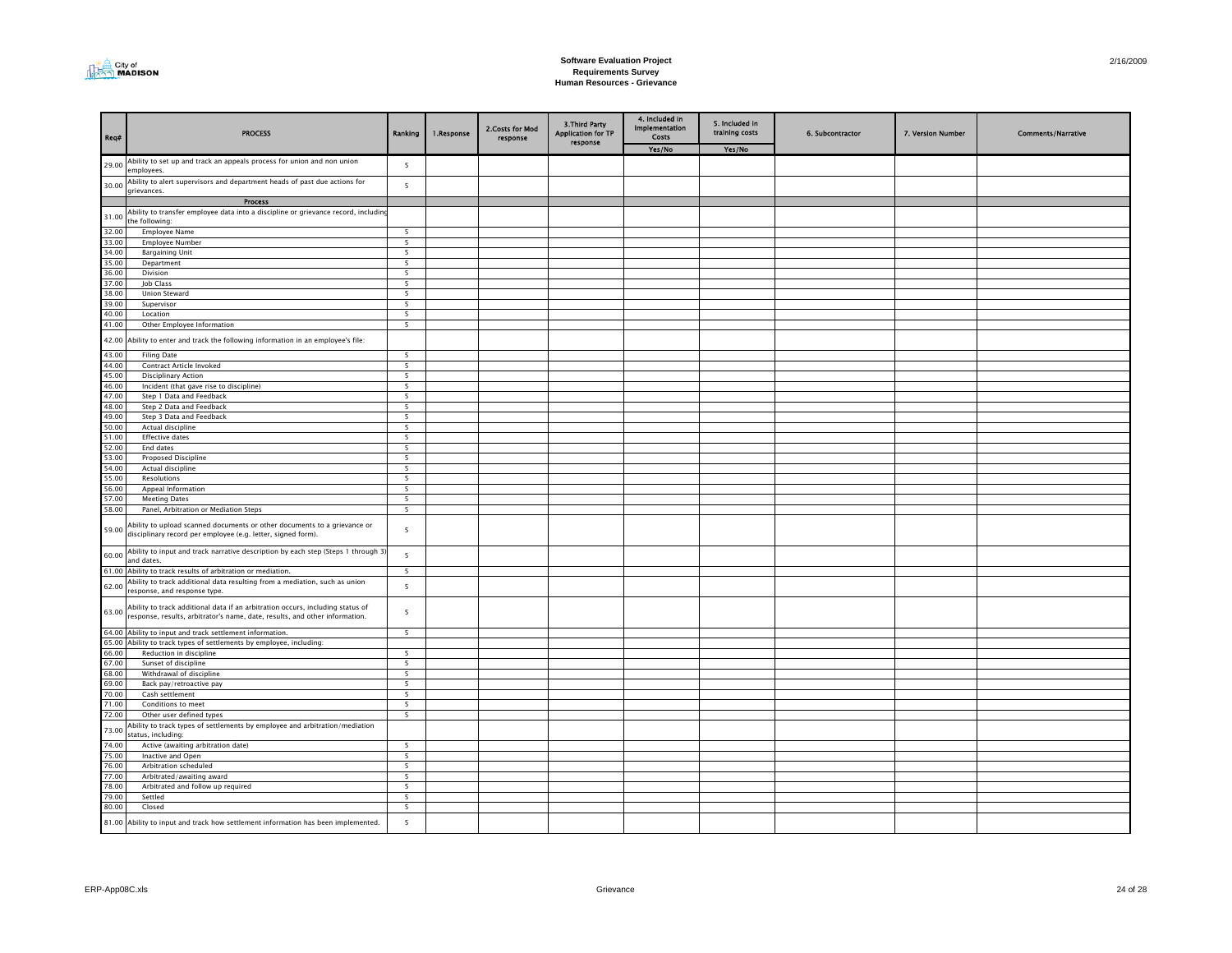

| Req#                                               | <b>PROCESS</b>                                                                                                                                                | Ranking                                    | 1.Response | 2. Costs for Mod<br>response | 3. Third Party<br><b>Application for TP</b> | 4. Included in<br>Implementation<br>Costs | 5. Included in<br>training costs | 6. Subcontractor | 7. Version Number | <b>Comments/Narrative</b> |
|----------------------------------------------------|---------------------------------------------------------------------------------------------------------------------------------------------------------------|--------------------------------------------|------------|------------------------------|---------------------------------------------|-------------------------------------------|----------------------------------|------------------|-------------------|---------------------------|
|                                                    |                                                                                                                                                               |                                            |            |                              | response                                    | Yes/No                                    | Yes/No                           |                  |                   |                           |
| 29.00                                              | Ability to set up and track an appeals process for union and non union<br>employees.                                                                          | $5\phantom{a}$                             |            |                              |                                             |                                           |                                  |                  |                   |                           |
| 30.00                                              | Ability to alert supervisors and department heads of past due actions for<br>grievances.                                                                      | $5\phantom{.0}$                            |            |                              |                                             |                                           |                                  |                  |                   |                           |
|                                                    | Process                                                                                                                                                       |                                            |            |                              |                                             |                                           |                                  |                  |                   |                           |
| $\begin{array}{ c c }\n\hline\n31.00\n\end{array}$ | Ability to transfer employee data into a discipline or grievance record, including<br>the following:                                                          |                                            |            |                              |                                             |                                           |                                  |                  |                   |                           |
| 32.00                                              | Employee Name                                                                                                                                                 | 5                                          |            |                              |                                             |                                           |                                  |                  |                   |                           |
| 33.00                                              | Employee Number                                                                                                                                               | 5                                          |            |                              |                                             |                                           |                                  |                  |                   |                           |
| 34.00                                              | <b>Bargaining Unit</b>                                                                                                                                        | 5 <sup>5</sup>                             |            |                              |                                             |                                           |                                  |                  |                   |                           |
| 35.00<br>36.00                                     | Department                                                                                                                                                    | $\overline{5}$<br>$\overline{\phantom{0}}$ |            |                              |                                             |                                           |                                  |                  |                   |                           |
| 37.00                                              | Division<br>Job Class                                                                                                                                         | $\overline{5}$                             |            |                              |                                             |                                           |                                  |                  |                   |                           |
| 38.00                                              | <b>Union Steward</b>                                                                                                                                          | 5                                          |            |                              |                                             |                                           |                                  |                  |                   |                           |
| 39.00                                              | Supervisor                                                                                                                                                    | $\overline{\phantom{a}}$                   |            |                              |                                             |                                           |                                  |                  |                   |                           |
| 40.00                                              | Location                                                                                                                                                      | 5                                          |            |                              |                                             |                                           |                                  |                  |                   |                           |
| 41.00                                              | Other Employee Information                                                                                                                                    | 5                                          |            |                              |                                             |                                           |                                  |                  |                   |                           |
|                                                    | 42.00 Ability to enter and track the following information in an employee's file:                                                                             |                                            |            |                              |                                             |                                           |                                  |                  |                   |                           |
| 43.00                                              | <b>Filing Date</b>                                                                                                                                            | $\overline{\phantom{a}}$                   |            |                              |                                             |                                           |                                  |                  |                   |                           |
| 44.00                                              | Contract Article Invoked                                                                                                                                      | 5                                          |            |                              |                                             |                                           |                                  |                  |                   |                           |
| 45.00                                              | <b>Disciplinary Action</b>                                                                                                                                    | 5                                          |            |                              |                                             |                                           |                                  |                  |                   |                           |
| 46.00<br>47.00                                     | Incident (that gave rise to discipline)<br>Step 1 Data and Feedback                                                                                           | 5<br>5                                     |            |                              |                                             |                                           |                                  |                  |                   |                           |
| 48.00                                              | Step 2 Data and Feedback                                                                                                                                      | 5                                          |            |                              |                                             |                                           |                                  |                  |                   |                           |
| 49.00                                              | Step 3 Data and Feedback                                                                                                                                      | $\overline{5}$                             |            |                              |                                             |                                           |                                  |                  |                   |                           |
| 50.00                                              | Actual discipline                                                                                                                                             | $\overline{5}$                             |            |                              |                                             |                                           |                                  |                  |                   |                           |
| 51.00                                              | <b>Effective dates</b>                                                                                                                                        | 5                                          |            |                              |                                             |                                           |                                  |                  |                   |                           |
| $\frac{52.00}{53.00}$                              | End dates                                                                                                                                                     | 5                                          |            |                              |                                             |                                           |                                  |                  |                   |                           |
|                                                    | Proposed Discipline                                                                                                                                           | 5                                          |            |                              |                                             |                                           |                                  |                  |                   |                           |
| 54.00                                              | Actual discipline                                                                                                                                             | 5                                          |            |                              |                                             |                                           |                                  |                  |                   |                           |
| 55.00                                              | Resolutions                                                                                                                                                   | 5                                          |            |                              |                                             |                                           |                                  |                  |                   |                           |
| 56.00<br>57.00                                     | Appeal Information<br><b>Meeting Dates</b>                                                                                                                    | 5<br>5                                     |            |                              |                                             |                                           |                                  |                  |                   |                           |
| 58.00                                              | Panel, Arbitration or Mediation Steps                                                                                                                         | $\overline{\phantom{0}}$                   |            |                              |                                             |                                           |                                  |                  |                   |                           |
| 59.00                                              | Ability to upload scanned documents or other documents to a grievance or<br>disciplinary record per employee (e.g. letter, signed form).                      | 5                                          |            |                              |                                             |                                           |                                  |                  |                   |                           |
| 60.00                                              | Ability to input and track narrative description by each step (Steps 1 through 3)<br>and dates.                                                               | $5\overline{5}$                            |            |                              |                                             |                                           |                                  |                  |                   |                           |
|                                                    | 61.00 Ability to track results of arbitration or mediation.                                                                                                   | 5                                          |            |                              |                                             |                                           |                                  |                  |                   |                           |
| 62.00                                              | Ability to track additional data resulting from a mediation, such as union<br>response, and response type.                                                    | $5\phantom{a}$                             |            |                              |                                             |                                           |                                  |                  |                   |                           |
| 63.00                                              | Ability to track additional data if an arbitration occurs, including status of<br>response, results, arbitrator's name, date, results, and other information. | 5                                          |            |                              |                                             |                                           |                                  |                  |                   |                           |
|                                                    | 64.00 Ability to input and track settlement information.                                                                                                      | 5                                          |            |                              |                                             |                                           |                                  |                  |                   |                           |
|                                                    | 65.00 Ability to track types of settlements by employee, including:                                                                                           |                                            |            |                              |                                             |                                           |                                  |                  |                   |                           |
| 66.00                                              | Reduction in discipline                                                                                                                                       | 5                                          |            |                              |                                             |                                           |                                  |                  |                   |                           |
| 67.00<br>68.00                                     | Sunset of discipline                                                                                                                                          | $\overline{\phantom{a}}$                   |            |                              |                                             |                                           |                                  |                  |                   |                           |
| 69.00                                              | Withdrawal of discipline                                                                                                                                      | 5<br>5                                     |            |                              |                                             |                                           |                                  |                  |                   |                           |
| 70.00                                              | Back pay/retroactive pay<br>Cash settlement                                                                                                                   | 5                                          |            |                              |                                             |                                           |                                  |                  |                   |                           |
| 71.00                                              | Conditions to meet                                                                                                                                            | 5                                          |            |                              |                                             |                                           |                                  |                  |                   |                           |
| 72.00                                              | Other user defined types                                                                                                                                      | 5                                          |            |                              |                                             |                                           |                                  |                  |                   |                           |
| 73.00                                              | Ability to track types of settlements by employee and arbitration/mediation<br>status, including:                                                             |                                            |            |                              |                                             |                                           |                                  |                  |                   |                           |
| 74.00                                              | Active (awaiting arbitration date)                                                                                                                            | 5                                          |            |                              |                                             |                                           |                                  |                  |                   |                           |
| 75.00                                              | Inactive and Open                                                                                                                                             | 5                                          |            |                              |                                             |                                           |                                  |                  |                   |                           |
| 76.00                                              | Arbitration scheduled                                                                                                                                         | 5                                          |            |                              |                                             |                                           |                                  |                  |                   |                           |
| 77.00                                              | Arbitrated/awaiting award                                                                                                                                     | 5                                          |            |                              |                                             |                                           |                                  |                  |                   |                           |
| 78.00                                              | Arbitrated and follow up required                                                                                                                             | 5 <sup>5</sup>                             |            |                              |                                             |                                           |                                  |                  |                   |                           |
| 79.00<br>80.00                                     | Settled<br>Closed                                                                                                                                             | 5<br>5                                     |            |                              |                                             |                                           |                                  |                  |                   |                           |
|                                                    |                                                                                                                                                               |                                            |            |                              |                                             |                                           |                                  |                  |                   |                           |
|                                                    | 81.00 Ability to input and track how settlement information has been implemented.                                                                             | 5                                          |            |                              |                                             |                                           |                                  |                  |                   |                           |

2/16/2009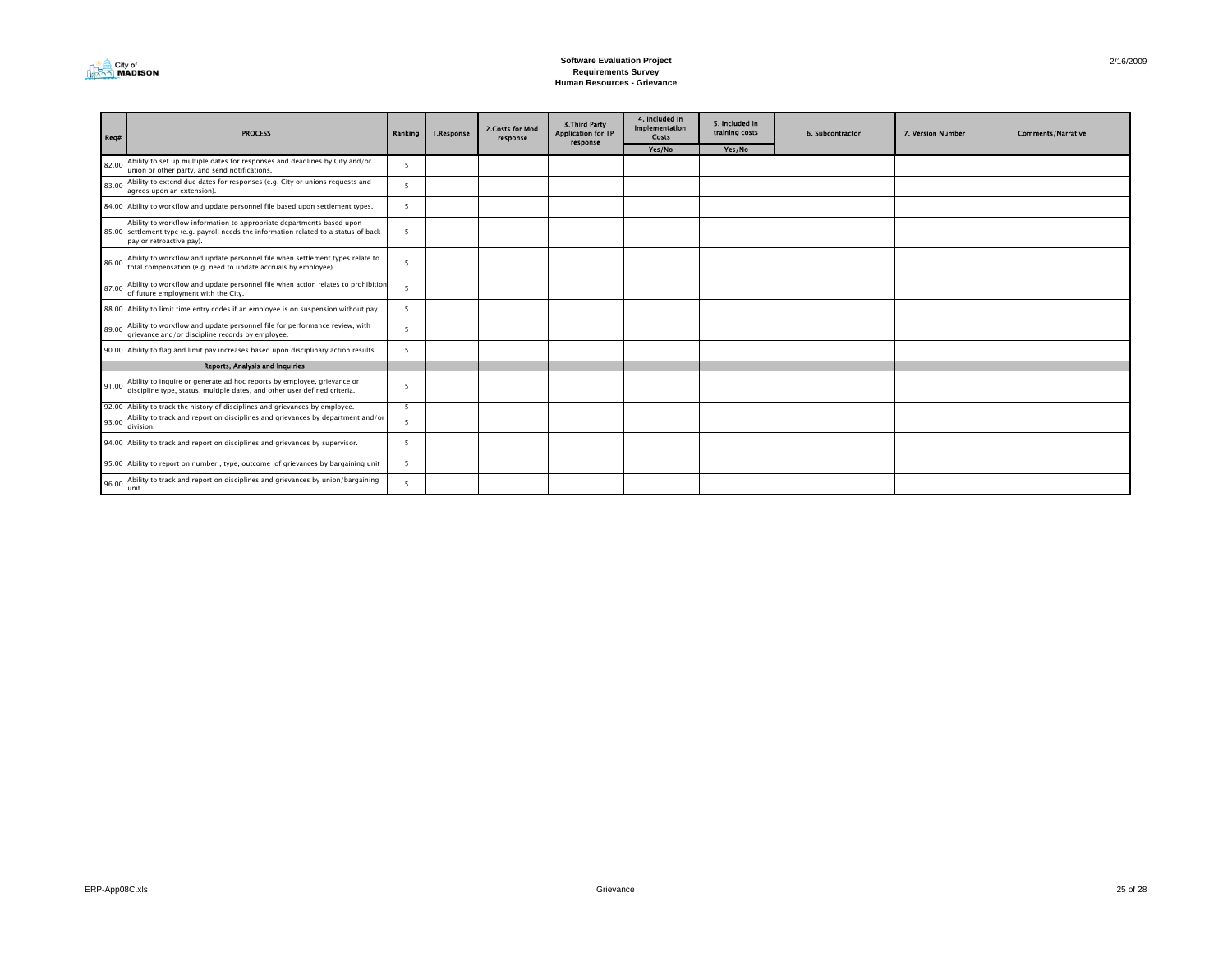

| Req#  | <b>PROCESS</b>                                                                                                                                                                             | Ranking | 1.Response | 2. Costs for Mod<br>response | 3. Third Party<br><b>Application for TP</b><br>response | 4. Included in<br>Implementation<br>Costs | 5. Included in<br>training costs | 6. Subcontractor | 7. Version Number | <b>Comments/Narrative</b> |
|-------|--------------------------------------------------------------------------------------------------------------------------------------------------------------------------------------------|---------|------------|------------------------------|---------------------------------------------------------|-------------------------------------------|----------------------------------|------------------|-------------------|---------------------------|
|       |                                                                                                                                                                                            |         |            |                              |                                                         | Yes/No                                    | Yes/No                           |                  |                   |                           |
| 82.00 | Ability to set up multiple dates for responses and deadlines by City and/or<br>union or other party, and send notifications.                                                               | 5       |            |                              |                                                         |                                           |                                  |                  |                   |                           |
| 83.00 | Ability to extend due dates for responses (e.g. City or unions requests and<br>agrees upon an extension).                                                                                  | 5       |            |                              |                                                         |                                           |                                  |                  |                   |                           |
|       | 84.00 Ability to workflow and update personnel file based upon settlement types.                                                                                                           | 5       |            |                              |                                                         |                                           |                                  |                  |                   |                           |
|       | Ability to workflow information to appropriate departments based upon<br>85.00 settlement type (e.g. payroll needs the information related to a status of back<br>pay or retroactive pay). | - 5     |            |                              |                                                         |                                           |                                  |                  |                   |                           |
|       | 86.00 Ability to workflow and update personnel file when settlement types relate to<br>total compensation (e.g. need to update accruals by employee).                                      | 5       |            |                              |                                                         |                                           |                                  |                  |                   |                           |
| 87.00 | Ability to workflow and update personnel file when action relates to prohibition<br>of future employment with the City.                                                                    | 5       |            |                              |                                                         |                                           |                                  |                  |                   |                           |
|       | 88.00 Ability to limit time entry codes if an employee is on suspension without pay.                                                                                                       | 5       |            |                              |                                                         |                                           |                                  |                  |                   |                           |
| 89.00 | Ability to workflow and update personnel file for performance review, with<br>grievance and/or discipline records by employee.                                                             | - 5     |            |                              |                                                         |                                           |                                  |                  |                   |                           |
|       | 90.00 Ability to flag and limit pay increases based upon disciplinary action results.                                                                                                      | 5       |            |                              |                                                         |                                           |                                  |                  |                   |                           |
|       | <b>Reports, Analysis and Inquiries</b>                                                                                                                                                     |         |            |                              |                                                         |                                           |                                  |                  |                   |                           |
|       | Ability to inquire or generate ad hoc reports by employee, grievance or<br>91.00 discipline type, status, multiple dates, and other user defined criteria.                                 | 5       |            |                              |                                                         |                                           |                                  |                  |                   |                           |
|       | 92.00 Ability to track the history of disciplines and grievances by employee.                                                                                                              | 5       |            |                              |                                                         |                                           |                                  |                  |                   |                           |
|       | Ability to track and report on disciplines and grievances by department and/or<br>$93.00$ division.                                                                                        | 5       |            |                              |                                                         |                                           |                                  |                  |                   |                           |
|       | 94.00 Ability to track and report on disciplines and grievances by supervisor.                                                                                                             | - 5     |            |                              |                                                         |                                           |                                  |                  |                   |                           |
|       | 95.00 Ability to report on number, type, outcome of grievances by bargaining unit                                                                                                          | - 5     |            |                              |                                                         |                                           |                                  |                  |                   |                           |
| 96.00 | Ability to track and report on disciplines and grievances by union/bargaining<br>lunit.                                                                                                    | 5       |            |                              |                                                         |                                           |                                  |                  |                   |                           |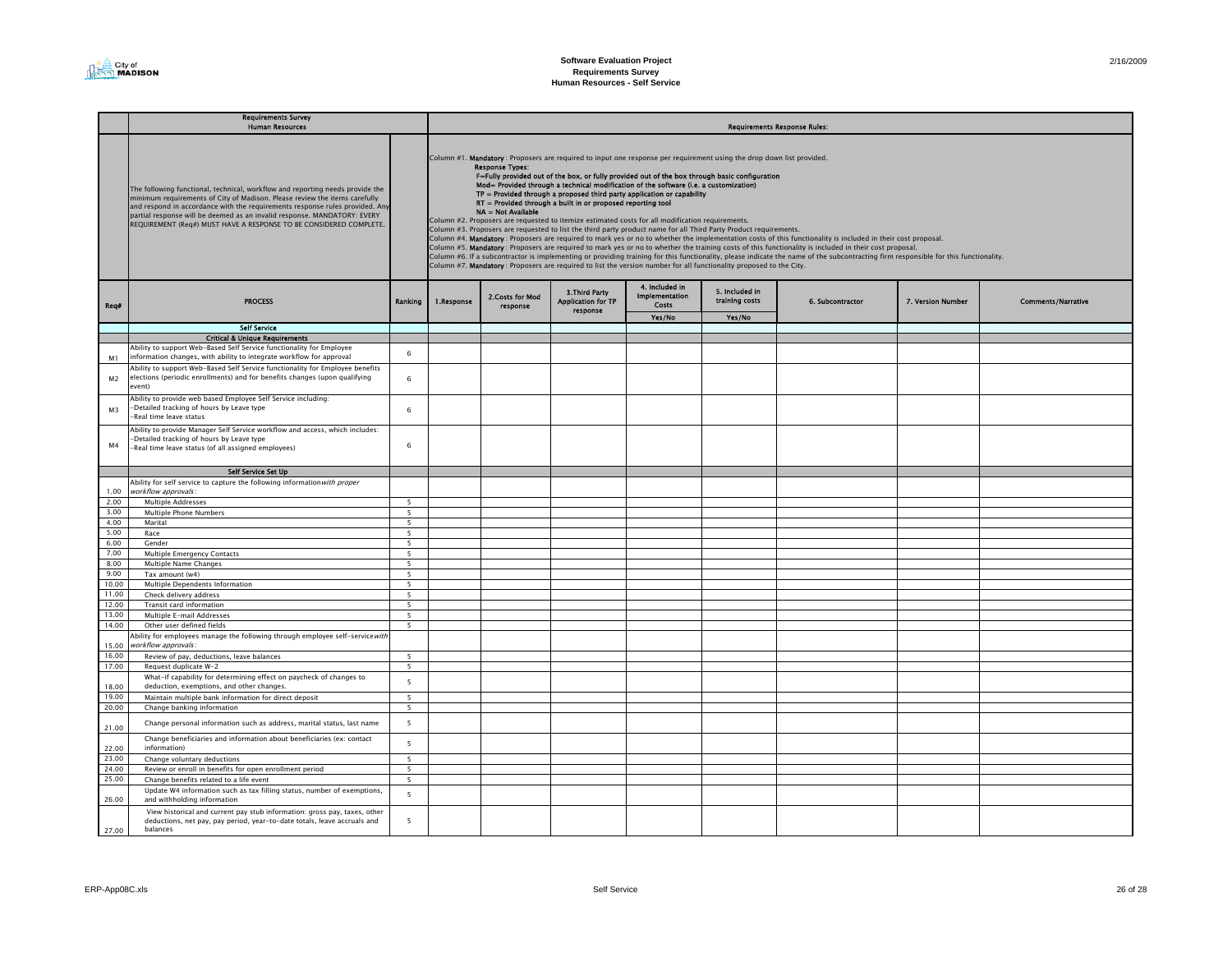|                | Requirements Survey<br><b>Human Resources</b>                                                                                                                                                                                                                                                                                                                                                 |                          | <b>Requirements Response Rules:</b>                                                                                                                                                                                                                                                                                                                                                                                                                                                                                                                                                                                                                                                                                                                                                                                                                                                                                                                                                                                                                                                                                                                                                                                                                                                                                                                                          |                              |                                                         |                                                  |                                  |                  |                   |                           |  |  |
|----------------|-----------------------------------------------------------------------------------------------------------------------------------------------------------------------------------------------------------------------------------------------------------------------------------------------------------------------------------------------------------------------------------------------|--------------------------|------------------------------------------------------------------------------------------------------------------------------------------------------------------------------------------------------------------------------------------------------------------------------------------------------------------------------------------------------------------------------------------------------------------------------------------------------------------------------------------------------------------------------------------------------------------------------------------------------------------------------------------------------------------------------------------------------------------------------------------------------------------------------------------------------------------------------------------------------------------------------------------------------------------------------------------------------------------------------------------------------------------------------------------------------------------------------------------------------------------------------------------------------------------------------------------------------------------------------------------------------------------------------------------------------------------------------------------------------------------------------|------------------------------|---------------------------------------------------------|--------------------------------------------------|----------------------------------|------------------|-------------------|---------------------------|--|--|
|                | The following functional, technical, workflow and reporting needs provide the<br>minimum requirements of City of Madison. Please review the items carefully<br>and respond in accordance with the requirements response rules provided. Any<br>partial response will be deemed as an invalid response. MANDATORY: EVERY<br>REQUIREMENT (Reg#) MUST HAVE A RESPONSE TO BE CONSIDERED COMPLETE. |                          | Column #1. Mandatory: Proposers are required to input one response per requirement using the drop down list provided.<br><b>Response Types:</b><br>F=Fully provided out of the box, or fully provided out of the box through basic configuration<br>Mod= Provided through a technical modification of the software (i.e. a customization)<br>$TP =$ Provided through a proposed third party application or capability<br>RT = Provided through a built in or proposed reporting tool<br>NA = Not Available<br>Column #2. Proposers are requested to itemize estimated costs for all modification requirements.<br>Column #3. Proposers are requested to list the third party product name for all Third Party Product requirements.<br>Column #4. Mandatory: Proposers are required to mark yes or no to whether the implementation costs of this functionality is included in their cost proposal.<br>Column #5. Mandatory : Proposers are required to mark yes or no to whether the training costs of this functionality is included in their cost proposal.<br>Column #6. If a subcontractor is implementing or providing training for this functionality, please indicate the name of the subcontracting firm responsible for this functionality.<br>Column #7. Mandatory: Proposers are required to list the version number for all functionality proposed to the City. |                              |                                                         |                                                  |                                  |                  |                   |                           |  |  |
| Req#           | <b>PROCESS</b>                                                                                                                                                                                                                                                                                                                                                                                | Ranking                  | 1.Response                                                                                                                                                                                                                                                                                                                                                                                                                                                                                                                                                                                                                                                                                                                                                                                                                                                                                                                                                                                                                                                                                                                                                                                                                                                                                                                                                                   | 2. Costs for Mod<br>response | 3. Third Party<br><b>Application for TP</b><br>response | 4. Included in<br><b>Implementation</b><br>Costs | 5. Included in<br>training costs | 6. Subcontractor | 7. Version Number | <b>Comments/Narrative</b> |  |  |
|                |                                                                                                                                                                                                                                                                                                                                                                                               |                          |                                                                                                                                                                                                                                                                                                                                                                                                                                                                                                                                                                                                                                                                                                                                                                                                                                                                                                                                                                                                                                                                                                                                                                                                                                                                                                                                                                              |                              |                                                         | Yes/No                                           | Yes/No                           |                  |                   |                           |  |  |
|                | <b>Self Service</b><br><b>Critical &amp; Unique Requirements</b>                                                                                                                                                                                                                                                                                                                              |                          |                                                                                                                                                                                                                                                                                                                                                                                                                                                                                                                                                                                                                                                                                                                                                                                                                                                                                                                                                                                                                                                                                                                                                                                                                                                                                                                                                                              |                              |                                                         |                                                  |                                  |                  |                   |                           |  |  |
|                | Ability to support Web-Based Self Service functionality for Employee                                                                                                                                                                                                                                                                                                                          |                          |                                                                                                                                                                                                                                                                                                                                                                                                                                                                                                                                                                                                                                                                                                                                                                                                                                                                                                                                                                                                                                                                                                                                                                                                                                                                                                                                                                              |                              |                                                         |                                                  |                                  |                  |                   |                           |  |  |
| M1             | information changes, with ability to integrate workflow for approval                                                                                                                                                                                                                                                                                                                          | 6                        |                                                                                                                                                                                                                                                                                                                                                                                                                                                                                                                                                                                                                                                                                                                                                                                                                                                                                                                                                                                                                                                                                                                                                                                                                                                                                                                                                                              |                              |                                                         |                                                  |                                  |                  |                   |                           |  |  |
| M <sub>2</sub> | Ability to support Web-Based Self Service functionality for Employee benefits<br>elections (periodic enrollments) and for benefits changes (upon qualifying<br>event)                                                                                                                                                                                                                         | 6                        |                                                                                                                                                                                                                                                                                                                                                                                                                                                                                                                                                                                                                                                                                                                                                                                                                                                                                                                                                                                                                                                                                                                                                                                                                                                                                                                                                                              |                              |                                                         |                                                  |                                  |                  |                   |                           |  |  |
| M <sup>3</sup> | Ability to provide web based Employee Self Service including:<br>-Detailed tracking of hours by Leave type<br>-Real time leave status                                                                                                                                                                                                                                                         | 6                        |                                                                                                                                                                                                                                                                                                                                                                                                                                                                                                                                                                                                                                                                                                                                                                                                                                                                                                                                                                                                                                                                                                                                                                                                                                                                                                                                                                              |                              |                                                         |                                                  |                                  |                  |                   |                           |  |  |
| M4             | Ability to provide Manager Self Service workflow and access, which includes:<br>-Detailed tracking of hours by Leave type<br>-Real time leave status (of all assigned employees)                                                                                                                                                                                                              | 6                        |                                                                                                                                                                                                                                                                                                                                                                                                                                                                                                                                                                                                                                                                                                                                                                                                                                                                                                                                                                                                                                                                                                                                                                                                                                                                                                                                                                              |                              |                                                         |                                                  |                                  |                  |                   |                           |  |  |
|                | Self Service Set Up                                                                                                                                                                                                                                                                                                                                                                           |                          |                                                                                                                                                                                                                                                                                                                                                                                                                                                                                                                                                                                                                                                                                                                                                                                                                                                                                                                                                                                                                                                                                                                                                                                                                                                                                                                                                                              |                              |                                                         |                                                  |                                  |                  |                   |                           |  |  |
| 1.00           | Ability for self service to capture the following information with proper<br>workflow approvals:                                                                                                                                                                                                                                                                                              |                          |                                                                                                                                                                                                                                                                                                                                                                                                                                                                                                                                                                                                                                                                                                                                                                                                                                                                                                                                                                                                                                                                                                                                                                                                                                                                                                                                                                              |                              |                                                         |                                                  |                                  |                  |                   |                           |  |  |
| 2.00           | Multiple Addresses                                                                                                                                                                                                                                                                                                                                                                            | 5                        |                                                                                                                                                                                                                                                                                                                                                                                                                                                                                                                                                                                                                                                                                                                                                                                                                                                                                                                                                                                                                                                                                                                                                                                                                                                                                                                                                                              |                              |                                                         |                                                  |                                  |                  |                   |                           |  |  |
| 3.00           | Multiple Phone Numbers                                                                                                                                                                                                                                                                                                                                                                        | 5                        |                                                                                                                                                                                                                                                                                                                                                                                                                                                                                                                                                                                                                                                                                                                                                                                                                                                                                                                                                                                                                                                                                                                                                                                                                                                                                                                                                                              |                              |                                                         |                                                  |                                  |                  |                   |                           |  |  |
| 4.00           | Marital                                                                                                                                                                                                                                                                                                                                                                                       | $\overline{\phantom{a}}$ |                                                                                                                                                                                                                                                                                                                                                                                                                                                                                                                                                                                                                                                                                                                                                                                                                                                                                                                                                                                                                                                                                                                                                                                                                                                                                                                                                                              |                              |                                                         |                                                  |                                  |                  |                   |                           |  |  |
| 5.00           | Race                                                                                                                                                                                                                                                                                                                                                                                          | 5                        |                                                                                                                                                                                                                                                                                                                                                                                                                                                                                                                                                                                                                                                                                                                                                                                                                                                                                                                                                                                                                                                                                                                                                                                                                                                                                                                                                                              |                              |                                                         |                                                  |                                  |                  |                   |                           |  |  |
| 6.00           | Gender                                                                                                                                                                                                                                                                                                                                                                                        | 5                        |                                                                                                                                                                                                                                                                                                                                                                                                                                                                                                                                                                                                                                                                                                                                                                                                                                                                                                                                                                                                                                                                                                                                                                                                                                                                                                                                                                              |                              |                                                         |                                                  |                                  |                  |                   |                           |  |  |
| 7.00           | Multiple Emergency Contacts                                                                                                                                                                                                                                                                                                                                                                   | 5                        |                                                                                                                                                                                                                                                                                                                                                                                                                                                                                                                                                                                                                                                                                                                                                                                                                                                                                                                                                                                                                                                                                                                                                                                                                                                                                                                                                                              |                              |                                                         |                                                  |                                  |                  |                   |                           |  |  |
| 8.00<br>9.00   | Multiple Name Changes<br>Tax amount (w4)                                                                                                                                                                                                                                                                                                                                                      | $5\overline{5}$<br>5     |                                                                                                                                                                                                                                                                                                                                                                                                                                                                                                                                                                                                                                                                                                                                                                                                                                                                                                                                                                                                                                                                                                                                                                                                                                                                                                                                                                              |                              |                                                         |                                                  |                                  |                  |                   |                           |  |  |
| 10.00          | Multiple Dependents Information                                                                                                                                                                                                                                                                                                                                                               | $\overline{\phantom{a}}$ |                                                                                                                                                                                                                                                                                                                                                                                                                                                                                                                                                                                                                                                                                                                                                                                                                                                                                                                                                                                                                                                                                                                                                                                                                                                                                                                                                                              |                              |                                                         |                                                  |                                  |                  |                   |                           |  |  |
| 11.00          | Check delivery address                                                                                                                                                                                                                                                                                                                                                                        | $\overline{5}$           |                                                                                                                                                                                                                                                                                                                                                                                                                                                                                                                                                                                                                                                                                                                                                                                                                                                                                                                                                                                                                                                                                                                                                                                                                                                                                                                                                                              |                              |                                                         |                                                  |                                  |                  |                   |                           |  |  |
| 12.00          | Transit card information                                                                                                                                                                                                                                                                                                                                                                      | 5                        |                                                                                                                                                                                                                                                                                                                                                                                                                                                                                                                                                                                                                                                                                                                                                                                                                                                                                                                                                                                                                                                                                                                                                                                                                                                                                                                                                                              |                              |                                                         |                                                  |                                  |                  |                   |                           |  |  |
| 13.00          | Multiple E-mail Addresses                                                                                                                                                                                                                                                                                                                                                                     | $\overline{5}$           |                                                                                                                                                                                                                                                                                                                                                                                                                                                                                                                                                                                                                                                                                                                                                                                                                                                                                                                                                                                                                                                                                                                                                                                                                                                                                                                                                                              |                              |                                                         |                                                  |                                  |                  |                   |                           |  |  |
| 14.00          | Other user defined fields                                                                                                                                                                                                                                                                                                                                                                     | $\overline{5}$           |                                                                                                                                                                                                                                                                                                                                                                                                                                                                                                                                                                                                                                                                                                                                                                                                                                                                                                                                                                                                                                                                                                                                                                                                                                                                                                                                                                              |                              |                                                         |                                                  |                                  |                  |                   |                           |  |  |
| 15.00          | Ability for employees manage the following through employee self-service with<br>workflow approvals:                                                                                                                                                                                                                                                                                          |                          |                                                                                                                                                                                                                                                                                                                                                                                                                                                                                                                                                                                                                                                                                                                                                                                                                                                                                                                                                                                                                                                                                                                                                                                                                                                                                                                                                                              |                              |                                                         |                                                  |                                  |                  |                   |                           |  |  |
| 16.00          | Review of pay, deductions, leave balances                                                                                                                                                                                                                                                                                                                                                     | 5                        |                                                                                                                                                                                                                                                                                                                                                                                                                                                                                                                                                                                                                                                                                                                                                                                                                                                                                                                                                                                                                                                                                                                                                                                                                                                                                                                                                                              |                              |                                                         |                                                  |                                  |                  |                   |                           |  |  |
| 17.00          | Request duplicate W-2                                                                                                                                                                                                                                                                                                                                                                         | $\overline{\phantom{a}}$ |                                                                                                                                                                                                                                                                                                                                                                                                                                                                                                                                                                                                                                                                                                                                                                                                                                                                                                                                                                                                                                                                                                                                                                                                                                                                                                                                                                              |                              |                                                         |                                                  |                                  |                  |                   |                           |  |  |
| 18.00<br>19.00 | What-if capability for determining effect on paycheck of changes to<br>deduction, exemptions, and other changes.                                                                                                                                                                                                                                                                              | 5                        |                                                                                                                                                                                                                                                                                                                                                                                                                                                                                                                                                                                                                                                                                                                                                                                                                                                                                                                                                                                                                                                                                                                                                                                                                                                                                                                                                                              |                              |                                                         |                                                  |                                  |                  |                   |                           |  |  |
| 20.00          | Maintain multiple bank information for direct deposit<br>Change banking information                                                                                                                                                                                                                                                                                                           | 5<br>5                   |                                                                                                                                                                                                                                                                                                                                                                                                                                                                                                                                                                                                                                                                                                                                                                                                                                                                                                                                                                                                                                                                                                                                                                                                                                                                                                                                                                              |                              |                                                         |                                                  |                                  |                  |                   |                           |  |  |
|                |                                                                                                                                                                                                                                                                                                                                                                                               |                          |                                                                                                                                                                                                                                                                                                                                                                                                                                                                                                                                                                                                                                                                                                                                                                                                                                                                                                                                                                                                                                                                                                                                                                                                                                                                                                                                                                              |                              |                                                         |                                                  |                                  |                  |                   |                           |  |  |
| 21.00          | Change personal information such as address, marital status, last name                                                                                                                                                                                                                                                                                                                        | 5                        |                                                                                                                                                                                                                                                                                                                                                                                                                                                                                                                                                                                                                                                                                                                                                                                                                                                                                                                                                                                                                                                                                                                                                                                                                                                                                                                                                                              |                              |                                                         |                                                  |                                  |                  |                   |                           |  |  |
| 22.00          | Change beneficiaries and information about beneficiaries (ex: contact<br>information)                                                                                                                                                                                                                                                                                                         | 5                        |                                                                                                                                                                                                                                                                                                                                                                                                                                                                                                                                                                                                                                                                                                                                                                                                                                                                                                                                                                                                                                                                                                                                                                                                                                                                                                                                                                              |                              |                                                         |                                                  |                                  |                  |                   |                           |  |  |
| 23.00          | Change voluntary deductions                                                                                                                                                                                                                                                                                                                                                                   | 5                        |                                                                                                                                                                                                                                                                                                                                                                                                                                                                                                                                                                                                                                                                                                                                                                                                                                                                                                                                                                                                                                                                                                                                                                                                                                                                                                                                                                              |                              |                                                         |                                                  |                                  |                  |                   |                           |  |  |
| 24.00          | Review or enroll in benefits for open enrollment period                                                                                                                                                                                                                                                                                                                                       | 5                        |                                                                                                                                                                                                                                                                                                                                                                                                                                                                                                                                                                                                                                                                                                                                                                                                                                                                                                                                                                                                                                                                                                                                                                                                                                                                                                                                                                              |                              |                                                         |                                                  |                                  |                  |                   |                           |  |  |
| 25.00          | Change benefits related to a life event<br>Update W4 information such as tax filling status, number of exemptions,                                                                                                                                                                                                                                                                            | 5<br>5                   |                                                                                                                                                                                                                                                                                                                                                                                                                                                                                                                                                                                                                                                                                                                                                                                                                                                                                                                                                                                                                                                                                                                                                                                                                                                                                                                                                                              |                              |                                                         |                                                  |                                  |                  |                   |                           |  |  |
| 26.00          | and withholding information<br>View historical and current pay stub information: gross pay, taxes, other                                                                                                                                                                                                                                                                                      |                          |                                                                                                                                                                                                                                                                                                                                                                                                                                                                                                                                                                                                                                                                                                                                                                                                                                                                                                                                                                                                                                                                                                                                                                                                                                                                                                                                                                              |                              |                                                         |                                                  |                                  |                  |                   |                           |  |  |
| 27.00          | deductions, net pay, pay period, year-to-date totals, leave accruals and<br><b>balances</b>                                                                                                                                                                                                                                                                                                   | 5                        |                                                                                                                                                                                                                                                                                                                                                                                                                                                                                                                                                                                                                                                                                                                                                                                                                                                                                                                                                                                                                                                                                                                                                                                                                                                                                                                                                                              |                              |                                                         |                                                  |                                  |                  |                   |                           |  |  |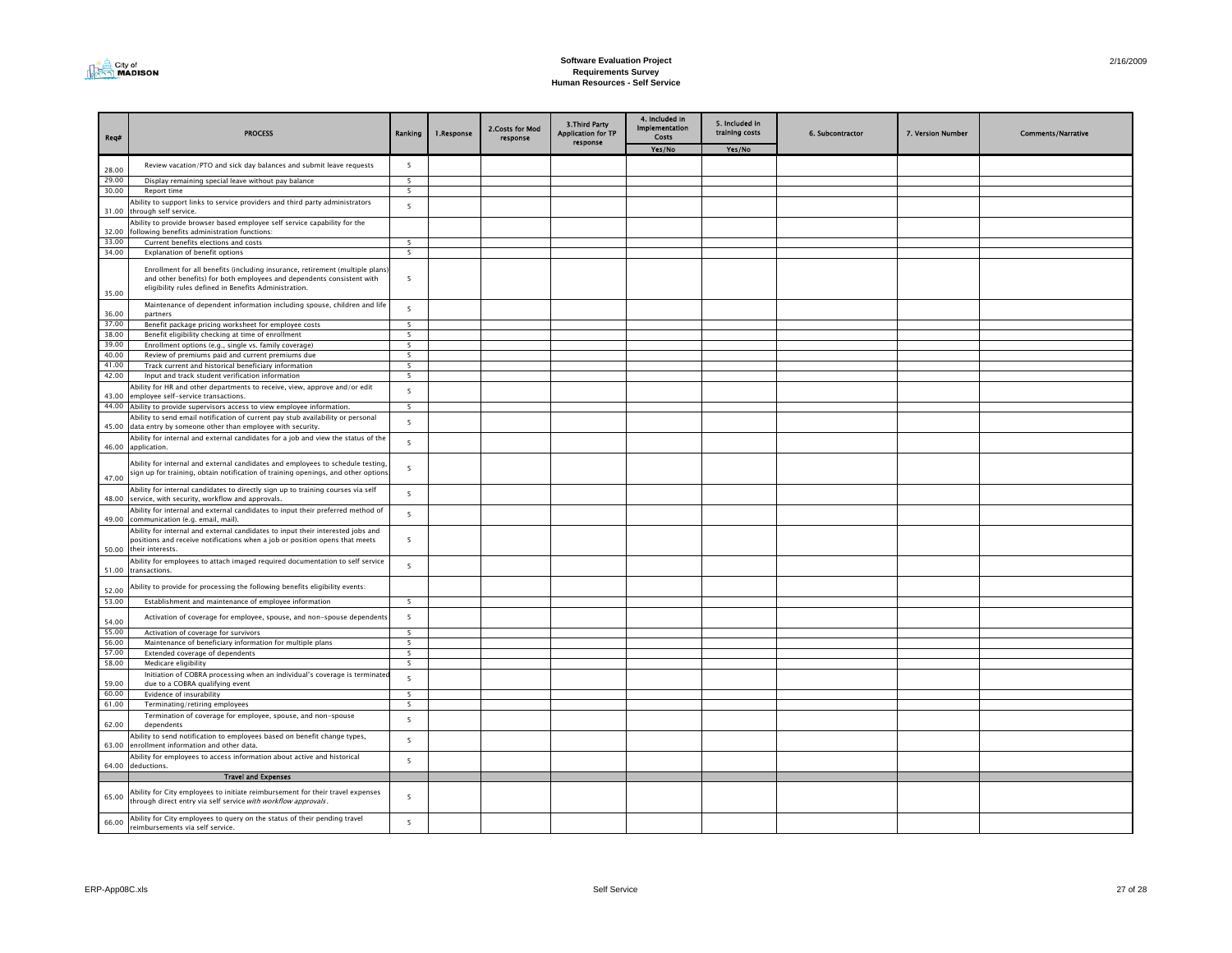

| Reg#           | <b>PROCESS</b>                                                                                                                                                                                                  | Ranking                                    | 1.Response | 2. Costs for Mod<br>response | <b>3.Third Party</b><br><b>Application for TP</b><br>response | 4. Included in<br><b>Implementation</b><br>Costs | 5. Included in<br>training costs | 6. Subcontractor | 7. Version Number | <b>Comments/Narrative</b> |
|----------------|-----------------------------------------------------------------------------------------------------------------------------------------------------------------------------------------------------------------|--------------------------------------------|------------|------------------------------|---------------------------------------------------------------|--------------------------------------------------|----------------------------------|------------------|-------------------|---------------------------|
|                |                                                                                                                                                                                                                 |                                            |            |                              |                                                               | Yes/No                                           | Yes/No                           |                  |                   |                           |
| 28.00          | Review vacation/PTO and sick day balances and submit leave requests                                                                                                                                             | $\overline{\phantom{a}}$                   |            |                              |                                                               |                                                  |                                  |                  |                   |                           |
| 29.00          | Display remaining special leave without pay balance                                                                                                                                                             | 5                                          |            |                              |                                                               |                                                  |                                  |                  |                   |                           |
| 30.00          | Report time                                                                                                                                                                                                     | 5                                          |            |                              |                                                               |                                                  |                                  |                  |                   |                           |
| 31.00          | Ability to support links to service providers and third party administrators<br>through self service.                                                                                                           | 5                                          |            |                              |                                                               |                                                  |                                  |                  |                   |                           |
| 32.00          | Ability to provide browser based employee self service capability for the<br>following benefits administration functions:                                                                                       |                                            |            |                              |                                                               |                                                  |                                  |                  |                   |                           |
| 33.00          | Current benefits elections and costs                                                                                                                                                                            | - 5                                        |            |                              |                                                               |                                                  |                                  |                  |                   |                           |
| 34.00          | Explanation of benefit options                                                                                                                                                                                  | 5                                          |            |                              |                                                               |                                                  |                                  |                  |                   |                           |
| 35.00          | Enrollment for all benefits (including insurance, retirement (multiple plans)<br>and other benefits) for both employees and dependents consistent with<br>eligibility rules defined in Benefits Administration. | 5                                          |            |                              |                                                               |                                                  |                                  |                  |                   |                           |
| 36.00          | Maintenance of dependent information including spouse, children and life<br>partners                                                                                                                            | $\overline{5}$                             |            |                              |                                                               |                                                  |                                  |                  |                   |                           |
| 37.00          | Benefit package pricing worksheet for employee costs                                                                                                                                                            | 5                                          |            |                              |                                                               |                                                  |                                  |                  |                   |                           |
| 38.00          | Benefit eligibility checking at time of enrollment                                                                                                                                                              | 5                                          |            |                              |                                                               |                                                  |                                  |                  |                   |                           |
| 39.00          | Enrollment options (e.g., single vs. family coverage)                                                                                                                                                           | 5                                          |            |                              |                                                               |                                                  |                                  |                  |                   |                           |
| 40.00<br>41.00 | Review of premiums paid and current premiums due<br>Track current and historical beneficiary information                                                                                                        | $\overline{\phantom{a}}$<br>$\overline{5}$ |            |                              |                                                               |                                                  |                                  |                  |                   |                           |
| 42.00          | Input and track student verification information                                                                                                                                                                | 5                                          |            |                              |                                                               |                                                  |                                  |                  |                   |                           |
|                | Ability for HR and other departments to receive, view, approve and/or edit                                                                                                                                      |                                            |            |                              |                                                               |                                                  |                                  |                  |                   |                           |
| 43.00          | employee self-service transactions.                                                                                                                                                                             | $\overline{\phantom{a}}$                   |            |                              |                                                               |                                                  |                                  |                  |                   |                           |
|                | 44.00 Ability to provide supervisors access to view employee information.                                                                                                                                       | 5                                          |            |                              |                                                               |                                                  |                                  |                  |                   |                           |
| 45.00          | Ability to send email notification of current pay stub availability or personal<br>data entry by someone other than employee with security.                                                                     | 5                                          |            |                              |                                                               |                                                  |                                  |                  |                   |                           |
| 46.00          | Ability for internal and external candidates for a job and view the status of the<br>application.                                                                                                               | 5                                          |            |                              |                                                               |                                                  |                                  |                  |                   |                           |
| 47.00          | Ability for internal and external candidates and employees to schedule testing,<br>sign up for training, obtain notification of training openings, and other option:                                            | 5                                          |            |                              |                                                               |                                                  |                                  |                  |                   |                           |
| 48.00          | Ability for internal candidates to directly sign up to training courses via self<br>service, with security, workflow and approvals.                                                                             | 5                                          |            |                              |                                                               |                                                  |                                  |                  |                   |                           |
| 49.00          | Ability for internal and external candidates to input their preferred method of<br>communication (e.g. email, mail).                                                                                            | 5                                          |            |                              |                                                               |                                                  |                                  |                  |                   |                           |
| 50.00          | Ability for internal and external candidates to input their interested jobs and<br>positions and receive notifications when a job or position opens that meets<br>their interests.                              | 5                                          |            |                              |                                                               |                                                  |                                  |                  |                   |                           |
| 51.00          | Ability for employees to attach imaged required documentation to self service<br>transactions.                                                                                                                  | 5                                          |            |                              |                                                               |                                                  |                                  |                  |                   |                           |
| 52.00          | Ability to provide for processing the following benefits eligibility events:                                                                                                                                    |                                            |            |                              |                                                               |                                                  |                                  |                  |                   |                           |
| 53.00          | Establishment and maintenance of employee information                                                                                                                                                           | $\overline{\phantom{a}}$                   |            |                              |                                                               |                                                  |                                  |                  |                   |                           |
| 54.00          | Activation of coverage for employee, spouse, and non-spouse dependents                                                                                                                                          | 5                                          |            |                              |                                                               |                                                  |                                  |                  |                   |                           |
| 55.00          | Activation of coverage for survivors                                                                                                                                                                            | $\overline{\phantom{a}}$                   |            |                              |                                                               |                                                  |                                  |                  |                   |                           |
| 56.00          | Maintenance of beneficiary information for multiple plans                                                                                                                                                       | 5                                          |            |                              |                                                               |                                                  |                                  |                  |                   |                           |
| 57.00          | Extended coverage of dependents                                                                                                                                                                                 | $5\overline{5}$                            |            |                              |                                                               |                                                  |                                  |                  |                   |                           |
| 58.00          | Medicare eligibility                                                                                                                                                                                            | $\overline{\phantom{a}}$                   |            |                              |                                                               |                                                  |                                  |                  |                   |                           |
| 59.00          | Initiation of COBRA processing when an individual's coverage is terminated<br>due to a COBRA qualifying event                                                                                                   | 5                                          |            |                              |                                                               |                                                  |                                  |                  |                   |                           |
| 60.00          | Evidence of insurability                                                                                                                                                                                        | 5                                          |            |                              |                                                               |                                                  |                                  |                  |                   |                           |
| 61.00          | Terminating/retiring employees                                                                                                                                                                                  | 5                                          |            |                              |                                                               |                                                  |                                  |                  |                   |                           |
| 62.00          | Termination of coverage for employee, spouse, and non-spouse<br>dependents                                                                                                                                      | 5                                          |            |                              |                                                               |                                                  |                                  |                  |                   |                           |
| 63.00          | Ability to send notification to employees based on benefit change types,<br>enrollment information and other data.                                                                                              | 5                                          |            |                              |                                                               |                                                  |                                  |                  |                   |                           |
| 64.00          | Ability for employees to access information about active and historical<br>deductions.                                                                                                                          | 5                                          |            |                              |                                                               |                                                  |                                  |                  |                   |                           |
|                | <b>Travel and Expenses</b>                                                                                                                                                                                      |                                            |            |                              |                                                               |                                                  |                                  |                  |                   |                           |
| 65.00          | Ability for City employees to initiate reimbursement for their travel expenses<br>through direct entry via self service with workflow approvals.                                                                | 5                                          |            |                              |                                                               |                                                  |                                  |                  |                   |                           |
| 66.00          | Ability for City employees to query on the status of their pending travel<br>reimbursements via self service.                                                                                                   | 5                                          |            |                              |                                                               |                                                  |                                  |                  |                   |                           |